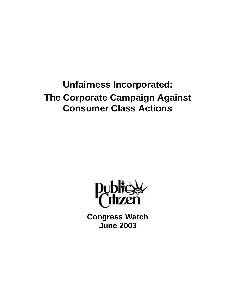**Unfairness Incorporated: The Corporate Campaign Against Consumer Class Actions**



**Congress Watch June 2003**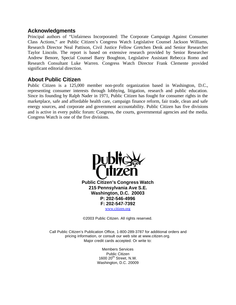#### **Acknowledgments**

Principal authors of "Unfairness Incorporated: The Corporate Campaign Against Consumer Class Actions," are Public Citizen's Congress Watch Legislative Counsel Jackson Williams, Research Director Neal Pattison, Civil Justice Fellow Gretchen Denk and Senior Researcher Taylor Lincoln. The report is based on extensive research provided by Senior Researcher Andrew Benore, Special Counsel Barry Boughton, Legislative Assistant Rebecca Romo and Research Consultant Luke Warren. Congress Watch Director Frank Clemente provided significant editorial direction.

#### **About Public Citizen**

Public Citizen is a 125,000 member non-profit organization based in Washington, D.C., representing consumer interests through lobbying, litigation, research and public education. Since its founding by Ralph Nader in 1971, Public Citizen has fought for consumer rights in the marketplace, safe and affordable health care, campaign finance reform, fair trade, clean and safe energy sources, and corporate and government accountability. Public Citizen has five divisions and is active in every public forum: Congress, the courts, governmental agencies and the media. Congress Watch is one of the five divisions.



©2003 Public Citizen. All rights reserved.

Call Public Citizen's Publication Office, 1-800-289-3787 for additional orders and pricing information, or consult our web site at www.citizen.org. Major credit cards accepted. Or write to:

> Members Services Public Citizen 1600  $20^{th}$  Street, N.W. Washington, D.C. 20009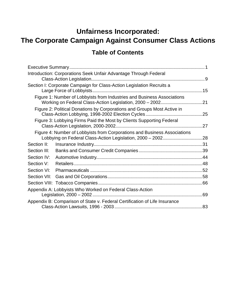# **Unfairness Incorporated: The Corporate Campaign Against Consumer Class Actions**

# **Table of Contents**

| Introduction: Corporations Seek Unfair Advantage Through Federal           |  |
|----------------------------------------------------------------------------|--|
| Section I: Corporate Campaign for Class-Action Legislation Recruits a      |  |
| Figure 1: Number of Lobbyists from Industries and Business Associations    |  |
| Figure 2: Political Donations by Corporations and Groups Most Active in    |  |
| Figure 3: Lobbying Firms Paid the Most by Clients Supporting Federal       |  |
| Figure 4: Number of Lobbyists from Corporations and Business Associations  |  |
| Section II:                                                                |  |
| Section III:                                                               |  |
| Section IV:                                                                |  |
| Section V:                                                                 |  |
| Section VI:                                                                |  |
| Section VII:                                                               |  |
|                                                                            |  |
| Appendix A: Lobbyists Who Worked on Federal Class-Action                   |  |
| Appendix B: Comparison of State v. Federal Certification of Life Insurance |  |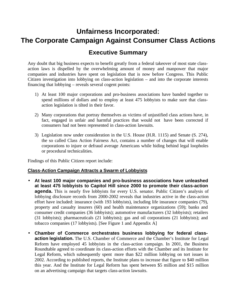# **Unfairness Incorporated: The Corporate Campaign Against Consumer Class Actions**

### **Executive Summary**

Any doubt that big business expects to benefit greatly from a federal takeover of most state classaction laws is dispelled by the overwhelming amount of money and manpower that major companies and industries have spent on legislation that is now before Congress. This Public Citizen investigation into lobbying on class-action legislation – and into the corporate interests financing that lobbying – reveals several cogent points:

- 1) At least 100 major corporations and pro-business associations have banded together to spend millions of dollars and to employ at least 475 lobbyists to make sure that classaction legislation is tilted in their favor.
- 2) Many corporations that portray themselves as victims of unjustified class actions have, in fact, engaged in unfair and harmful practices that would not have been corrected if consumers had not been represented in class-action lawsuits.
- 3) Legislation now under consideration in the U.S. House (H.R. 1115) and Senate (S. 274), the so called Class Action Fairness Act, contains a number of changes that will enable corporations to injure or defraud average Americans while hiding behind legal loopholes or procedural technicalities.

Findings of this Public Citizen report include:

#### **Class-Action Campaign Attracts a Swarm of Lobbyists**

- **At least 100 major companies and pro-business associations have unleashed at least 475 lobbyists to Capitol Hill since 2000 to promote their class-action agenda.** This is nearly five lobbyists for every U.S. senator. Public Citizen's analysis of lobbying disclosure records from 2000-2002 reveals that industries active in the class-action effort have included: insurance (with 193 lobbyists), including life insurance companies (79), property and casualty insurers (60) and health maintenance organizations (59); banks and consumer credit companies (36 lobbyists); automotive manufacturers (32 lobbyists); retailers (31 lobbyists); pharmaceuticals (21 lobbyists); gas and oil corporations (21 lobbyists); and tobacco companies (17 lobbyists). [See Figure 1 and Appendix A]
- **Chamber of Commerce orchestrates business lobbying for federal classaction legislation.** The U.S. Chamber of Commerce and the Chamber's Institute for Legal Reform have employed 45 lobbyists in the class-action campaign. In 2001, the Business Roundtable agreed to coordinate its class-action efforts with the Chamber and its Institute for Legal Reform, which subsequently spent more than \$22 million lobbying on tort issues in 2002. According to published reports, the Institute plans to increase that figure to \$40 million this year. And the Institute for Legal Reform has spent between \$5 million and \$15 million on an advertising campaign that targets class-action lawsuits.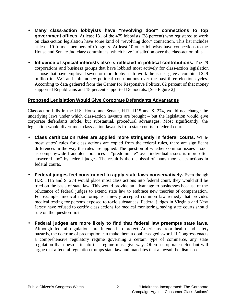- **Many class-action lobbyists have "revolving door" connections to top government offices.** At least 131 of the 475 lobbyists (28 percent) who registered to work on class-action legislation have some kind of "revolving door" connection. This list includes at least 10 former members of Congress. At least 10 other lobbyists have connections to the House and Senate Judiciary committees, which have jurisdiction over the class-action bills.
- **Influence of special interests also is reflected in political contributions.** The 29 corporations and business groups that have lobbied most actively for class-action legislation – those that have employed seven or more lobbyists to work the issue –gave a combined \$49 million in PAC and soft money political contributions over the past three election cycles. According to data gathered from the Center for Responsive Politics, 82 percent of that money supported Republicans and 18 percent supported Democrats. [See Figure 2]

#### **Proposed Legislation Would Give Corporate Defendants Advantages**

Class-action bills in the U.S. House and Senate, H.R. 1115 and S. 274, would not change the underlying laws under which class-action lawsuits are brought – but the legislation would give corporate defendants subtle, but substantial, procedural advantages. Most significantly, the legislation would divert most class-action lawsuits from state courts to federal courts.

- **Class certification rules are applied more stringently in federal courts.** While most states' rules for class actions are copied from the federal rules, there are significant differences in the way the rules are applied. The question of whether common issues – such as companywide fraudulent practices – "predominate" over individual issues is more often answered "no" by federal judges. The result is the dismissal of many more class actions in federal courts.
- **Federal judges feel constrained to apply state laws conservatively.** Even though H.R. 1115 and S. 274 would place most class actions into federal court, they would still be tried on the basis of state law. This would provide an advantage to businesses because of the reluctance of federal judges to extend state law to embrace new theories of compensation. For example, medical monitoring is a newly accepted common law remedy that provides medical testing for persons exposed to toxic substances. Federal judges in Virginia and New Jersey have refused to certify class actions for medical monitoring, saying state courts should rule on the question first.
- **Federal judges are more likely to find that federal law preempts state laws.** Although federal regulations are intended to protect Americans from health and safety hazards, the doctrine of preemption can make them a double-edged sword. If Congress enacts a comprehensive regulatory regime governing a certain type of commerce, any state regulation that doesn't fit into that regime must give way. Often a corporate defendant will argue that a federal regulation trumps state law and mandates that a lawsuit be dismissed.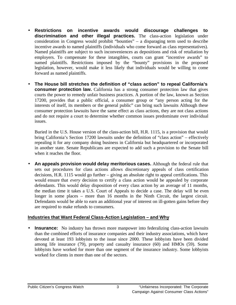- **Restrictions on incentive awards would discourage challenges to discrimination and other illegal practices.** The class-action legislation under consideration in Congress would prohibit "bounties" – a disparaging term used to describe incentive awards to named plaintiffs (individuals who come forward as class representatives). Named plaintiffs are subject to such inconveniences as depositions and risk of retaliation by employers. To compensate for these intangibles, courts can grant "incentive awards" to named plaintiffs. Restrictions imposed by the "bounty" provisions in the proposed legislation, however, would make it less likely that individuals would be willing to come forward as named plaintiffs.
- **The House bill stretches the definition of "class action" to repeal California's consumer protection law.** California has a strong consumer protection law that gives courts the power to remedy unfair business practices. A portion of the law, known as Section 17200, provides that a public official, a consumer group or "any person acting for the interests of itself, its members or the general public" can bring such lawsuits Although these consumer protection lawsuits have the same effect as class actions, they are not class actions and do not require a court to determine whether common issues predominate over individual issues.

Buried in the U.S. House version of the class-action bill, H.R. 1115, is a provision that would bring California's Section 17200 lawsuits under the definition of "class action" – effectively repealing it for any company doing business in California but headquartered or incorporated in another state. Senate Republicans are expected to add such a provision to the Senate bill when it reaches the floor.

• **An appeals provision would delay meritorious cases.** Although the federal rule that sets out procedures for class actions allows discretionary appeals of class certification decisions, H.R. 1115 would go further – giving an absolute right to appeal certifications. This would ensure that *every* decision to certify a class action would be appealed by corporate defendants. This would delay disposition of every class action by an average of 11 months, the median time it takes a U.S. Court of Appeals to decide a case. The delay will be even longer in some places – more than 16 months in the Ninth Circuit, the largest circuit. Defendants would be able to earn an additional year of interest on ill-gotten gains before they are required to make refunds to consumers.

#### **Industries that Want Federal Class-Action Legislation – and Why**

• **Insurance:** No industry has thrown more manpower into federalizing class-action lawsuits than the combined efforts of insurance companies and their industry associations, which have devoted at least 193 lobbyists to the issue since 2000. These lobbyists have been divided among life insurance (79), property and casualty insurance (60) and HMOs (59). Some lobbyists have worked for more than one segment of the insurance industry. Some lobbyists worked for clients in more than one of the sectors.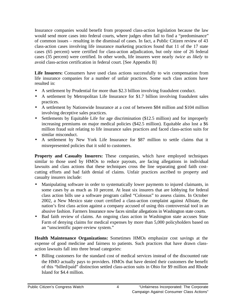Insurance companies would benefit from proposed class-action legislation because the law would send more cases into federal courts, where judges often fail to find a "predominance" of common issues – resulting in the dismissal of cases. In fact, a Public Citizen review of 43 class-action cases involving life insurance marketing practices found that 11 of the 17 state cases (65 percent) were certified for class-action adjudication, but only nine of 26 federal cases (35 percent) were certified. In other words, life insurers were nearly *twice as likely* to avoid class-action certification in federal court. [See Appendix B]

**Life Insurers:** Consumers have used class actions successfully to win compensation from life insurance companies for a number of unfair practices. Some such class actions have resulted in:

- A settlement by Prudential for more than \$2.3 billion involving fraudulent conduct.
- A settlement by Metropolitan Life Insurance for \$1.7 billion involving fraudulent sales practices.
- A settlement by Nationwide Insurance at a cost of between \$84 million and \$104 million involving deceptive sales practices.
- Settlements by Equitable Life for age discrimination (\$12.5 million) and for improperly increasing premiums on major medical policies (\$42.5 million). Equitable also lost a \$6 million fraud suit relating to life insurance sales practices and faced class-action suits for similar misconduct.
- A settlement by New York Life Insurance for \$87 million to settle claims that it misrepresented policies that it sold to customers.

**Property and Casualty Insurers:** These companies, which have employed techniques similar to those used by HMOs to reduce payouts, are facing allegations in individual lawsuits and class actions that these techniques cross the line separating good faith costcutting efforts and bad faith denial of claims. Unfair practices ascribed to property and casualty insurers include:

- Manipulating software in order to systematically lower payments to injured claimants, in some cases by as much as 10 percent. At least six insurers that are lobbying for federal class action bills use a software program called "Colossus" to assess claims. In October 2002, a New Mexico state court certified a class-action complaint against Allstate, the nation's first class action against a company accused of using this controversial tool in an abusive fashion. Farmers Insurance now faces similar allegations in Washington state courts.
- Bad faith review of claims. An ongoing class action in Washington state accuses State Farm of denying claims for medical expenses by more than 5,000 policyholders based on an "unscientific paper-review system."

**Health Maintenance Organizations:** Sometimes HMOs emphasize cost savings at the expense of good medicine and fairness to patients. Such practices that have drawn classaction lawsuits fall into three broad categories:

• Billing customers for the standard cost of medical services instead of the discounted rate the HMO actually pays to providers. HMOs that have denied their customers the benefit of this "billed/paid" distinction settled class-action suits in Ohio for \$9 million and Rhode Island for \$4.4 million.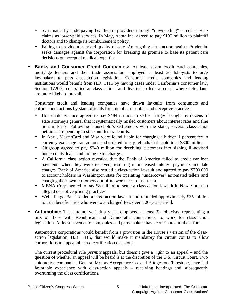- Systematically underpaying health-care providers through "downcoding" reclassifying claims as lower-paid services. In May, Aetna Inc. agreed to pay \$100 million to plaintiff doctors and to change its reimbursement policy.
- Failing to provide a standard quality of care. An ongoing class action against Prudential seeks damages against the corporation for breaking its promise to base its patient care decisions on accepted medical expertise.
- **Banks and Consumer Credit Companies:** At least seven credit card companies, mortgage lenders and their trade association employed at least 36 lobbyists to urge lawmakers to pass class-action legislation. Consumer credit companies and lending institutions would benefit from H.R. 1115 by having cases under California's consumer law, Section 17200, reclassified as class actions and diverted to federal court, where defendants are more likely to prevail.

Consumer credit and lending companies have drawn lawsuits from consumers and enforcement actions by state officials for a number of unfair and deceptive practices:

- Household Finance agreed to pay \$484 million to settle charges brought by dozens of state attorneys general that it systematically misled customers about interest rates and fine print in loans. Following Household's settlements with the states, several class-action petitions are pending in state and federal courts.
- In April, MasterCard and Visa were found liable for charging a hidden 1 percent fee in currency exchange transactions and ordered to pay refunds that could total \$800 million.
- Citigroup agreed to pay \$240 million for deceiving customers into signing ill-advised home equity loans and hiding extra charges.
- A California class action revealed that the Bank of America failed to credit car loan payments when they were received, resulting in increased interest payments and late charges. Bank of America also settled a class-action lawsuit and agreed to pay \$700,000 to account holders in Washington state for operating "undercover" automated tellers and charging their own customers out-of-network fees to use them.
- MBNA Corp. agreed to pay \$8 million to settle a class-action lawsuit in New York that alleged deceptive pricing practices.
- Wells Fargo Bank settled a class-action lawsuit and refunded approximately \$35 million to trust beneficiaries who were overcharged fees over a 20-year period.
- **Automotive:** The automotive industry has employed at least 32 lobbyists, representing a mix of those with Republican and Democratic connections, to work for class-action legislation. At least seven auto companies and parts makers have contributed to the effort.

Automotive corporations would benefit from a provision in the House's version of the classaction legislation, H.R. 1115, that would make it mandatory for circuit courts to allow corporations to appeal all class certification decisions.

The current procedural rule *permits* appeals, but doesn't give a *right* to an appeal – and the question of whether an appeal will be heard is at the discretion of the U.S. Circuit Court. Two automotive companies, General Motors Acceptance Co. and Bridgestone/Firestone, have had favorable experience with class-action appeals – receiving hearings and subsequently overturning the class certifications.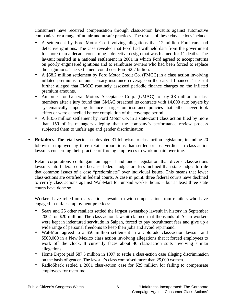Consumers have received compensation through class-action lawsuits against automotive companies for a range of unfair and unsafe practices. The results of these class actions include:

- A settlement by Ford Motor Co. involving allegations that 12 million Ford cars had defective ignitions. The case revealed that Ford had withheld data from the government for more than a decade concerning a defective design that was blamed for 11 deaths. The lawsuit resulted in a national settlement in 2001 in which Ford agreed to accept returns on poorly engineered ignitions and to reimburse owners who had been forced to replace their ignitions. The settlement could cost Ford \$2.7 billion.
- A \$58.2 million settlement by Ford Motor Credit Co. (FMCC) in a class action involving inflated premiums for unnecessary insurance coverage on the cars it financed. The suit further alleged that FMCC routinely assessed periodic finance charges on the inflated premium amounts.
- An order for General Motors Acceptance Corp. (GMAC) to pay \$3 million to class members after a jury found that GMAC breached its contracts with 14,000 auto buyers by systematically imposing finance charges on insurance policies that either never took effect or were cancelled before completion of the coverage period.
- A \$10.6 million settlement by Ford Motor Co. in a state-court class action filed by more than 150 of its managers alleging that the company's performance review process subjected them to unfair age and gender discrimination.
- **Retailers:** The retail sector has devoted 31 lobbyists to class-action legislation, including 20 lobbyists employed by three retail corporations that settled or lost verdicts in class-action lawsuits concerning their practice of forcing employees to work unpaid overtime.

Retail corporations could gain an upper hand under legislation that diverts class-actions lawsuits into federal courts because federal judges are less inclined than state judges to rule that common issues of a case "predominate" over individual issues. This means that fewer class-actions are certified in federal courts. A case in point: three federal courts have declined to certify class actions against Wal-Mart for unpaid worker hours – but at least three state courts have done so.

Workers have relied on class-action lawsuits to win compensation from retailers who have engaged in unfair employment practices:

- Sears and 25 other retailers settled the largest sweatshop lawsuit in history in September 2002 for \$20 million. The class-action lawsuit claimed that thousands of Asian workers were kept in indentured servitude in Saipan, forced to pay recruitment fees and give up a wide range of personal freedoms to keep their jobs and avoid reprimand.
- Wal-Mart agreed to a \$50 million settlement in a Colorado class-action lawsuit and \$500,000 in a New Mexico class action involving allegations that it forced employees to work off the clock. It currently faces about 40 class-action suits involving similar allegations.
- Home Depot paid \$87.5 million in 1997 to settle a class-action case alleging discrimination on the basis of gender. The lawsuit's class comprised more than 25,000 women.
- RadioShack settled a 2001 class-action case for \$29 million for failing to compensate employees for overtime.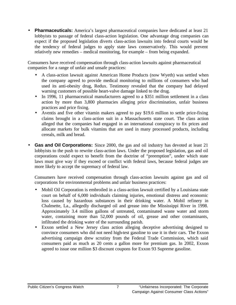• **Pharmaceuticals:** America's largest pharmaceutical companies have dedicated at least 21 lobbyists to passage of federal class-action legislation. One advantage drug companies can expect if the proposed legislation diverts class-action lawsuits into federal courts would be the tendency of federal judges to apply state laws conservatively. This would prevent relatively new remedies – medical monitoring, for example – from being expanded.

Consumers have received compensation through class-action lawsuits against pharmaceutical companies for a range of unfair and unsafe practices:

- A class-action lawsuit against American Home Products (now Wyeth) was settled when the company agreed to provide medical monitoring to millions of consumers who had used its anti-obesity drug, Redux. Testimony revealed that the company had delayed warning customers of possible heart-valve damage linked to the drug.
- In 1996, 11 pharmaceutical manufacturers agreed to a \$351 million settlement in a class action by more than 3,800 pharmacies alleging price discrimination, unfair business practices and price fixing.
- Aventis and five other vitamin makers agreed to pay \$19.6 million to settle price-fixing claims brought in a class-action suit in a Massachusetts state court. The class action alleged that the companies had engaged in an international conspiracy to fix prices and allocate markets for bulk vitamins that are used in many processed products, including cereals, milk and bread.
- **Gas and Oil Corporations:** Since 2000, the gas and oil industry has devoted at least 21 lobbyists to the push to rewrite class-action laws. Under the proposed legislation, gas and oil corporations could expect to benefit from the doctrine of "preemption", under which state laws must give way if they exceed or conflict with federal laws, because federal judges are more likely to accept the supremacy of federal law.

Consumers have received compensation through class-action lawsuits against gas and oil corporations for environmental problems and unfair business practices:

- Mobil Oil Corporation is embroiled in a class-action lawsuit certified by a Louisiana state court on behalf of 6,000 individuals claiming injuries, emotional distress and economic loss caused by hazardous substances in their drinking water. A Mobil refinery in Chalmette, La., allegedly discharged oil and grease into the Mississippi River in 1998. Approximately 3.4 million gallons of untreated, contaminated waste water and storm water, containing more than 52,000 pounds of oil, grease and other contaminants, infiltrated the drinking water of the surrounding parish.
- Exxon settled a New Jersey class action alleging deceptive advertising designed to convince consumers who did not need high-test gasoline to use it in their cars. The Exxon advertising campaign drew scrutiny from the Federal Trade Commission, which said consumers paid as much as 20 cents a gallon more for premium gas. In 2002, Exxon agreed to issue one million \$3 discount coupons for Exxon 93 Supreme gasoline.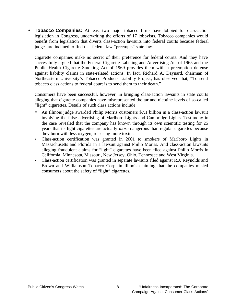• **Tobacco Companies:** At least two major tobacco firms have lobbied for class-action legislation in Congress, underwriting the efforts of 17 lobbyists. Tobacco companies would benefit from legislation that diverts class-action lawsuits into federal courts because federal judges are inclined to find that federal law "preempts" state law.

Cigarette companies make no secret of their preference for federal courts. And they have successfully argued that the Federal Cigarette Labeling and Advertising Act of 1965 and the Public Health Cigarette Smoking Act of 1969 provides them with a preemption defense against liability claims in state-related actions. In fact, Richard A. Daynard, chairman of Northeastern University's Tobacco Products Liability Project, has observed that, "To send tobacco class actions to federal court is to send them to their death."

Consumers have been successful, however, in bringing class-action lawsuits in state courts alleging that cigarette companies have misrepresented the tar and nicotine levels of so-called "light" cigarettes. Details of such class actions include:

- An Illinois judge awarded Philip Morris customers \$7.1 billion in a class-action lawsuit involving the false advertising of Marlboro Lights and Cambridge Lights. Testimony in the case revealed that the company has known through its own scientific testing for 25 years that its light cigarettes are actually *more* dangerous than regular cigarettes because they burn with less oxygen, releasing more toxins.
- Class-action certification was granted in 2001 to smokers of Marlboro Lights in Massachusetts and Florida in a lawsuit against Philip Morris. And class-action lawsuits alleging fraudulent claims for "light" cigarettes have been filed against Philip Morris in California, Minnesota, Missouri, New Jersey, Ohio, Tennessee and West Virginia.
- Class-action certification was granted in separate lawsuits filed against R.J. Reynolds and Brown and Williamson Tobacco Corp. in Illinois claiming that the companies misled consumers about the safety of "light" cigarettes.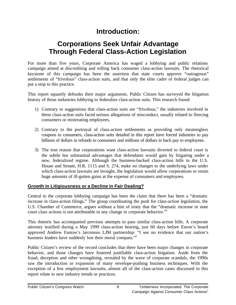# **Introduction:**

# **Corporations Seek Unfair Advantage Through Federal Class-Action Legislation**

For more than five years, Corporate America has waged a lobbying and public relations campaign aimed at discrediting and rolling back consumer class-action lawsuits. The rhetorical keystone of this campaign has been the assertion that state courts approve "outrageous" settlements of "frivolous" class-action suits, and that only the elite cadre of federal judges can put a stop to this practice.

This report squarely debunks their major arguments. Public Citizen has surveyed the litigation history of those industries lobbying to federalize class-action suits. This research found:

- 1) Contrary to suggestions that class-action suits are "frivolous," the industries involved in these class-action suits faced serious allegations of misconduct, usually related to fleecing consumers or mistreating employees.
- 2) Contrary to the portrayal of class-action settlements as providing only meaningless coupons to consumers, class-action suits detailed in this report have forced industries to pay billions of dollars in refunds to consumers and millions of dollars in back pay to employees.
- 3) The true reason that corporations want class-action lawsuits diverted to federal court is the subtle but substantial advantages that defendants would gain by litigating under a new, federalized regime. Although the business-backed class-action bills in the U.S. House and Senate, H.R. 1115 and S. 274, make no changes to the underlying laws under which class-action lawsuits are brought, the legislation would allow corporations to retain huge amounts of ill-gotten gains at the expense of consumers and employees.

#### **Growth in Litigiousness or a Decline in Fair Dealing?**

Central to the corporate lobbying campaign has been the claim that there has been a "dramatic increase in class-action filings." The group coordinating the push for class-action legislation, the U.S. Chamber of Commerce, argues without a hint of irony that the "dramatic increase in state court class actions is not attributable to any change in corporate behavior."

This rhetoric has accompanied previous attempts to pass similar class-action bills. A corporate attorney testified during a May 1999 class-action hearing, just 60 days before Enron's board approved Andrew Fastow's larcenous LJM partnership: "I see no evidence that our nation's business leaders have suddenly lost their moral compass."<sup>2</sup>

Public Citizen's review of the record concludes that there have been major changes in corporate behavior, and those changes have fostered justifiable class-action litigation. Aside from the fraud, deception and other wrongdoing, revealed by the wave of corporate scandals, the 1990s saw the introduction or expansion of many envelope-pushing business techniques. With the exception of a few employment lawsuits, almost all of the class-action cases discussed in this report relate to new industry trends or practices.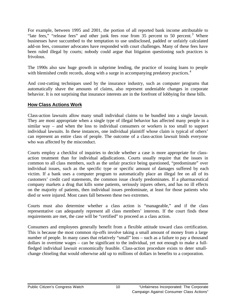For example, between 1995 and 2001, the portion of all reported bank income attributable to "late fees," "release fees" and other junk fees rose from 35 percent to 50 percent.<sup>3</sup> Where businesses have succumbed to the temptation to use undisclosed, padded or unfairly calculated add-on fees, consumer advocates have responded with court challenges. Many of these fees have been ruled illegal by courts; nobody could argue that litigation questioning such practices is frivolous.

The 1990s also saw huge growth in subprime lending, the practice of issuing loans to people with blemished credit records, along with a surge in accompanying predatory practices.<sup>4</sup>

And cost-cutting techniques used by the insurance industry, such as computer programs that automatically shave the amounts of claims, also represent undeniable changes in corporate behavior. It is not surprising that insurance interests are in the forefront of lobbying for these bills.

#### **How Class Actions Work**

Class-action lawsuits allow many small individual claims to be bundled into a single lawsuit. They are most appropriate when a single type of illegal behavior has affected many people in a similar way – and when the loss to individual consumers or workers is too small to support individual lawsuits. In these instances, one individual plaintiff whose claim is typical of others' can represent an entire class of people. The outcome of a class-action lawsuit binds everyone who was affected by the misconduct.

Courts employ a checklist of inquiries to decide whether a case is more appropriate for classaction treatment than for individual adjudications. Courts usually require that the issues in common to all class members, such as the unfair practice being questioned, "predominate" over individual issues, such as the specific type or specific amount of damages suffered by each victim. If a bank uses a computer program to automatically place an illegal fee on all of its customers' credit card statements, the common issue clearly predominates. If a pharmaceutical company markets a drug that kills some patients, seriously injures others, and has no ill effects on the majority of patients, then individual issues predominate, at least for those patients who died or were injured. Most cases fall between these two extremes.

Courts must also determine whether a class action is "manageable," and if the class representative can adequately represent all class members' interests. If the court finds these requirements are met, the case will be "certified" to proceed as a class action.

Consumers and employees generally benefit from a flexible attitude toward class certification. This is because the most common rip-offs involve taking a small amount of money from a large number of people. In many cases that relatively "small" loss – such as a failure to pay a thousand dollars in overtime wages – can be significant to the individual, yet not enough to make a fullfledged individual lawsuit economically feasible. Class-action procedure exists to deter smallchange chiseling that would otherwise add up to millions of dollars in benefits to a corporation.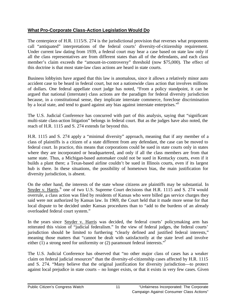#### **What Pro-Corporate Class-Action Legislation Would Do**

The centerpiece of H.R. 1115/S. 274 is the jurisdictional provision that reverses what proponents call "antiquated" interpretations of the federal courts' diversity-of-citizenship requirement. Under current law dating from 1939, a federal court may hear a case based on state law only if all the class representatives are from different states than all of the defendants, and each class member's claim exceeds the "amount-in-controversy" threshold (now \$75,000). The effect of this doctrine is that most state-law class actions are heard in state courts.

Business lobbyists have argued that this law is anomalous, since it allows a relatively minor auto accident case to be heard in federal court, but not a nationwide class action that involves millions of dollars. One federal appellate court judge has noted, "From a policy standpoint, it can be argued that national (interstate) class actions are the paradigm for federal diversity jurisdiction because, in a constitutional sense, they implicate interstate commerce, foreclose discrimination by a local state, and tend to guard against any bias against interstate enterprises."<sup>5</sup>

The U.S. Judicial Conference has concurred with part of this analysis, saying that "significant multi-state class-action litigation" belongs in federal court. But as the judges have also noted, the reach of H.R. 1115 and S. 274 extends far beyond this.

H.R. 1115 and S. 274 apply a "minimal diversity" approach, meaning that if any member of a class of plaintiffs is a citizen of a state different from any defendant, the case can be moved to federal court. In practice, this means that corporations could be sued in state courts only in states where they are incorporated or headquartered, and only if all the class members are from that same state. Thus, a Michigan-based automaker could not be sued in Kentucky courts, even if it builds a plant there; a Texas-based airline couldn't be sued in Illinois courts, even if its largest hub is there. In these situations, the possibility of hometown bias, the main justification for diversity jurisdiction, is absent.

On the other hand, the interests of the state whose citizens are plaintiffs may be substantial. In Snyder v. Harris,<sup>6</sup> one of two U.S. Supreme Court decisions that H.R. 1115 and S. 274 would overrule, a class action was filed by residents of Kansas who were billed gas service charges they said were not authorized by Kansas law. In 1969, the Court held that it made more sense for that local dispute to be decided under Kansas procedures than to "add to the burdens of an already overloaded federal court system."

In the years since Snyder v. Harris was decided, the federal courts' policymaking arm has reiterated this vision of "judicial federalism." In the view of federal judges, the federal courts' jurisdiction should be limited to furthering "clearly defined and justified federal interests," meaning those matters that "cannot be dealt with satisfactorily at the state level and involve either (1) a strong need for uniformity or (2) paramount federal interests."<sup>7</sup>

The U.S. Judicial Conference has observed that "no other major class of cases has a weaker claim on federal judicial resources" than the diversity-of-citizenship cases affected by H.R. 1115 and S. 274. "Many believe that the original justification for diversity jurisdiction—to protect against local prejudice in state courts – no longer exists, or that it exists in very few cases. Given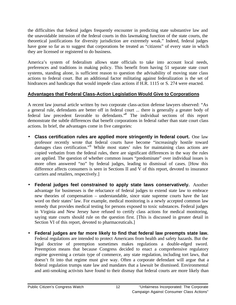the difficulties that federal judges frequently encounter in predicting state substantive law and the unavoidable intrusion of the federal courts in this lawmaking function of the state courts, the theoretical justifications for diversity jurisdiction are extremely weak." Indeed, federal judges have gone so far as to suggest that corporations be treated as "citizens" of every state in which they are licensed or registered to do business.

America's system of federalism allows state officials to take into account local needs, preferences and traditions in making policy. This benefit from having 51 separate state court systems, standing alone, is sufficient reason to question the advisability of moving state class actions to federal court. But an additional factor militating against federalization is the set of hindrances and handicaps that would impede class actions if H.R. 1115 or S. 274 were enacted.

#### **Advantages that Federal Class-Action Legislation Would Give to Corporations**

A recent law journal article written by two corporate class-action defense lawyers observed: "As a general rule, defendants are better off in federal court ... there is generally a greater body of federal law precedent favorable to defendants."<sup>8</sup> The individual sections of this report demonstrate the subtle differences that benefit corporations in federal rather than state court class actions. In brief, the advantages come in five categories:

- **Class certification rules are applied more stringently in federal court.** One law professor recently wrote that federal courts have become "increasingly hostile toward damages class certification."<sup>9</sup> While most states' rules for maintaining class actions are copied verbatim from the federal rules, there are significant differences in the way the rules are applied. The question of whether common issues "predominate" over individual issues is more often answered "no" by federal judges, leading to dismissal of cases. [How this difference affects consumers is seen in Sections II and V of this report, devoted to insurance carriers and retailers, respectively.]
- **Federal judges feel constrained to apply state laws conservatively.** Another advantage for businesses is the reluctance of federal judges to extend state law to embrace new theories of compensation – understandable, since state supreme courts have the last word on their states' law. For example, medical monitoring is a newly accepted common law remedy that provides medical testing for persons exposed to toxic substances. Federal judges in Virginia and New Jersey have refused to certify class actions for medical monitoring, saying state courts should rule on the question first. [This is discussed in greater detail in Section VI of this report, devoted to pharmaceuticals.]
- **Federal judges are far more likely to find that federal law preempts state law.** Federal regulations are intended to protect Americans from health and safety hazards. But the legal doctrine of preemption sometimes makes regulations a double-edged sword. Preemption means that because Congress decided to enact a comprehensive regulatory regime governing a certain type of commerce, any state regulation, including tort laws, that doesn't fit into that regime must give way. Often a corporate defendant will argue that a federal regulation trumps state law and mandates that a lawsuit be dismissed. Environmental and anti-smoking activists have found to their dismay that federal courts are more likely than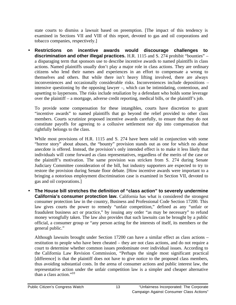state courts to dismiss a lawsuit based on preemption. [The impact of this tendency is examined in Sections VII and VIII of this report, devoted to gas and oil corporations and tobacco companies, respectively.]

• **Restrictions on incentive awards would discourage challenges to discrimination and other illegal practices.** H.R. 1115 and S. 274 prohibit "bounties" – a disparaging term that sponsors use to describe incentive awards to named plaintiffs in class actions. Named plaintiffs usually don't play a major role in class actions. They are ordinary citizens who lend their names and experiences in an effort to compensate a wrong to themselves and others. But while there isn't heavy lifting involved, there are always inconveniences and occasionally considerable risks. Inconveniences include depositions – intensive questioning by the opposing lawyer –, which can be intimidating, contentious, and upsetting to laypersons. The risks include retaliation by a defendant who holds some leverage over the plaintiff – a mortgage, adverse credit reporting, medical bills, or the plaintiff's job.

To provide some compensation for these intangibles, courts have discretion to grant "incentive awards" to named plaintiffs that go beyond the relief provided to other class members. Courts scrutinize proposed incentive awards carefully, to ensure that they do not constitute payoffs for agreeing to a collusive settlement nor dip into compensation that rightfully belongs to the class.

While most provisions of H.R. 1115 and S. 274 have been sold in conjunction with some "horror story" about abuses, the "bounty" provision stands out as one for which no abuse anecdote is offered. Instead, the provision's only intended effect is to make it less likely that individuals will come forward as class representatives, regardless of the merits of the case or the plaintiff's motivation. The same provision was stricken from S. 274 during Senate Judiciary Committee consideration of the bill, but industry supporters are expected to try to restore the provision during Senate floor debate. [How incentive awards were important to a bringing a notorious employment discrimination case is examined in Section VII, devoted to gas and oil corporations.]

• **The House bill stretches the definition of "class action" to severely undermine California's consumer protection law.** California has what is considered the strongest consumer protection law in the country, Business and Professional Code Section 17200. This law gives courts the power to remedy "unfair competition," defined as any "unfair or fraudulent business act or practice," by issuing any order "as may be necessary" to refund money wrongfully taken. The law also provides that such lawsuits can be brought by a public official, a consumer group or "any person acting for the interests of itself, its members or the general public."

Although lawsuits brought under Section 17200 can have a similar effect as class actions – restitution to people who have been cheated – they are not class actions, and do not require a court to determine whether common issues predominate over individual issues. According to the California Law Revision Commission, "Perhaps the single most significant practical [difference] is that the plaintiff does not have to give notice to the proposed class members, thus avoiding substantial costs. In the arena of consumer actions and public interest law, the representative action under the unfair competition law is a simpler and cheaper alternative than a class action."<sup>10</sup>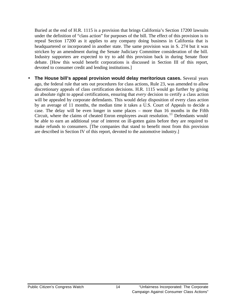Buried at the end of H.R. 1115 is a provision that brings California's Section 17200 lawsuits under the definition of "class action" for purposes of the bill. The effect of this provision is to repeal Section 17200 as it applies to any company doing business in California that is headquartered or incorporated in another state. The same provision was in S. 274 but it was stricken by an amendment during the Senate Judiciary Committee consideration of the bill. Industry supporters are expected to try to add this provision back in during Senate floor debate. [How this would benefit corporations is discussed in Section III of this report, devoted to consumer credit and lending institutions.]

• **The House bill's appeal provision would delay meritorious cases.** Several years ago, the federal rule that sets out procedures for class actions, Rule 23, was amended to allow discretionary appeals of class certification decisions. H.R. 1115 would go further by giving an absolute right to appeal certifications, ensuring that *every* decision to certify a class action will be appealed by corporate defendants. This would delay disposition of every class action by an average of 11 months, the median time it takes a U.S. Court of Appeals to decide a case. The delay will be even longer in some places – more than 16 months in the Fifth Circuit, where the claims of cheated Enron employees await resolution.<sup>11</sup> Defendants would be able to earn an additional year of interest on ill-gotten gains before they are required to make refunds to consumers. [The companies that stand to benefit most from this provision are described in Section IV of this report, devoted to the automotive industry.]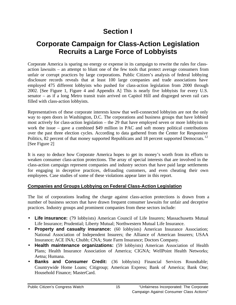# **Section I**

# **Corporate Campaign for Class-Action Legislation Recruits a Large Force of Lobbyists**

Corporate America is sparing no energy or expense in its campaign to rewrite the rules for classaction lawsuits – an attempt to blunt one of the few tools that protect average consumers from unfair or corrupt practices by large corporations. Public Citizen's analysis of federal lobbying disclosure records reveals that at least 100 large companies and trade associations have employed 475 different lobbyists who pushed for class-action legislation from 2000 through 2002. [See Figure 1, Figure 4 and Appendix A] This is nearly five lobbyists for every U.S. senator – as if a long Metro transit train arrived on Capitol Hill and disgorged seven rail cars filled with class-action lobbyists.

Representatives of these corporate interests know that well-connected lobbyists are not the only way to open doors in Washington, D.C. The corporations and business groups that have lobbied most actively for class-action legislation – the 29 that have employed seven or more lobbyists to work the issue – gave a combined \$49 million in PAC and soft money political contributions over the past three election cycles. According to data gathered from the Center for Responsive Politics, 82 percent of that money supported Republicans and 18 percent supported Democrats.<sup>12</sup> [See Figure 2]

It is easy to deduce how Corporate America hopes to get its money's worth from its efforts to weaken consumer class-action protections. The array of special interests that are involved in the class-action campaign represent companies and industry sectors that have paid large settlements for engaging in deceptive practices, defrauding customers, and even cheating their own employees. Case studies of some of these violations appear later in this report.

#### **Companies and Groups Lobbying on Federal Class-Action Legislation**

The list of corporations leading the charge against class-action protections is drawn from a number of business sectors that have drawn frequent consumer lawsuits for unfair and deceptive practices. Industry groups and prominent companies from these sectors include:

- Life insurance: (79 lobbyists) American Council of Life Insurers; Massachusetts Mutual Life Insurance; Prudential; Liberty Mutual; Northwestern Mutual Life Insurance.
- **Property and casualty insurance:** (60 lobbyists) American Insurance Association; National Association of Independent Insurers; the Alliance of American Insurers; USAA Insurance; ACE INA; Chubb; CNA; State Farm Insurance; Doctors Company.
- **Health maintenance organizations:** (59 lobbyists) American Association of Health Plans; Health Insurance Association of America; CIGNA; WellPoint Health Networks; Aetna; Humana.
- **Banks and Consumer Credit:** (36 lobbyists) Financial Services Roundtable; Countrywide Home Loans; Citigroup; American Express; Bank of America; Bank One; Household Finance; MasterCard.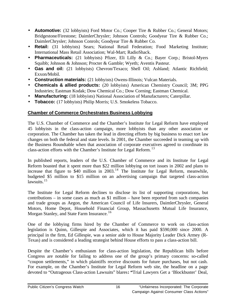- **Automotive:** (32 lobbyists) Ford Motor Co.; Cooper Tire & Rubber Co.; General Motors; Bridgestone/Firestone; DaimlerChrysler; Johnson Controls; Goodyear Tire & Rubber Co.; DaimlerChrysler; Johnson Conrols; Goodyear Tire & Rubber Co.
- **Retail:** (31 lobbyists) Sears; National Retail Federation; Food Marketing Institute; International Mass Retail Association; Wal-Mart; RadioShack.
- **Pharmaceuticals:** (21 lobbyists) Pfizer, Eli Lilly & Co.; Bayer Corp.; Bristol-Myers Squibb; Johnson & Johnson; Procter & Gamble; Wyeth; Aventis Pasteur.
- **Gas and oil:** (21 lobbyists) Chevron/Texaco; Shell Oil; Ashland; Atlantic Richfield; Exxon/Mobil.
- **Construction materials:** (21 lobbyists) Owens-Illinois; Vulcan Materials.
- **Chemicals & allied products:** (20 lobbyists) American Chemistry Council; 3M; PPG Industries; Eastman Kodak; Dow Chemical Co.; Dow Corning; Eastman Chemical.
- **Manufacturing:** (18 lobbyists) National Association of Manufacturers; Caterpillar.
- **Tobacco:** (17 lobbyists) Philip Morris; U.S. Smokeless Tobacco.

#### **Chamber of Commerce Orchestrates Business Lobbying**

The U.S. Chamber of Commerce and the Chamber's Institute for Legal Reform have employed 45 lobbyists in the class-action campaign, more lobbyists than any other association or corporation. The Chamber has taken the lead in directing efforts by big business to enact tort law changes on both the federal and state levels. In 2001, the Chamber succeeded in teaming up with the Business Roundtable when that association of corporate executives agreed to coordinate its class-action efforts with the Chamber's Institute for Legal Reform.<sup>13</sup>

In published reports, leaders of the U.S. Chamber of Commerce and its Institute for Legal Reform boasted that it spent more than \$22 million lobbying on tort issues in 2002 and plans to increase that figure to  $$40$  million in 2003.<sup>14</sup> The Institute for Legal Reform, meanwhile, budgeted \$5 million to \$15 million on an advertising campaign that targeted class-action lawsuits. $15$ 

The Institute for Legal Reform declines to disclose its list of supporting corporations, but contributions – in some cases as much as \$1 million – have been reported from such companies and trade groups as Aegon, the American Council of Life Insurers, DaimlerChrysler, General Motors, Home Depot, Household Financial Group, Massachusetts Mutual Life Insurance, Morgan Stanley, and State Farm Insurance.<sup>16</sup>

One of the lobbying firms hired by the Chamber of Commerce to work on class-action legislation is Quinn, Gillespie and Associates, which it has paid \$590,000 since 2000. A principal in the firm, Ed Gillespie, was a senior aide to House Majority Leader Dick Armey (R-Texas) and is considered a leading strategist behind House efforts to pass a class-action bill.

Despite the Chamber's enthusiasm for class-action legislation, the Republican bills before Congress are notable for failing to address one of the group's primary concerns: so-called "coupon settlements," in which plaintiffs receive discounts for future purchases, but not cash. For example, on the Chamber's Institute for Legal Reform web site, the headline on a page devoted to "Outrageous Class-action Lawsuits" blares**: "**Trial Lawyers Get a 'Blockbuster' Deal,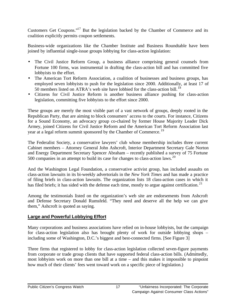Customers Get Coupons."<sup>17</sup> But the legislation backed by the Chamber of Commerce and its coalition explicitly permits coupon settlements.

Business-wide organizations like the Chamber Institute and Business Roundtable have been joined by influential single-issue groups lobbying for class-action legislation:

- The Civil Justice Reform Group, a business alliance comprising general counsels from Fortune 100 firms, was instrumental in drafting the class-action bill and has committed five lobbyists to the effort.
- The American Tort Reform Association, a coalition of businesses and business groups, has employed seven lobbyists to push for the legislation since 2000. Additionally, at least 17 of 50 members listed on ATRA's web site have lobbied for the class-action bill.<sup>18</sup>
- Citizens for Civil Justice Reform is another business alliance pushing for class-action legislation, committing five lobbyists to the effort since 2000.

These groups are merely the most visible part of a vast network of groups, deeply rooted in the Republican Party, that are aiming to block consumers' access to the courts. For instance, Citizens for a Sound Economy, an advocacy group co-chaired by former House Majority Leader Dick Armey, joined Citizens for Civil Justice Reform and the American Tort Reform Association last year at a legal reform summit sponsored by the Chamber of Commerce.<sup>19</sup>

The Federalist Society, a conservative lawyers' club whose membership includes three current Cabinet members – Attorney General John Ashcroft, Interior Department Secretary Gale Norton and Energy Department Secretary Spencer Abraham – recently published a survey of 75 Fortune 500 companies in an attempt to build its case for changes to class-action laws.<sup>20</sup>

And the Washington Legal Foundation, a conservative activist group, has included assaults on class-action lawsuits in its bi-weekly advertorials in the *New York Times* and has made a practice of filing briefs in class-action lawsuits. The organization lists 18 class-action cases in which it has filed briefs; it has sided with the defense each time, mostly to argue against certification.<sup>21</sup>

Among the testimonials listed on the organization's web site are endorsements from Ashcroft and Defense Secretary Donald Rumsfeld. "They need and deserve all the help we can give them," Ashcroft is quoted as saying.

#### **Large and Powerful Lobbying Effort**

Many corporations and business associations have relied on in-house lobbyists, but the campaign for class-action legislation also has brought plenty of work for outside lobbying shops – including some of Washington, D.C.'s biggest and best-connected firms. [See Figure 3]

Three firms that registered to lobby for class-action legislation collected seven-figure payments from corporate or trade group clients that have supported federal class-action bills. (Admittedly, most lobbyists work on more than one bill at a time – and this makes it impossible to pinpoint how much of their clients' fees went toward work on a specific piece of legislation.)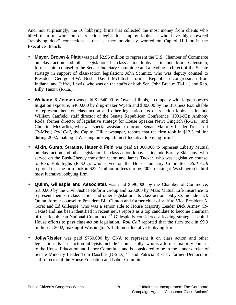And, not surprisingly, the 10 lobbying firms that collected the most money from clients who hired them to work on class-action legislation employ lobbyists who have high-powered "revolving door" connections – that is, they previously worked on Capitol Hill or in the Executive Branch.

- **Mayer, Brown & Platt** was paid \$2.96 million to represent the U.S. Chamber of Commerce on class action and other legislation. Its class-action lobbyists include Mark Gitenstein, former chief counsel to the Senate Judiciary Committee and a leading architect of the Senate strategy in support of class-action legislation; John Schmitz, who was deputy counsel to President George H.W. Bush; David McIntosh, former Republican congressman from Indiana; and Jeffrey Lewis, who was on the staffs of both Sen. John Breaux (D-La.) and Rep. Billy Tauzin (R-La.).
- **Williams & Jensen** was paid \$1,640,00 by Owens-Illinois, a company with large asbestos litigation exposure; \$400,000 by drug-maker Wyeth and \$80,000 by the Business Roundtable to represent them on class action and other legislation. Its class-action lobbyists include William Canfield, staff director of the Senate Republican Conference (1991-93); Anthony Roda, former director of legislative strategy for House Speaker Newt Gingrich (R-Ga.); and Christine McCarlies, who was special assistant to former Senate Majority Leader Trent Lott (R-Miss.) *Roll Call*, the Capitol Hill newspaper, reports that the firm took in \$12.3 million during 2002, making it Washington's eighth most lucrative lobbying firm.<sup>22</sup>
- **Aikin, Gump, Strauss, Hauer & Feld** was paid \$1,060,000 to represent Liberty Mutual on class action and other legislation. Its class-action lobbyists include Barney Skladany, who served on the Bush-Cheney transition team; and James Tucker, who was legislative counsel to Rep. Bob Inglis (R-S.C.), who served on the House Judiciary Committee. *Roll Call* reported that the firm took in \$22.2 million in fees during 2002, making it Washington's third most lucrative lobbying firm.
- **Quinn, Gillespie and Associates** was paid \$590,000 by the Chamber of Commerce, \$180,000 by the Civil Justice Reform Group and \$20,000 by Mass Mutual Life Insurance to represent them on class action and other legislation. Its class-action lobbyists include Jack Quinn, former counsel to President Bill Clinton and former chief of staff to Vice President Al Gore; and Ed Gillespie, who was a senior aide to House Majority Leader Dick Armey (R-Texas) and has been identified in recent news reports as a top candidate to become chairman of the Republican National Committee.<sup>23</sup> Gillespie is considered a leading strategist behind House efforts to pass class-action legislation. *Roll Call* reported that the firm took in \$9.9 million in 2002, making it Washington's 12th most lucrative lobbying firm.
- **Jolly/Rissler** was paid \$760,000 by CNA to represent it on class action and other legislation. Its class-action lobbyists include Thomas Jolly, who is a former majority counsel to the House Education and Labor Committee and is considered to be in the "inner circle" of Senate Minority Leader Tom Daschle  $(D-S.D.);^{24}$  and Patricia Rissler, former Democratic staff director of the House Education and Labor Committee.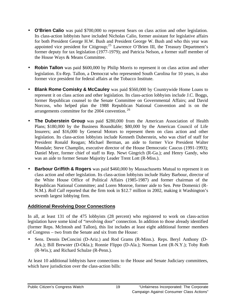- **O'Brien Calio** was paid \$700,000 to represent Sears on class action and other legislation. Its class-action lobbyists have included Nicholas Calio, former assistant for legislative affairs for both President George H.W. Bush and President George W. Bush and who this year was appointed vice president for Citigroup;<sup>25</sup> Lawrence O'Brien III, the Treasury Department's former deputy for tax legislation (1977-1979); and Patricia Nelson, a former staff member of the House Ways & Means Committee.
- **Robin Tallon** was paid \$600,000 by Philip Morris to represent it on class action and other legislation. Ex-Rep. Tallon, a Democrat who represented South Carolina for 10 years, is also former vice president for federal affairs at the Tobacco Institute.
- **Blank Rome Comisky & McCauley** was paid \$560,000 by Countrywide Home Loans to represent it on class action and other legislation. Its class-action lobbyists include J.C. Boggs, former Republican counsel to the Senate Committee on Governmental Affairs; and David Norcoss, who helped plan the 1988 Republican National Convention and is on the arrangements committee for the 2004 convention.<sup>26</sup>
- **The Duberstein Group** was paid \$280,000 from the American Association of Health Plans; \$180,000 by the Business Roundtable; \$80,000 by the American Council of Life Insurers; and \$16,000 by General Motors to represent them on class action and other legislation. Its class-action lobbyists include Kenneth Duberstein, who was chief of staff for President Ronald Reagan; Michael Berman, an aide to former Vice President Walter Mondale; Steve Champlin, executive director of the House Democratic Caucus (1991-1993); Daniel Myer, former chief of staff to Rep. Newt Gingrich (R-Ga.); and Henry Gandy, who was an aide to former Senate Majority Leader Trent Lott (R-Miss.).
- **Barbour Griffith & Rogers** was paid \$460,000 by Massachusetts Mutual to represent it on class action and other legislation. Its class-action lobbyists include Haley Barbour, director of the White House Office of Political Affairs (1985-1987) and former chairman of the Republican National Committee; and Loren Monroe, former aide to Sen. Pete Domenici (R-N.M.). *Roll Call* reported that the firm took in \$12.7 million in 2002, making it Washington's seventh largest lobbying firm.

#### **Additional Revolving Door Connections**

In all, at least 131 of the 475 lobbyists (28 percent) who registered to work on class-action legislation have some kind of "revolving door" connection. In addition to those already identified (former Reps. McIntosh and Tallon), this list includes at least eight additional former members of Congress – two from the Senate and six from the House:

• Sens. Dennis DeConcini (D-Ariz.) and Rod Grams (R-Minn.). Reps. Beryl Anthony (D-Ark.); Bill Brewster (D-Okla.); Ronnie Flippo (D-Ala.); Norman Lent (R-N.Y.); Toby Roth (R-Wis.); and Richard Schulze (R-Penn.).

At least 10 additional lobbyists have connections to the House and Senate Judiciary committees, which have jurisdiction over the class-action bills: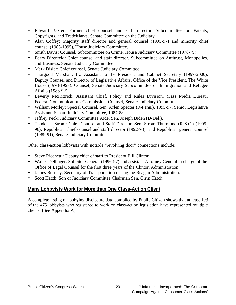- Edward Baxter: Former chief counsel and staff director, Subcommittee on Patents, Copyrights, and TradeMarks, Senate Committee on the Judiciary.
- Alan Coffey: Majority staff director and general counsel (1995-97) and minority chief counsel (1983-1995), House Judiciary Committee.
- Smith Davis: Counsel, Subcommittee on Crime, House Judiciary Committee (1978-79).
- Barry Direnfeld: Chief counsel and staff director, Subcommittee on Antitrust, Monopolies, and Business, Senate Judiciary Committee.
- Mark Disler: Chief counsel, Senate Judiciary Committee.
- Thurgood Marshall, Jr.: Assistant to the President and Cabinet Secretary (1997-2000). Deputy Counsel and Director of Legislative Affairs, Office of the Vice President, The White House (1993-1997). Counsel, Senate Judiciary Subcommittee on Immigration and Refugee Affairs (1988-92).
- Beverly McKittrick: Assistant Chief, Policy and Rules Division, Mass Media Bureau, Federal Communications Commission. Counsel, Senate Judiciary Committee.
- William Morley: Special Counsel, Sen. Arlen Specter (R-Penn.), 1995-97. Senior Legislative Assistant, Senate Judiciary Committee, 1987-88.
- Jeffrey Peck: Judiciary Committee Aide, Sen. Joseph Biden (D-Del.).
- Thaddeus Strom: Chief Counsel and Staff Director, Sen. Strom Thurmond (R-S.C.) (1995-96); Republican chief counsel and staff director (1992-93); and Republican general counsel (1989-91), Senate Judiciary Committee.

Other class-action lobbyists with notable "revolving door" connections include:

- Steve Ricchetti: Deputy chief of staff to President Bill Clinton.
- Walter Dellinger: Solicitor General (1996-97) and assistant Attorney General in charge of the Office of Legal Counsel for the first three years of the Clinton Administration.
- James Burnley, Secretary of Transportation during the Reagan Administration.
- Scott Hatch: Son of Judiciary Committee Chairman Sen. Orrin Hatch.

#### **Many Lobbyists Work for More than One Class-Action Client**

A complete listing of lobbying disclosure data compiled by Public Citizen shows that at least 193 of the 475 lobbyists who registered to work on class-action legislation have represented multiple clients. [See Appendix A]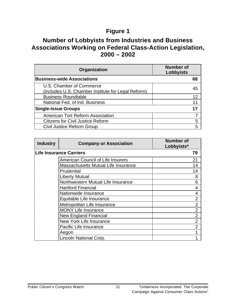# **Figure 1**

## **Number of Lobbyists from Industries and Business Associations Working on Federal Class-Action Legislation, 2000 – 2002**

| Organization                                                                   | <b>Number of</b><br><b>Lobbyists</b> |
|--------------------------------------------------------------------------------|--------------------------------------|
| <b>Business-wide Associations</b>                                              |                                      |
| U.S. Chamber of Commerce<br>(includes U.S. Chamber Institute for Legal Reform) |                                      |
| <b>Business Roundtable</b>                                                     | 12                                   |
| National Fed. of Ind. Business                                                 |                                      |
| <b>Single-Issue Groups</b>                                                     |                                      |
| American Tort Reform Association                                               |                                      |
| <b>Citizens for Civil Justice Reform</b>                                       | 5                                    |
| Civil Justice Reform Group                                                     |                                      |

| <b>Industry</b> | <b>Company or Association</b>            | <b>Number of</b><br>Lobbyists* |
|-----------------|------------------------------------------|--------------------------------|
|                 | Life Insurance Carriers                  | 79                             |
|                 | <b>American Council of Life Insurers</b> | 21                             |
|                 | Massachusetts Mutual Life Insurance      | 14                             |
|                 | Prudential                               | 14                             |
|                 | <b>Liberty Mutual</b>                    | 8                              |
|                 | Northwestern Mutual Life Insurance       | 6                              |
|                 | <b>Hartford Financial</b>                | 4                              |
|                 | Nationwide Insurance                     | 4                              |
|                 | Equitable Life Insurance                 | $\overline{2}$                 |
|                 | Metropolitan Life Insurance              | $\overline{2}$                 |
|                 | <b>MONY Life Insurance</b>               | $\overline{2}$                 |
|                 | <b>New England Financial</b>             | $\overline{2}$                 |
|                 | New York Life Insurance                  | $\overline{2}$                 |
|                 | <b>Pacific Life Insurance</b>            | $\overline{2}$                 |
|                 | Aegon                                    |                                |
|                 | Lincoln National Corp.                   |                                |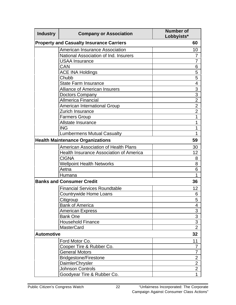| <b>Industry</b>   | <b>Company or Association</b>                   | <b>Number of</b><br>Lobbyists* |
|-------------------|-------------------------------------------------|--------------------------------|
|                   | <b>Property and Casualty Insurance Carriers</b> | 60                             |
|                   | American Insurance Association                  | 10                             |
|                   | National Association of Ind. Insurers           | 7                              |
|                   | <b>USAA Insurance</b>                           | 7                              |
|                   | CAN                                             | 6                              |
|                   | <b>ACE INA Holdings</b>                         | 5                              |
|                   | Chubb                                           | 5                              |
|                   | <b>State Farm Insurance</b>                     | 4                              |
|                   | <b>Alliance of American Insurers</b>            | 3                              |
|                   | Doctors Company                                 | 3                              |
|                   | <b>Allmerica Financial</b>                      | $\overline{2}$                 |
|                   | <b>American International Group</b>             | $\overline{2}$                 |
|                   | <b>Zurich Insurance</b>                         | $\overline{2}$                 |
|                   | <b>Farmers Group</b>                            | 1                              |
|                   | Allstate Insurance                              | 1                              |
|                   | <b>ING</b>                                      | 1                              |
|                   | <b>Lumbermens Mutual Casualty</b>               | 1                              |
|                   | <b>Health Maintenance Organizations</b>         | 59                             |
|                   | <b>American Association of Health Plans</b>     | 30                             |
|                   | <b>Health Insurance Association of America</b>  | 12                             |
|                   | <b>CIGNA</b>                                    | 8                              |
|                   | <b>Wellpoint Health Networks</b>                | 8                              |
|                   | Aetna                                           | 6                              |
|                   | Humana                                          | 1                              |
|                   | <b>Banks and Consumer Credit</b>                | 36                             |
|                   | <b>Financial Services Roundtable</b>            | 12                             |
|                   | <b>Countrywide Home Loans</b>                   | 6                              |
|                   | Citigroup                                       | 5<br>ັ                         |
|                   | <b>Bank of America</b>                          | 4                              |
|                   | <b>American Express</b>                         | 3                              |
|                   | <b>Bank One</b>                                 | 3                              |
|                   | <b>Household Finance</b>                        | 3                              |
|                   | <b>MasterCard</b>                               | $\overline{2}$                 |
| <b>Automotive</b> |                                                 | 32                             |
|                   | Ford Motor Co.                                  | 11                             |
|                   | Cooper Tire & Rubber Co.                        | 7                              |
|                   | <b>General Motors</b>                           | 7                              |
|                   | <b>Bridgestone/Firestone</b>                    | $\overline{2}$                 |
|                   | <b>DaimlerChrysler</b>                          | $\overline{2}$                 |
|                   | <b>Johnson Controls</b>                         | $\overline{2}$                 |
|                   | Goodyear Tire & Rubber Co.                      | $\mathbf{1}$                   |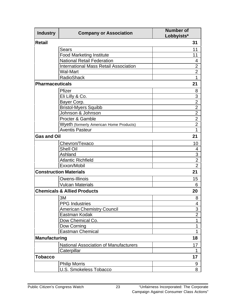| <b>Industry</b>        | <b>Company or Association</b>                | <b>Number of</b><br>Lobbyists* |
|------------------------|----------------------------------------------|--------------------------------|
| <b>Retail</b>          |                                              | 31                             |
|                        | <b>Sears</b>                                 | 11                             |
|                        | <b>Food Marketing Institute</b>              | 11                             |
|                        | <b>National Retail Federation</b>            | 4                              |
|                        | <b>International Mass Retail Association</b> | $\overline{2}$                 |
|                        | Wal-Mart                                     | $\overline{2}$                 |
|                        | <b>RadioShack</b>                            | 1                              |
| <b>Pharmaceuticals</b> |                                              | 21                             |
|                        | Pfizer                                       | 8                              |
|                        | Eli Lilly & Co.                              | 3                              |
|                        | Bayer Corp.                                  | $\overline{2}$                 |
|                        | <b>Bristol-Myers Squibb</b>                  | $\overline{2}$                 |
|                        | Johnson & Johnson                            | $\overline{2}$                 |
|                        | Procter & Gamble                             | $\overline{2}$                 |
|                        | Wyeth (formerly American Home Products)      | $\overline{2}$                 |
|                        | <b>Aventis Pasteur</b>                       | 1                              |
| <b>Gas and Oil</b>     |                                              | 21                             |
|                        | Chevron/Texaco                               | 10                             |
|                        | <b>Shell Oil</b>                             | 4                              |
|                        | Ashland                                      | 3                              |
|                        | <b>Atlantic Richfield</b>                    | $\overline{2}$                 |
|                        | Exxon/Mobil                                  | $\overline{2}$                 |
|                        | <b>Construction Materials</b>                | 21                             |
|                        | Owens-Illinois                               | 15                             |
|                        | <b>Vulcan Materials</b>                      | 6                              |
|                        | <b>Chemicals &amp; Allied Products</b>       | 20                             |
|                        | 3M                                           | 8                              |
|                        | <b>PPG</b> Industries                        | 4                              |
|                        | <b>American Chemistry Council</b>            | 3                              |
|                        | Eastman Kodak                                | $\overline{2}$                 |
|                        | Dow Chemical Co.                             | 1                              |
|                        | Dow Corning                                  | 1                              |
|                        | <b>Eastman Chemical</b>                      | 1                              |
| <b>Manufacturing</b>   |                                              | 18                             |
|                        | <b>National Association of Manufacturers</b> | 17                             |
|                        | Caterpillar                                  | 1                              |
| <b>Tobacco</b>         |                                              | 17                             |
|                        | <b>Philip Morris</b>                         | 9                              |
|                        | U.S. Smokeless Tobacco                       | 8                              |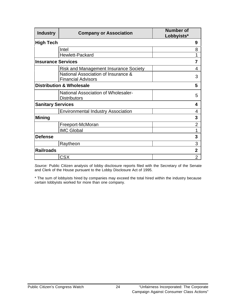| <b>Industry</b>           | <b>Company or Association</b>                                    | <b>Number of</b><br>Lobbyists* |
|---------------------------|------------------------------------------------------------------|--------------------------------|
| <b>High Tech</b>          |                                                                  | 9                              |
|                           | Intel                                                            | 8                              |
|                           | Hewlett-Packard                                                  | 1                              |
| <b>Insurance Services</b> |                                                                  | 7                              |
|                           | <b>Risk and Management Insurance Society</b>                     | 4                              |
|                           | National Association of Insurance &<br><b>Financial Advisors</b> | 3                              |
|                           | <b>Distribution &amp; Wholesale</b>                              | 5                              |
|                           | National Association of Wholesaler-<br><b>Distributors</b>       | 5                              |
| <b>Sanitary Services</b>  |                                                                  | 4                              |
|                           | <b>Environmental Industry Association</b>                        | 4                              |
| <b>Mining</b>             |                                                                  | 3                              |
|                           | Freeport-McMoran                                                 | $\overline{2}$                 |
|                           | <b>IMC Global</b>                                                | 1                              |
| <b>Defense</b>            |                                                                  | 3                              |
|                           | Raytheon                                                         | 3                              |
| <b>Railroads</b>          |                                                                  | $\overline{2}$                 |
|                           | <b>CSX</b>                                                       | $\overline{2}$                 |

*Source:* Public Citizen analysis of lobby disclosure reports filed with the Secretary of the Senate and Clerk of the House pursuant to the Lobby Disclosure Act of 1995.

\* The sum of lobbyists hired by companies may exceed the total hired within the industry because certain lobbyists worked for more than one company.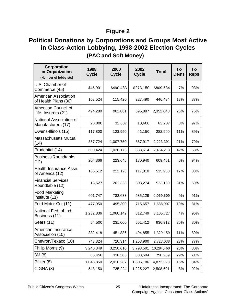## **Figure 2**

# **Political Donations by Corporations and Groups Most Active in Class-Action Lobbying, 1998-2002 Election Cycles (PAC and Soft Money)**

| Corporation<br>or Organization<br>(Number of lobbyists) | 1998<br><b>Cycle</b> | 2000<br><b>Cycle</b> | 2002<br><b>Cycle</b> | <b>Total</b> | To<br><b>Dems</b> | To<br><b>Reps</b> |
|---------------------------------------------------------|----------------------|----------------------|----------------------|--------------|-------------------|-------------------|
| U.S. Chamber of<br>Commerce (45)                        | \$45,901             | \$490,483            | \$273,150            | \$809,534    | 7%                | 93%               |
| <b>American Association</b><br>of Health Plans (30)     | 103,524              | 115,420              | 227,490              | 446,434      | 13%               | 87%               |
| American Council of<br>Life Insurers (21)               | 494,280              | 961,881              | 895,887              | 2,352,048    | 25%               | 75%               |
| National Association of<br>Manufacturers (17)           | 20,000               | 32,607               | 10,600               | 63,207       | 3%                | 97%               |
| Owens-Illinois (15)                                     | 117,800              | 123,950              | 41,150               | 282,900      | 11%               | 89%               |
| <b>Massachusetts Mutual</b><br>(14)                     | 357,724              | 1,007,750            | 857,917              | 2,223,391    | 21%               | 79%               |
| Prudential (14)                                         | 600,424              | 1,020,175            | 833,614              | 2,454,213    | 42%               | 58%               |
| <b>Business Roundtable</b><br>(12)                      | 204,866              | 223,645              | 180,940              | 609,451      | 6%                | 94%               |
| Health Insurance Assn.<br>of America (12)               | 186,512              | 212,128              | 117,310              | 515,950      | 17%               | 83%               |
| <b>Financial Services</b><br>Roundtable (12)            | 18,527               | 201,338              | 303,274              | 523,139      | 31%               | 69%               |
| <b>Food Marketing</b><br>Institute (11)                 | 601,747              | 782,633              | 685,129              | 2,069,509    | 9%                | 91%               |
| Ford Motor Co. (11)                                     | 477,950              | 495,300              | 715,657              | 1,688,907    | 19%               | 81%               |
| National Fed. of Ind.<br>Business (11)                  | 1,232,836            | 1,060,142            | 812,749              | 3,105,727    | 4%                | 96%               |
| Sears (11)                                              | 54,500               | 231,000              | 651,412              | 936,912      | 20%               | 80%               |
| American Insurance<br>Association (10)                  | 382,418              | 451,886              | 494,855              | 1,329,159    | 11%               | 89%               |
| Chevron/Texaco (10)                                     | 743,824              | 720,314              | 1,258,900            | 2,723,038    | 23%               | 77%               |
| Philip Morris (9)                                       | 3,240,349            | 3,250,610            | 3,793,501            | 10,284,460   | 20%               | 80%               |
| 3M (8)                                                  | 68,450               | 338,305              | 383,504              | 790,259      | 29%               | 71%               |
| Pfizer (8)                                              | 1,048,850            | 2,018,287            | 1,805,186            | 4,872,323    | 16%               | 84%               |
| CIGNA (8)                                               | 548,150              | 735,224              | 1,225,227            | 2,508,601    | 8%                | 92%               |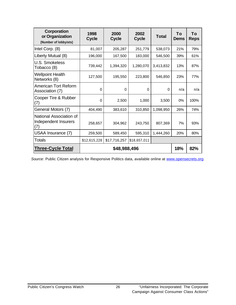| Corporation<br>or Organization<br>(Number of lobbyists) | 1998<br><b>Cycle</b> | 2000<br><b>Cycle</b> | 2002<br><b>Cycle</b> | <b>Total</b> | Τo<br><b>Dems</b> | Τo<br><b>Reps</b> |
|---------------------------------------------------------|----------------------|----------------------|----------------------|--------------|-------------------|-------------------|
| Intel Corp. (8)                                         | 81,007               | 205,287              | 251,779              | 538,073      | 21%               | 79%               |
| Liberty Mutual (8)                                      | 196,000              | 167,500              | 183,000              | 546,500      | 39%               | 61%               |
| U.S. Smokeless<br>Tobacco (8)                           | 739,442              | 1,394,320            | 1,280,070            | 3,413,832    | 13%               | 87%               |
| <b>Wellpoint Health</b><br>Networks (8)                 | 127,500              | 195,550              | 223,800              | 546,850      | 23%               | 77%               |
| <b>American Tort Reform</b><br>Association (7)          | 0                    | $\Omega$             | $\Omega$             | 0            | n/a               | n/a               |
| Cooper Tire & Rubber<br>(7)                             | 0                    | 2,500                | 1,000                | 3,500        | 0%                | 100%              |
| General Motors (7)                                      | 404,490              | 383,610              | 310,850              | 1,098,950    | 26%               | 74%               |
| National Association of<br>Independent Insurers<br>(7)  | 258,657              | 304,962              | 243,750              | 807,369      | 7%                | 93%               |
| USAA Insurance (7)                                      | 259,500              | 589,450              | 595,310              | 1,444,260    | 20%               | 80%               |
| <b>Totals</b>                                           | \$12,615,228         | \$17,716,257         | \$18,657,011         |              |                   |                   |
| <b>Three-Cycle Total</b>                                | \$48,988,496         |                      | 18%                  | 82%          |                   |                   |

Source: Public Citizen analysis for Responsive Politics data, available online at www.opensecrets.org.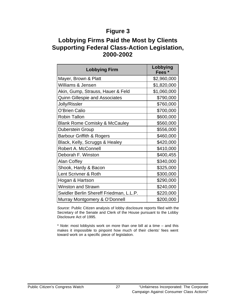### **Figure 3**

### **Lobbying Firms Paid the Most by Clients Supporting Federal Class-Action Legislation, 2000-2002**

| <b>Lobbying Firm</b>                     | Lobbying<br>Fees* |
|------------------------------------------|-------------------|
| Mayer, Brown & Platt                     | \$2,960,000       |
| <b>Williams &amp; Jensen</b>             | \$1,820,000       |
| Akin, Gump, Strauss, Hauer & Feld        | \$1,060,000       |
| <b>Quinn Gillespie and Associates</b>    | \$790,000         |
| Jolly/Rissler                            | \$760,000         |
| O'Brien Calio                            | \$700,000         |
| <b>Robin Tallon</b>                      | \$600,000         |
| <b>Blank Rome Comisky &amp; McCauley</b> | \$560,000         |
| <b>Duberstein Group</b>                  | \$556,000         |
| <b>Barbour Griffith &amp; Rogers</b>     | \$460,000         |
| Black, Kelly, Scruggs & Healey           | \$420,000         |
| Robert A. McConnell                      | \$410,000         |
| Deborah F. Winston                       | \$400,455         |
| <b>Alan Coffey</b>                       | \$340,000         |
| Shook, Hardy & Bacon                     | \$325,000         |
| Lent Scrivner & Roth                     | \$300,000         |
| Hogan & Hartson                          | \$290,000         |
| <b>Winston and Strawn</b>                | \$240,000         |
| Swidler Berlin Shereff Friedman, L.L.P.  | \$220,000         |
| Murray Montgomery & O'Donnell            | \$200,000         |

*Source:* Public Citizen analysis of lobby disclosure reports filed with the Secretary of the Senate and Clerk of the House pursuant to the Lobby Disclosure Act of 1995.

\* *Note:* most lobbyists work on more than one bill at a time – and this makes it impossible to pinpoint how much of their clients' fees went toward work on a specific piece of legislation.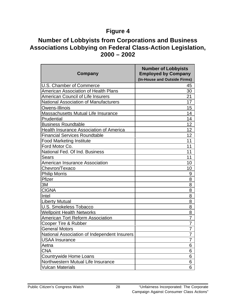### **Figure 4**

### **Number of Lobbyists from Corporations and Business Associations Lobbying on Federal Class-Action Legislation, 2000 – 2002**

| Company                                      | <b>Number of Lobbyists</b><br><b>Employed by Company</b><br>(In-House and Outside Firms) |
|----------------------------------------------|------------------------------------------------------------------------------------------|
| <b>U.S. Chamber of Commerce</b>              | 45                                                                                       |
| American Association of Health Plans         | 30                                                                                       |
| <b>American Council of Life Insurers</b>     | 21                                                                                       |
| <b>National Association of Manufacturers</b> | 17                                                                                       |
| Owens-Illinois                               | 15                                                                                       |
| <b>Massachusetts Mutual Life Insurance</b>   | 14                                                                                       |
| Prudential                                   | 14                                                                                       |
| <b>Business Roundtable</b>                   | 12                                                                                       |
| Health Insurance Association of America      | 12                                                                                       |
| <b>Financial Services Roundtable</b>         | 12                                                                                       |
| <b>Food Marketing Institute</b>              | 11                                                                                       |
| Ford Motor Co.                               | 11                                                                                       |
| National Fed. Of Ind. Business               | 11                                                                                       |
| Sears                                        | 11                                                                                       |
| <b>American Insurance Association</b>        | 10                                                                                       |
| Chevron/Texaco                               | 10                                                                                       |
| <b>Philip Morris</b>                         | 9                                                                                        |
| Pfizer                                       | 8                                                                                        |
| 3M                                           | 8                                                                                        |
| <b>CIGNA</b>                                 | 8                                                                                        |
| Intel                                        | 8                                                                                        |
| <b>Liberty Mutual</b>                        | 8                                                                                        |
| <b>U.S. Smokeless Tobacco</b>                | 8                                                                                        |
| <b>Wellpoint Health Networks</b>             | 8                                                                                        |
| <b>American Tort Reform Association</b>      | $\overline{7}$                                                                           |
| Cooper Tire & Rubber                         | $\overline{7}$                                                                           |
| <b>General Motors</b>                        | $\overline{7}$                                                                           |
| National Association of Independent Insurers | $\overline{7}$                                                                           |
| <b>USAA Insurance</b>                        | 7                                                                                        |
| Aetna                                        | 6                                                                                        |
| CNA                                          | 6                                                                                        |
| Countrywide Home Loans                       | 6                                                                                        |
| Northwestern Mutual Life Insurance           | 6                                                                                        |
| <b>Vulcan Materials</b>                      | 6                                                                                        |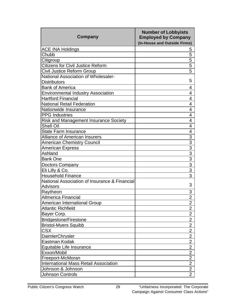| Company                                                           | <b>Number of Lobbyists</b><br><b>Employed by Company</b><br>(In-House and Outside Firms) |
|-------------------------------------------------------------------|------------------------------------------------------------------------------------------|
| <b>ACE INA Holdings</b>                                           | 5                                                                                        |
| Chubb                                                             | 5                                                                                        |
| Citigroup                                                         | 5                                                                                        |
| <b>Citizens for Civil Justice Reform</b>                          | 5                                                                                        |
| Civil Justice Reform Group                                        | 5                                                                                        |
| National Association of Wholesaler-                               |                                                                                          |
| <b>Distributors</b>                                               | 5                                                                                        |
| <b>Bank of America</b>                                            | 4                                                                                        |
| <b>Environmental Industry Association</b>                         | 4                                                                                        |
| <b>Hartford Financial</b>                                         | 4                                                                                        |
| <b>National Retail Federation</b>                                 | 4                                                                                        |
| Nationwide Insurance                                              | 4                                                                                        |
| <b>PPG</b> Industries                                             | 4                                                                                        |
| <b>Risk and Management Insurance Society</b>                      | 4                                                                                        |
| <b>Shell Oil</b>                                                  | $\overline{4}$                                                                           |
| <b>State Farm Insurance</b>                                       | 4                                                                                        |
| <b>Alliance of American Insurers</b>                              | 3                                                                                        |
| <b>American Chemistry Council</b>                                 | $\overline{3}$                                                                           |
| American Express                                                  | $\overline{3}$                                                                           |
| Ashland                                                           | $\overline{3}$                                                                           |
| <b>Bank One</b>                                                   | $\overline{3}$                                                                           |
| Doctors Company                                                   | $\overline{3}$                                                                           |
| Eli Lilly & Co.                                                   | $\overline{3}$                                                                           |
| <b>Household Finance</b>                                          | 3                                                                                        |
| National Association of Insurance & Financial                     | 3                                                                                        |
| <b>Advisors</b>                                                   |                                                                                          |
| Raytheon                                                          | 3                                                                                        |
| <b>Allmerica Financial</b>                                        | $\overline{2}$                                                                           |
| American International Group                                      | 2                                                                                        |
| <b>Atlantic Richfield</b>                                         | $\overline{2}$                                                                           |
| Bayer Corp.                                                       | $\overline{2}$                                                                           |
| <b>Bridgestone/Firestone</b>                                      | $\overline{2}$                                                                           |
| <b>Bristol-Myers Squibb</b>                                       | $\overline{2}$                                                                           |
| <b>CSX</b>                                                        | $\overline{2}$                                                                           |
| <b>DaimlerChrysler</b>                                            | $\overline{2}$                                                                           |
| Eastman Kodak                                                     | $\overline{2}$<br>$\overline{2}$                                                         |
| Equitable Life Insurance                                          | $\overline{2}$                                                                           |
| Exxon/Mobil                                                       | $\overline{2}$                                                                           |
| Freeport-McMoran                                                  | $\overline{2}$                                                                           |
| <b>International Mass Retail Association</b><br>Johnson & Johnson | $\overline{2}$                                                                           |
|                                                                   | $\overline{2}$                                                                           |
| <b>Johnson Controls</b>                                           |                                                                                          |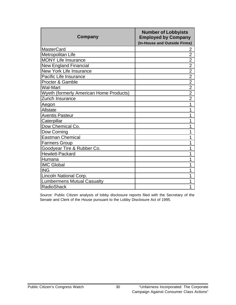| Company                                        | <b>Number of Lobbyists</b><br><b>Employed by Company</b><br>(In-House and Outside Firms) |
|------------------------------------------------|------------------------------------------------------------------------------------------|
| <b>MasterCard</b>                              | 2                                                                                        |
| Metropolitan Life                              | $\overline{2}$                                                                           |
| <b>MONY Life Insurance</b>                     | $\overline{2}$                                                                           |
| <b>New England Financial</b>                   | $\overline{2}$                                                                           |
| <b>New York Life Insurance</b>                 | $\overline{2}$                                                                           |
| Pacific Life Insurance                         | $\overline{2}$                                                                           |
| <b>Procter &amp; Gamble</b>                    | $\overline{2}$                                                                           |
| <b>Wal-Mart</b>                                | $\overline{2}$                                                                           |
| <b>Wyeth (formerly American Home Products)</b> | $\overline{2}$                                                                           |
| Zurich Insurance                               | $\overline{2}$                                                                           |
| Aegon                                          | 1                                                                                        |
| Allstate                                       | 1                                                                                        |
| <b>Aventis Pasteur</b>                         | 1                                                                                        |
| Caterpillar                                    | 1                                                                                        |
| Dow Chemical Co.                               | 1                                                                                        |
| Dow Corning                                    | 1                                                                                        |
| Eastman Chemical                               | 1                                                                                        |
| Farmers Group                                  | 1                                                                                        |
| Goodyear Tire & Rubber Co.                     | 1                                                                                        |
| Hewlett-Packard                                | 1                                                                                        |
| Humana                                         | 1                                                                                        |
| <b>IMC Global</b>                              | 1                                                                                        |
| <b>ING</b>                                     | 1                                                                                        |
| Lincoln National Corp.                         | 1                                                                                        |
| <b>Lumbermens Mutual Casualty</b>              |                                                                                          |
| <b>RadioShack</b>                              | 1                                                                                        |

*Source:* Public Citizen analysis of lobby disclosure reports filed with the Secretary of the Senate and Clerk of the House pursuant to the Lobby Disclosure Act of 1995.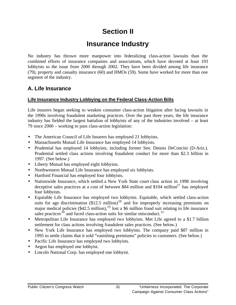# **Section II**

# **Insurance Industry**

No industry has thrown more manpower into federalizing class-action lawsuits than the combined efforts of insurance companies and associations, which have devoted at least 193 lobbyists to the issue from 2000 through 2002. They have been divided among life insurance (79), property and casualty insurance (60) and HMOs (59). Some have worked for more than one segment of the industry.

### **A. Life Insurance**

#### **Life Insurance Industry Lobbying on the Federal Class-Action Bills**

Life insurers began seeking to weaken consumer class-action litigation after facing lawsuits in the 1990s involving fraudulent marketing practices. Over the past three years, the life insurance industry has fielded the largest battalion of lobbyists of any of the industries involved – at least 79 since 2000 – working to pass class-action legislation:

- The American Council of Life Insurers has employed 21 lobbyists.
- Massachusetts Mutual Life Insurance has employed 14 lobbyists.
- Prudential has employed 14 lobbyists, including former Sen. Dennis DeConcini (D-Ariz.). Prudential settled class actions involving fraudulent conduct for more than \$2.3 billion in 1997. (See below.)
- Liberty Mutual has employed eight lobbyists.
- Northwestern Mutual Life Insurance has employed six lobbyists.
- Hartford Financial has employed four lobbyists.
- Nationwide Insurance, which settled a New York State court class action in 1998 involving deceptive sales practices at a cost of between \$84 million and  $$104$  million<sup>27</sup> has employed four lobbyists.
- Equitable Life Insurance has employed two lobbyists. Equitable, which settled class-action suits for age discrimination  $(\$12.5 \text{ million})^{28}$  and for improperly increasing premiums on major medical policies  $(\$42.5$  million),<sup>29</sup> lost a \$6 million fraud suit relating to life insurance sales practices $30$  and faced class-action suits for similar misconduct.<sup>31</sup>
- Metropolitan Life Insurance has employed two lobbyists. Met Life agreed to a \$1.7 billion settlement for class actions involving fraudulent sales practices. (See below.)
- New York Life Insurance has employed two lobbyists. The company paid \$87 million in 1995 to settle claims that it sold "vanishing premiums" policies to customers. (See below.)
- Pacific Life Insurance has employed two lobbyists.
- Aegon has employed one lobbyist.
- Lincoln National Corp. has employed one lobbyist.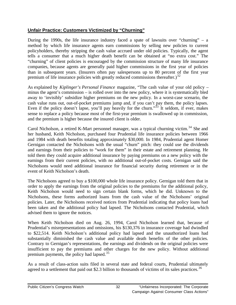#### **Unfair Practice: Customers Victimized by "Churning"**

During the 1990s, the life insurance industry faced a spate of lawsuits over "churning" – a method by which life insurance agents earn commissions by selling new policies to current policyholders, thereby stripping the cash value accrued under old policies. Typically, the agent tells a consumer that a much higher death benefit can be obtained at "no extra cost." The "churning" of client policies is encouraged by the commission structure of many life insurance companies, because agents are generally paid higher commissions in the first year of policies than in subsequent years. (Insurers often pay salespersons up to 80 percent of the first year premium of life insurance policies with greatly reduced commissions thereafter.)<sup>32</sup>

As explained by *Kiplinger's Personal Finance* magazine, "The cash value of your old policy – minus the agent's commission – is rolled over into the new policy, where it is systematically bled away to 'invisibly' subsidize higher premiums on the new policy. In a worst-case scenario, the cash value runs out, out-of-pocket premiums jump and, if you can't pay them, the policy lapses. Even if the policy doesn't lapse, you'll pay heavily for the churn."<sup>33</sup> It seldom, if ever, makes sense to replace a policy because most of the first-year premium is swallowed up in commission, and the premium is higher because the insured client is older.

Carol Nicholson, a retired K-Mart personnel manager, was a typical churning victim.<sup>34</sup> She and her husband, Keith Nicholson, purchased four Prudential life insurance policies between 1966 and 1984 with death benefits totaling approximately \$30,000. In 1984, Prudential agent Homer Gernigan contacted the Nicholsons with the usual "churn" pitch: they could use the dividends and earnings from their policies to "work for them" in their estate and retirement planning. He told them they could acquire additional insurance by paying premiums on a new policy with the earnings from their current policies, with no additional out-of-pocket costs. Gernigan said the Nicholsons would need additional insurance for financial security during retirement or in the event of Keith Nicholson's death.

The Nicholsons agreed to buy a \$100,000 whole life insurance policy. Gernigan told them that in order to apply the earnings from the original policies to the premiums for the additional policy, Keith Nicholson would need to sign certain blank forms, which he did. Unknown to the Nicholsons, these forms authorized loans from the cash value of the Nicholsons' original policies. Later, the Nicholsons received notices from Prudential indicating that policy loans had been taken and the additional policy had lapsed. The Nicholsons contacted Prudential, which advised them to ignore the notices.

When Keith Nicholson died on Aug. 26, 1994, Carol Nicholson learned that, because of Prudential's misrepresentations and omissions, his \$130,376 in insurance coverage had dwindled to \$22,514. Keith Nicholson's additional policy had lapsed and the unauthorized loans had substantially diminished the cash value and available death benefits of the other policies. Contrary to Gernigan's representations, the earnings and dividends on the original policies were insufficient to pay the premiums and other charges for the new policy. Without additional premium payments, the policy had lapsed.<sup>35</sup>

As a result of class-action suits filed in several state and federal courts, Prudential ultimately agreed to a settlement that paid out \$2.3 billion to thousands of victims of its sales practices.<sup>36</sup>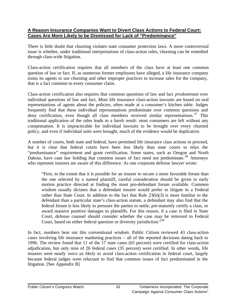#### **A Reason Insurance Companies Want to Divert Class Actions to Federal Court: Cases Are More Likely to be Dismissed for Lack of "Predominance"**

There is little doubt that churning violates state consumer protection laws. A more controversial issue is whether, under traditional interpretations of class-action rules, churning can be remedied through class-wide litigation.

Class-action certification requires that all members of the class have at least one common question of law or fact. If, as numerous former employees have alleged, a life insurance company trains its agents to use churning and other improper practices to increase sales for the company, that is a fact common to every consumer claim.

Class-action certification also requires that common questions of law and fact *predominate* over individual questions of law and fact. Most life insurance class-action lawsuits are based on oral representations of agents about the policies, often made at a consumer's kitchen table. Judges frequently find that these individual representations predominate over common questions and deny certification, even though all class members received similar representations.<sup>37</sup> This traditional application of the rules leads to a harsh result: most consumers are left without any compensation. It is impracticable for individual lawsuits to be brought over every churned policy, and even if individual suits were brought, much of the evidence would be duplicative.

A number of courts, both state and federal, have permitted life insurance class actions to proceed, but it is clear that federal courts have been less likely than state courts to relax the "predominance" requirement and grant certification. Some states, such as Oregon and North Dakota, have case law holding that common issues of fact need not predominate.<sup>38</sup> Attorneys who represent insurers are aware of this difference. As one corporate defense lawyer wrote:

"First, to the extent that it is possible for an insurer to secure a more favorable forum than the one selected by a named plaintiff, careful consideration should be given to early motion practice directed at finding the most pro-defendant forum available. Common wisdom usually dictates that a defendant insurer would prefer to litigate in a Federal rather than State Court. In addition to the fact that Rule 23(b)(3) is more familiar to the defendant than a particular state's class-action statute, a defendant may also find that the federal forum is less likely to pressure the parties to settle, pre-maturely certify a class, or award massive punitive damages to plaintiffs. For this reason, if a case is filed in State Court, defense counsel should consider whether the case may be removed to Federal Court, based on either federal question or diversity jurisdiction.<sup>39</sup>

In fact, numbers bear out this conventional wisdom. Public Citizen reviewed 43 class-action cases involving life insurance marketing practices – all of the reported decisions dating back to 1996. The review found that 11 of the 17 state cases (65 percent) were certified for class-action adjudication, but only nine of 26 federal cases (35 percent) were certified. In other words, life insurers were nearly *twice as likely* to avoid class-action certification in federal court, largely because federal judges were reluctant to find that common issues of fact predominated in the litigation. [See Appendix B]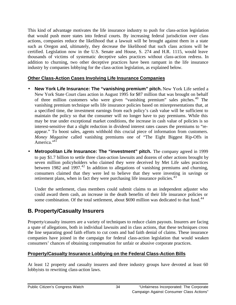This kind of advantage motivates the life insurance industry to push for class-action legislation that would push more states into federal courts. By increasing federal jurisdiction over class actions, companies reduce the likelihood that a lawsuit will be brought against them in a state such as Oregon and, ultimately, they decrease the likelihood that such class actions will be certified. Legislation now in the U.S. Senate and House, S. 274 and H.R. 1115, would leave thousands of victims of systematic deceptive sales practices without class-action redress. In addition to churning, two other deceptive practices have been rampant in the life insurance industry by companies lobbying for the class-action legislation, as explained below.

### **Other Class-Action Cases Involving Life Insurance Companies**

- **New York Life Insurance: The "vanishing premium" pitch.** New York Life settled a New York State Court class action in August 1995 for \$87 million that was brought on behalf of three million customers who were given "vanishing premium" sales pitches.<sup>40</sup> The vanishing premium technique sells life insurance policies based on misrepresentations that, at a specified time, the investment earnings from each policy's cash value will be sufficient to maintain the policy so that the consumer will no longer have to pay premiums. While this may be true under exceptional market conditions, the increase in cash value of policies is so interest-sensitive that a slight reduction in dividend interest rates causes the premiums to "reappear." To boost sales, agents withhold this crucial piece of information from customers. *Money Magazine* called vanishing premiums one of "The Eight Biggest Rip-Offs in America."<sup>41</sup>
- **Metropolitan Life Insurance: The "investment" pitch.** The company agreed in 1999 to pay \$1.7 billion to settle three class-action lawsuits and dozens of other actions brought by seven million policyholders who claimed they were deceived by Met Life sales practices between 1982 and  $1997<sup>42</sup>$  In addition to allegations of vanishing premiums and churning, consumers claimed that they were led to believe that they were investing in savings or retirement plans, when in fact they were purchasing life insurance policies.<sup>43</sup>

Under the settlement, class members could submit claims to an independent adjuster who could award them cash, an increase in the death benefits of their life insurance policies or some combination. Of the total settlement, about \$690 million was dedicated to that fund.<sup>44</sup>

## **B. Property/Casualty Insurers**

Property/casualty insurers are a variety of techniques to reduce claim payouts. Insurers are facing a spate of allegations, both in individual lawsuits and in class actions, that these techniques cross the line separating good faith efforts to cut costs and bad faith denial of claims. These insurance companies have joined in the campaign for federal class-action legislation that would weaken consumers' chances of obtaining compensation for unfair or abusive corporate practices.

### **Property/Casualty Insurance Lobbying on the Federal Class-Action Bills**

At least 12 property and casualty insurers and three industry groups have devoted at least 60 lobbyists to rewriting class-action laws.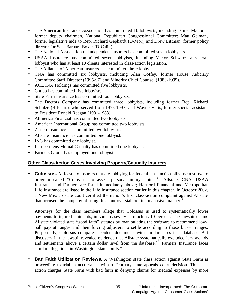- The American Insurance Association has committed 10 lobbyists, including Daniel Mattoon, former deputy chairman, National Republican Congressional Committee; Matt Gelman, former legislative aide to Rep. Richard Gephardt (D-Mo.); and Drew Littman, former policy director for Sen. Barbara Boxer (D-Calif.).
- The National Association of Independent Insurers has committed seven lobbyists.
- USAA Insurance has committed seven lobbyists, including Victor Schwarz, a veteran lobbyist who has at least 10 clients interested in class-action legislation.
- The Alliance of American Insurers has committed three lobbyists.
- CNA has committed six lobbyists, including Alan Coffey, former House Judiciary Committee Staff Director (1995-97) and Minority Chief Counsel (1983-1995).
- ACE INA Holdings has committed five lobbyists.
- Chubb has committed five lobbyists.
- State Farm Insurance has committed four lobbyists.
- The Doctors Company has committed three lobbyists, including former Rep. Richard Schulze (R-Penn.), who served from 1975-1993; and Wayne Valis, former special assistant to President Ronald Reagan (1981-1983).
- Allmerica Financial has committed two lobbyists.
- American International Group has committed two lobbyists.
- Zurich Insurance has committed two lobbyists.
- Allstate Insurance has committed one lobbyist.
- ING has committed one lobbyist.
- Lumbermens Mutual Casualty has committed one lobbyist.
- Farmers Group has employed one lobbyist.

### **Other Class-Action Cases Involving Property/Casualty Insurers**

• **Colossus.** At least six insurers that are lobbying for federal class-action bills use a software program called "Colossus" to assess personal injury claims.<sup>45</sup> Allstate, CNA, USAA Insurance and Farmers are listed immediately above; Hartford Financial and Metropolitan Life Insurance are listed in the Life Insurance section earlier in this chapter. In October 2002, a New Mexico state court certified the nation's first class-action complaint against Allstate that accused the company of using this controversial tool in an abusive manner.<sup>46</sup>

Attorneys for the class members allege that Colossus is used to systematically lower payments to injured claimants, in some cases by as much as 10 percent. The lawsuit claims Allstate violated state "good faith" statutes by manipulating the software to recommend lowball payout ranges and then forcing adjusters to settle according to those biased ranges. Purportedly, Colossus compares accident documents with similar cases in a database. But discovery in the lawsuit revealed evidence that Allstate systematically excluded jury awards and settlements above a certain dollar level from the database.<sup>47</sup> Farmers Insurance faces similar allegations in Washington state courts.<sup>48</sup>

**Bad Faith Utilization Reviews.** A Washington state class action against State Farm is proceeding to trial in accordance with a February state appeals court decision. The class action charges State Farm with bad faith in denying claims for medical expenses by more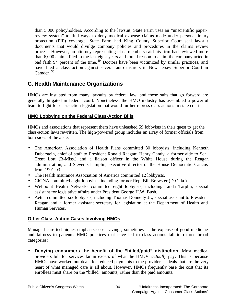than 5,000 policyholders. According to the lawsuit, State Farm uses an "unscientific paperreview system" to find ways to deny medical expense claims made under personal injury protection (PIP) coverage. State Farm had King County Superior Court seal lawsuit documents that would divulge company policies and procedures in the claims review process. However, an attorney representing class members said his firm had reviewed more than 6,000 claims filed in the last eight years and found reason to claim the company acted in bad faith 94 percent of the time.<sup>49</sup> Doctors have been victimized by similar practices, and have filed a class action against several auto insurers in New Jersey Superior Court in  $C$ amden.  $50$ 

## **C. Health Maintenance Organizations**

HMOs are insulated from many lawsuits by federal law, and those suits that go forward are generally litigated in federal court. Nonetheless, the HMO industry has assembled a powerful team to fight for class-action legislation that would further repress class actions in state court.

### **HMO Lobbying on the Federal Class-Action Bills**

HMOs and associations that represent them have unleashed 59 lobbyists in their quest to get the class-action laws rewritten. The high-powered group includes an array of former officials from both sides of the aisle.

- The American Association of Health Plans committed 30 lobbyists, including Kenneth Duberstein, chief of staff to President Ronald Reagan; Henry Gandy, a former aide to Sen. Trent Lott (R-Miss.) and a liaison officer in the White House during the Reagan administration; and Steven Champlin, executive director of the House Democratic Caucus from 1991-93.
- The Health Insurance Association of America committed 12 lobbyists.
- CIGNA committed eight lobbyists, including former Rep. Bill Brewster (D-Okla.).
- Wellpoint Health Networks committed eight lobbyists, including Linda Tarplin, special assistant for legislative affairs under President George H.W. Bush.
- Aetna committed six lobbyists, including Thomas Donnelly Jr., special assistant to President Reagan and a former assistant secretary for legislation at the Department of Health and Human Services.

## **Other Class-Action Cases Involving HMOs**

Managed care techniques emphasize cost savings, sometimes at the expense of good medicine and fairness to patients. HMO practices that have led to class actions fall into three broad categories:

• **Denying consumers the benefit of the "billed/paid" distinction**. Most medical providers bill for services far in excess of what the HMOs *actually* pay. This is because HMOs have worked out deals for reduced payments to the providers – deals that are the very heart of what managed care is all about. However, HMOs frequently base the cost that its enrollees must share on the "billed" amounts, rather than the paid amounts.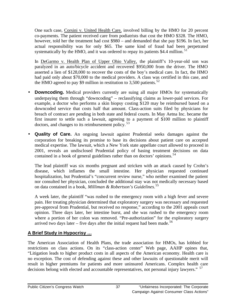One such case, Corsini v. United Health Care, involved billing by the HMO for 20 percent co-payments. The patient received care from podiatrists that cost the HMO \$328. The HMO, however, told her the treatment had cost \$980 – and demanded that she pay \$196. In fact, her actual responsibility was for only \$65. The same kind of fraud had been perpetrated systematically by the HMO, and it was ordered to repay its patients \$4.4 million.<sup>51</sup>

In DeGarmo v. Health Plan of Upper Ohio Valley, the plaintiff's 10-year-old son was paralyzed in an auto/bicycle accident and recovered \$950,000 from the driver. The HMO asserted a lien of \$128,000 to recover the costs of the boy's medical care. In fact, the HMO had paid only about \$70,000 to the medical providers. A class was certified in this case, and the HMO agreed to pay \$9 million in restitution to 3,500 patients.<sup>52</sup>

- **Downcoding.** Medical providers currently are suing all major HMOs for systematically underpaying them through "downcoding" – reclassifying claims as lower-paid services. For example, a doctor who performs a skin biopsy costing \$120 may be reimbursed based on a downcoded service that costs half that amount. Class-action suits filed by physicians for breach of contract are pending in both state and federal courts. In May Aetna Inc. became the first insurer to settle such a lawsuit, agreeing to a payment of \$100 million to plaintiff doctors, and changes to its reimbursement policy.<sup>53</sup>
- **Quality of Care.** An ongoing lawsuit against Prudential seeks damages against the corporation for breaking its promise to base its decisions about patient care on accepted medical expertise. The lawsuit, which a New York state appellate court allowed to proceed in 2001, reveals an undisclosed Prudential policy of basing treatment decisions on data contained in a book of general guidelines rather than on doctors' opinions.<sup>54</sup>

The lead plaintiff was six months pregnant and stricken with an attack caused by Crohn's disease, which inflames the small intestine. Her physician requested continued hospitalization, but Prudential's "concurrent review nurse," who neither examined the patient nor consulted her physician, concluded the additional stay was not medically necessary based on data contained in a book, *Milliman & Robertson's Guidelines*. 55

A week later, the plaintiff "was rushed to the emergency room with a high fever and severe pain. Her treating physician determined that exploratory surgery was necessary and requested pre-approval from Prudential, but received no response," according to the 2001 appeals court opinion. Three days later, her intestine burst, and she was rushed to the emergency room where a portion of her colon was removed. "Pre-authorization" for the exploratory surgery arrived two days later – five days after the initial request had been made.<sup>56</sup>

## **A Brief Study in Hypocrisy …**

The American Association of Health Plans, the trade association for HMOs, has lobbied for restrictions on class actions. On its "class-action center" Web page, AAHP opines that, "Litigation leads to higher product costs in all aspects of the American economy. Health care is no exception. The cost of defending against these and other lawsuits of questionable merit will result in higher premiums for patients and more uninsured Americans. Complex health care decisions belong with elected and accountable representatives, not personal injury lawyers." <sup>57</sup>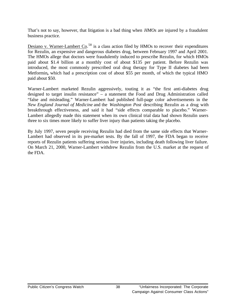That's not to say, however, that litigation is a bad thing when *HMOs* are injured by a fraudulent business practice.

Desiano v. Warner-Lambert Co.<sup>58</sup> is a class action filed by HMOs to recover their expenditures for Rezulin, an expensive and dangerous diabetes drug, between February 1997 and April 2001. The HMOs allege that doctors were fraudulently induced to prescribe Rezulin, for which HMOs paid about \$1.4 billion at a monthly cost of about \$135 per patient. Before Rezulin was introduced, the most commonly prescribed oral drug therapy for Type II diabetes had been Metformin**,** which had a prescription cost of about \$55 per month, of which the typical HMO paid about \$50.

Warner-Lambert marketed Rezulin aggressively, touting it as "the first anti-diabetes drug designed to target insulin resistance" – a statement the Food and Drug Administration called "false and misleading." Warner-Lambert had published full-page color advertisements in the *New England Journal of Medicine* and the *Washington Post* describing Rezulin as a drug with breakthrough effectiveness, and said it had "side effects comparable to placebo." Warner-Lambert allegedly made this statement when its own clinical trial data had shown Rezulin users three to six times more likely to suffer liver injury than patients taking the placebo.

By July 1997, seven people receiving Rezulin had died from the same side effects that Warner-Lambert had observed in its pre-market tests. By the fall of 1997, the FDA began to receive reports of Rezulin patients suffering serious liver injuries, including death following liver failure. On March 21, 2000, Warner-Lambert withdrew Rezulin from the U.S. market at the request of the FDA.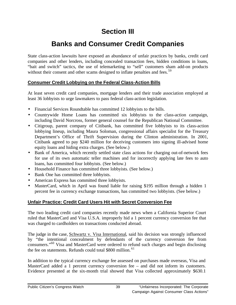# **Section III**

# **Banks and Consumer Credit Companies**

State class-action lawsuits have exposed an abundance of unfair practices by banks, credit card companies and other lenders, including concealed transaction fees, hidden conditions in loans, "bait and switch" tactics, the use of telemarketing to "sell" customers sham add-on products without their consent and other scams designed to inflate penalties and fees.<sup>59</sup>

### **Consumer Credit Lobbying on the Federal Class-Action Bills**

At least seven credit card companies, mortgage lenders and their trade association employed at least 36 lobbyists to urge lawmakers to pass federal class-action legislation.

- Financial Services Roundtable has committed 12 lobbyists to the bills.
- Countrywide Home Loans has committed six lobbyists to the class-action campaign, including David Norcross, former general counsel for the Republican National Committee.
- Citigroup, parent company of Citibank, has committed five lobbyists to its class-action lobbying lineup, including Maura Soloman, congressional affairs specialist for the Treasury Department's Office of Thrift Supervision during the Clinton administration. In 2001, Citibank agreed to pay \$240 million for deceiving customers into signing ill-advised home equity loans and hiding extra charges. (See below.)
- Bank of America, which recently settled state class actions for charging out-of-network fees for use of its own automatic teller machines and for incorrectly applying late fees to auto loans, has committed four lobbyists. (See below.)
- Household Finance has committed three lobbyists. (See below.)
- Bank One has committed three lobbyists.
- American Express has committed three lobbyists.
- MasterCard, which in April was found liable for raising \$195 million through a hidden 1 percent fee in currency exchange transactions, has committed two lobbyists. (See below.)

## **Unfair Practice: Credit Card Users Hit with Secret Conversion Fee**

The two leading credit card companies recently made news when a California Superior Court ruled that MasterCard and Visa U.S.A. improperly hid a 1 percent currency conversion fee that was charged to cardholders on transactions conducted abroad.

The judge in the case, Schwartz v. Visa International, said his decision was strongly influenced by "the intentional concealment by defendants of the currency conversion fee from consumers."<sup>60</sup> Visa and MasterCard were ordered to refund such charges and begin disclosing the fee on statements. Refunds could total \$800 million.<sup>61</sup>

In addition to the typical currency exchange fee assessed on purchases made overseas, Visa and MasterCard added a 1 percent currency conversion fee – and did not inform its customers. Evidence presented at the six-month trial showed that Visa collected approximately \$630.1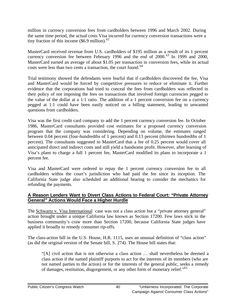million in currency conversion fees from cardholders between 1996 and March 2002. During the same time period, the actual costs Visa incurred for currency conversion transactions were a tiny fraction of this income (\$6.9 million). $62$ 

MasterCard received revenue from U.S. cardholders of \$195 million as a result of its 1 percent currency conversion fee between February 1996 and the end of  $2000$ .<sup>63</sup> In 1999 and 2000, MasterCard earned an average of about \$1.05 per transaction in conversion fees, while its actual costs were less than two cents a transaction, the court found.<sup>64</sup>

Trial testimony showed the defendants were fearful that if cardholders discovered the fee, Visa and MasterCard would be forced by competitive pressures to reduce or eliminate it. Further evidence that the corporations had tried to conceal the fees from cardholders was reflected in their policy of not imposing the fees on transactions that involved foreign currencies pegged to the value of the dollar at a 1:1 ratio. The addition of a 1 percent conversion fee on a currency pegged at 1:1 could have been easily noticed on a billing statement, leading to unwanted questions from cardholders.

Visa was the first credit card company to add the 1 percent currency conversion fee. In October 1986, MasterCard consultants provided cost estimates for a proposed currency conversion program that the company was considering. Depending on volume, the estimates ranged between 0.04 percent (four-hundredths of 1 percent) and 0.13 percent (thirteen hundredths of 1 percent). The consultants suggested to MasterCard that a fee of 0.25 percent would cover all anticipated direct and indirect costs and still yield a handsome profit. However, after learning of Visa's plans to charge a full 1 percent fee, MasterCard modified its plans to incorporate a 1 percent fee.

Visa and MasterCard were ordered to repay the 1 percent currency conversion fee to all cardholders within the court's jurisdiction who had paid the fee since its inception. The California State judge also scheduled an additional hearing to consider the mechanics for refunding the payments.

### **A Reason Lenders Want to Divert Class Actions to Federal Court: "Private Attorney General" Actions Would Face a Higher Hurdle**

The Schwartz v. Visa International case was not a class action but a "private attorney general" action brought under a unique California law known as Section 17200. Few laws stick in the business community's craw more than Section 17200, because California State judges have applied it broadly to remedy consumer rip-offs.

The class-action bill in the U.S. House, H.R. 1115, uses an unusual definition of "class action" (as did the original version of the Senate bill, S. 274). The House bill states that:

"[A] civil action that is not otherwise a class action … shall nevertheless be deemed a class action if the named plaintiff purports to act for the interests of its members (who are not named parties to the action) or for the interests of the general public, seeks a remedy of damages, restitution, disgorgement, or any other form of monetary relief."<sup>65</sup>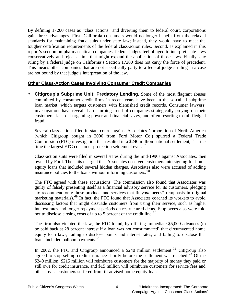By defining 17200 cases as "class actions" and diverting them to federal court, corporations gain three advantages. First, California consumers would no longer benefit from the relaxed standards for maintaining fraud suits under state law; instead, they would have to meet the tougher certification requirements of the federal class-action rules. Second, as explained in this report's section on pharmaceutical companies, federal judges feel obliged to interpret state laws conservatively and reject claims that might expand the application of those laws. Finally, any ruling by a federal judge on California's Section 17200 does not carry the force of precedent. This means other companies that are not specifically party to a federal judge's ruling in a case are not bound by that judge's interpretation of the law.

### **Other Class-Action Cases Involving Consumer Credit Companies**

• **Citigroup's Subprime Unit: Predatory Lending.** Some of the most flagrant abuses committed by consumer credit firms in recent years have been in the so-called subprime loan market, which targets customers with blemished credit records. Consumer lawyers' investigations have revealed a disturbing trend of companies strategically preying on their customers' lack of bargaining power and financial savvy, and often resorting to full-fledged fraud.

Several class actions filed in state courts against Associates Corporation of North America (which Citigroup bought in 2000 from Ford Motor Co.) spurred a Federal Trade Commission (FTC) investigation that resulted in a  $$240$  million national settlement,<sup>66</sup> at the time the largest FTC consumer protection settlement ever.<sup>67</sup>

Class-action suits were filed in several states during the mid-1990s against Associates, then owned by Ford. The suits charged that Associates deceived customers into signing for home equity loans that included several hidden charges. Associates also were accused of adding insurance policies to the loans without informing customers.<sup>68</sup>

The FTC agreed with these accusations. The commission also found that Associates was guilty of falsely presenting itself as a financial advisory service for its customers, pledging "to recommend only those products and services that fit *your* needs" (emphasis in original marketing materials).<sup>69</sup> In fact, the FTC found that Associates coached its workers to avoid discussing factors that might dissuade customers from using their service, such as higher interest rates and longer repayment periods on restructured debts. Employees also were told not to disclose closing costs of up to 5 percent of the credit line.<sup>70</sup>

The firm also violated the law, the FTC found, by offering immediate \$5,000 advances (to be paid back at 28 percent interest if a loan was not consummated) that circumvented home equity loan laws, failing to disclose points and interest rates, and failing to disclose that loans included balloon payments.<sup>71</sup>

In 2002, the FTC and Citigroup announced a \$240 million settlement.<sup>72</sup> Citigroup also agreed to stop selling credit insurance shortly before the settlement was reached.<sup>73</sup> Of the \$240 million, \$215 million will reimburse customers for the majority of money they paid or still owe for credit insurance, and \$15 million will reimburse customers for service fees and other losses customers suffered from ill-advised home equity loans.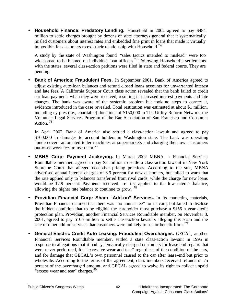• **Household Finance: Predatory Lending.** Household in 2002 agreed to pay \$484 million to settle charges brought by dozens of state attorneys general that it systematically misled customers about interest rates and embedded fine print in loans that made it virtually impossible for customers to exit their relationship with Household.<sup>74</sup>

A study by the state of Washington found "sales tactics intended to mislead" were too widespread to be blamed on individual loan officers.<sup>75</sup> Following Household's settlements with the states, several class-action petitions were filed in state and federal courts. They are pending.

• **Bank of America: Fraudulent Fees.** In September 2001, Bank of America agreed to adjust existing auto loan balances and refund closed loans accounts for unwarranted interest and late fees. A California Superior Court class action revealed that the bank failed to credit car loan payments when they were received, resulting in increased interest payments and late charges. The bank was aware of the systemic problem but took no steps to correct it, evidence introduced in the case revealed. Total restitution was estimated at about \$1 million, including cy pres (i.e., charitable) donations of \$150,000 to The Utility Reform Network, the Volunteer Legal Services Program of the Bar Association of San Francisco and Consumer Action. <sup>76</sup>

In April 2002, Bank of America also settled a class-action lawsuit and agreed to pay \$700,000 in damages to account holders in Washington state. The bank was operating "undercover" automated teller machines at supermarkets and charging their own customers out-of-network fees to use them.<sup>77</sup>

- **MBNA Corp: Payment Jockeying.** In March 2002 MBNA, a Financial Services Roundtable member, agreed to pay \$8 million to settle a class-action lawsuit in New York Supreme Court that alleged deceptive pricing practices. According to the suit, MBNA advertised annual interest charges of 6.9 percent for new customers, but failed to warn that the rate applied only to balances transferred from rival cards, while the charge for new loans would be 17.9 percent. Payments received are first applied to the low interest balance, allowing the higher rate balance to continue to grow.  $^{78}$
- **Providian Financial Corp: Sham "Add-on" Services.** In its marketing materials, Providian Financial claimed that there was "no annual fee" for its card, but failed to disclose the hidden condition that to be eligible the cardholder must purchase a \$156 a year credit protection plan. Providian, another Financial Services Roundtable member, on November 8, 2001, agreed to pay \$105 million to settle class-action lawsuits alleging this scam and the sale of other add-on services that customers were unlikely to use or benefit from.<sup>79</sup>
- **General Electric Credit Auto Leasing: Fraudulent Overcharges.** GECAL, another Financial Services Roundtable member, settled a state class-action lawsuit in 1995 in response to allegations that it had systematically charged customers for lease-end repairs that were never performed, for "excessive wear and tear" regardless of the condition of the cars, and for damage that GECAL's own personnel caused to the car after lease-end but prior to wholesale. According to the terms of the agreement, class members received refunds of 75 percent of the overcharged amount, and GECAL agreed to waive its right to collect unpaid "excess wear and tear" charges.<sup>80</sup>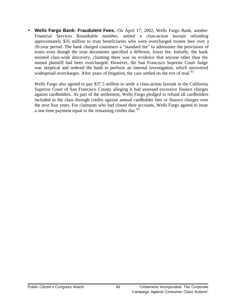• **Wells Fargo Bank: Fraudulent Fees.** On April 17, 2002, Wells Fargo Bank, another Financial Services Roundtable member, settled a class-action lawsuit refunding approximately \$35 million to trust beneficiaries who were overcharged trustee fees over a 20-year period. The bank charged customers a "standard fee" to administer the provisions of trusts even though the trust documents specified a different, lower fee. Initially, the bank resisted class-wide discovery, claiming there was no evidence that anyone other than the named plaintiff had been overcharged. However, the San Francisco Superior Court Judge was skeptical and ordered the bank to perform an internal investigation, which uncovered widespread overcharges. After years of litigation, the case settled on the eve of trial.<sup>81</sup>

Wells Fargo also agreed to pay \$37.5 million to settle a class-action lawsuit in the California Superior Court of San Francisco County alleging it had assessed excessive finance charges against cardholders. As part of the settlement, Wells Fargo pledged to refund all cardholders included in the class through credits against annual cardholder fees or finance charges over the next four years. For claimants who had closed their accounts, Wells Fargo agreed to issue a one-time payment equal to the remaining credits due.<sup>82</sup>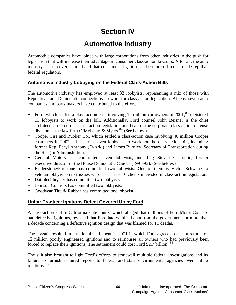# **Section IV**

## **Automotive Industry**

Automotive companies have joined with large corporations from other industries in the push for legislation that will increase their advantage in consumer class-action lawsuits. After all, the auto industry has discovered first-hand that consumer litigation can be more difficult to sidestep than federal regulators.

### **Automotive Industry Lobbying on the Federal Class-Action Bills**

The automotive industry has employed at least 32 lobbyists, representing a mix of those with Republican and Democratic connections, to work for class-action legislation. At least seven auto companies and parts makers have contributed to the effort.

- Ford, which settled a class-action case involving 12 million car owners in  $2001$ ,  $83$  registered 11 lobbyists to work on the bill. Additionally, Ford counsel John Beisner is the chief architect of the current class-action legislation and head of the corporate class-action defense division at the law firm O'Melveny & Myers.<sup>84</sup> (See below.)
- Cooper Tire and Rubber Co., which settled a class-action case involving 40 million Cooper customers in 2002,  $85$  has hired seven lobbyists to work for the class-action bill, including former Rep. Beryl Anthony (D-Ark.) and James Burnley, Secretary of Transportation during the Reagan Administration.
- General Motors has committed seven lobbyists, including Steven Champlin, former executive director of the House Democratic Caucus (1991-93). (See below.)
- Bridgestone/Firestone has committed two lobbyists. One of them is Victor Schwartz, a veteran lobbyist on tort issues who has at least 10 clients interested in class-action legislation.
- DaimlerChrysler has committed two lobbyists.
- Johnson Controls has committed two lobbyists.
- Goodyear Tire & Rubber has committed one lobbyist.

### **Unfair Practice: Ignitions Defect Covered Up by Ford**

A class-action suit in California state courts, which alleged that millions of Ford Motor Co. cars had defective ignitions, revealed that Ford had withheld data from the government for more than a decade concerning a defective ignition design that was blamed for 11 deaths.

The lawsuit resulted in a national settlement in 2001 in which Ford agreed to accept returns on 12 million poorly engineered ignitions and to reimburse all owners who had previously been forced to replace their ignitions. The settlement could cost Ford \$2.7 billion. <sup>86</sup>

The suit also brought to light Ford's efforts to stonewall multiple federal investigations and its failure to furnish required reports to federal and state environmental agencies over failing ignitions. <sup>87</sup>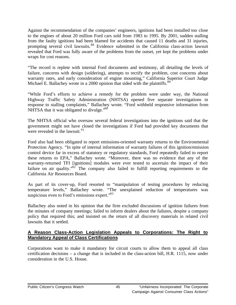Against the recommendation of the companies' engineers, ignitions had been installed too close to the engines of about 20 million Ford cars sold from 1983 to 1995. By 2001, sudden stalling from the faulty ignitions had been blamed for accidents that caused 11 deaths and 31 injuries, prompting several civil lawsuits.<sup>88</sup> Evidence submitted in the California class-action lawsuit revealed that Ford was fully aware of the problems from the outset, yet kept the problems under wraps for cost reasons.

"The record is replete with internal Ford documents and testimony, all detailing the levels of failure, concerns with design (soldering), attempts to rectify the problem, cost concerns about warranty rates, and early consideration of engine mounting," California Superior Court Judge Michael E. Ballachey wrote in a 2000 opinion that sided with the plaintiffs.<sup>89</sup>

"While Ford's efforts to achieve a remedy for the problem were under way, the National Highway Traffic Safety Administration (NHTSA) opened five separate investigations in response to stalling complaints," Ballachey wrote. "Ford withheld responsive information from NHTSA that it was obligated to divulge."<sup>90</sup>

The NHTSA official who oversaw several federal investigations into the ignitions said that the government might not have closed the investigations if Ford had provided key documents that were revealed in the lawsuit.<sup>91</sup>

Ford also had been obligated to report emissions-oriented warranty returns to the Environmental Protection Agency. "In spite of internal information of warranty failures of this ignition/emission control device far in excess of statutory or regulatory standards, Ford repeatedly failed to report these returns to EPA," Ballachey wrote. "Moreover, there was no evidence that any of the warranty-returned TFI [ignitions] modules were ever tested to ascertain the impact of their failure on air quality."<sup>92</sup> The company also failed to fulfill reporting requirements to the California Air Resources Board.

As part of its cover-up, Ford resorted to "manipulation of testing procedures by reducing temperature levels," Ballachey wrote. "The unexplained reduction of temperatures was suspicious even to Ford's emissions expert."<sup>93</sup>

Ballachey also noted in his opinion that the firm excluded discussions of ignition failures from the minutes of company meetings; failed to inform dealers about the failures, despite a company policy that required this; and insisted on the return of all discovery materials in related civil lawsuits that it settled.

### **A Reason Class-Action Legislation Appeals to Corporations: The Right to Mandatory Appeal of Class Certifications**

Corporations want to make it mandatory for circuit courts to allow them to appeal all class certification decisions – a change that is included in the class-action bill, H.R. 1115, now under consideration in the U.S. House.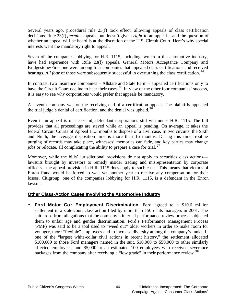Several years ago, procedural rule 23(f) took effect, allowing appeals of class certification decisions. Rule 23(f) *permits* appeals, but doesn't give a *right* to an appeal – and the question of whether an appeal will be heard is at the discretion of the U.S. Circuit Court. Here's why special interests want the mandatory right to appeal:

Seven of the companies lobbying for H.R. 1115, including two from the automotive industry, have had experience with Rule 23(f) appeals. General Motors Acceptance Company and Bridgestone/Firestone were among four companies that appealed class certifications and received hearings. *All four* of those were subsequently successful in overturning the class certification.<sup>94</sup>

In contrast, two insurance companies – Allstate and State Farm – appealed certifications only to have the Circuit Court decline to hear their cases.<sup>95</sup> In view of the other four companies' success, it is easy to see why corporations would prefer that appeals be mandatory.

A seventh company was on the receiving end of a certification appeal. The plaintiffs appealed the trial judge's denial of certification, and the denial was upheld. $9$ 

Even if an appeal is unsuccessful, defendant corporations still win under H.R. 1115. The bill provides that all proceedings are stayed while an appeal is pending. On average, it takes the federal Circuit Courts of Appeal 11.3 months to dispose of a civil case. In two circuits, the Sixth and Ninth, the average disposition time is more than 16 months. During this time, routine purging of records may take place, witnesses' memories can fade, and key parties may change jobs or relocate, all complicating the ability to prepare a case for trial.  $97$ 

Moreover, while the bills' jurisdictional provisions do not apply to securities class actions lawsuits brought by investors to remedy insider trading and misrepresentation by corporate officers—the appeal provision in H.R. 1115 does apply to such cases. This means that victims of Enron fraud would be forced to wait yet another year to receive any compensation for their losses. Citigroup, one of the companies lobbying for H.R. 1115, is a defendant in the Enron lawsuit.

### **Other Class-Action Cases Involving the Automotive Industry**

• **Ford Motor Co.: Employment Discrimination.** Ford agreed to a \$10.6 million settlement in a state-court class action filed by more than 150 of its managers in 2001. The suit arose from allegations that the company's internal performance review process subjected them to unfair age and gender discrimination. Ford's Performance Management Process (PMP) was said to be a tool used to "weed out" older workers in order to make room for younger, more "flexible" employees and to increase diversity among the company's ranks. In one of the "largest white-collar civil actions in recent history," the settlement allocated \$100,000 to those Ford managers named in the suit, \$10,000 to \$50,000 to other similarly affected employees, and \$5,000 to an estimated 100 employees who received severance packages from the company after receiving a "low grade" in their performance review. <sup>98</sup>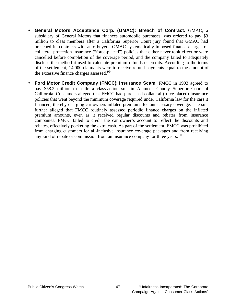- **General Motors Acceptance Corp. (GMAC): Breach of Contract.** GMAC, a subsidiary of General Motors that finances automobile purchases, was ordered to pay \$3 million to class members after a California Superior Court jury found that GMAC had breached its contracts with auto buyers. GMAC systematically imposed finance charges on collateral protection insurance ("force-placed") policies that either never took effect or were cancelled before completion of the coverage period, and the company failed to adequately disclose the method it used to calculate premium refunds or credits. According to the terms of the settlement, 14,000 claimants were to receive refund payments equal to the amount of the excessive finance charges assessed.<sup>99</sup>
- **Ford Motor Credit Company (FMCC)**: **Insurance Scam**. FMCC in 1993 agreed to pay \$58.2 million to settle a class-action suit in Alameda County Superior Court of California. Consumers alleged that FMCC had purchased collateral (force-placed) insurance policies that went beyond the minimum coverage required under California law for the cars it financed, thereby charging car owners inflated premiums for unnecessary coverage. The suit further alleged that FMCC routinely assessed periodic finance charges on the inflated premium amounts, even as it received regular discounts and rebates from insurance companies. FMCC failed to credit the car owner's account to reflect the discounts and rebates, effectively pocketing the extra cash. As part of the settlement, FMCC was prohibited from charging customers for all-inclusive insurance coverage packages and from receiving any kind of rebate or commission from an insurance company for three years.<sup>100</sup>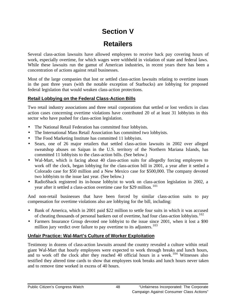# **Section V**

# **Retailers**

Several class-action lawsuits have allowed employees to receive back pay covering hours of work, especially overtime, for which wages were withheld in violation of state and federal laws. While these lawsuits run the gamut of American industries, in recent years there has been a concentration of actions against retail businesses.

Most of the large companies that lost or settled class-action lawsuits relating to overtime issues in the past three years (with the notable exception of Starbucks) are lobbying for proposed federal legislation that would weaken class-action protections.

### **Retail Lobbying on the Federal Class-Action Bills**

Two retail industry associations and three retail corporations that settled or lost verdicts in class action cases concerning overtime violations have contributed 20 of at least 31 lobbyists in this sector who have pushed for class-action legislation.

- The National Retail Federation has committed four lobbyists.
- The International Mass Retail Association has committed two lobbyists.
- The Food Marketing Institute has committed 11 lobbyists.
- Sears, one of 26 major retailers that settled class-action lawsuits in 2002 over alleged sweatshop abuses on Saipan in the U.S. territory of the Northern Mariana Islands, has committed 11 lobbyists to the class-action bills. (See below.)
- Wal-Mart, which is facing about 40 class-action suits for allegedly forcing employees to work off the clock, began lobbying for the class-action bill in 2001, a year after it settled a Colorado case for \$50 million and a New Mexico case for \$500,000. The company devoted two lobbyists to the issue last year. (See below.)
- RadioShack registered its in-house lobbyist to work on class-action legislation in 2002, a year after it settled a class-action overtime case for \$29 million.<sup>101</sup>

And non-retail businesses that have been forced by similar class-action suits to pay compensation for overtime violations also are lobbying for the bill, including:

- Bank of America, which in 2001 paid \$22 million to settle four suits in which it was accused of cheating thousands of personal bankers out of overtime, had four class-action lobbyists.<sup>102</sup>
- Farmers Insurance Group devoted one lobbyist to the issue since 2001, when it lost a \$90 million jury verdict over failure to pay overtime to its adjusters.<sup>103</sup>

### **Unfair Practice: Wal-Mart's Culture of Worker Exploitation**

Testimony in dozens of class-action lawsuits around the country revealed a culture within retail giant Wal-Mart that hourly employees were expected to work through breaks and lunch hours, and to work off the clock after they reached 40 official hours in a week.<sup>104</sup> Witnesses also testified they altered time cards to show that employees took breaks and lunch hours never taken and to remove time worked in excess of 40 hours.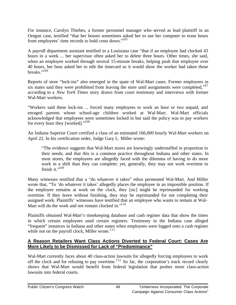For instance, Carolyn Thiebes, a former personnel manager who served as lead plaintiff in an Oregon case, testified "that her bosses sometimes asked her to use her computer to erase hours from employees' time records to hold costs down."<sup>105</sup>

A payroll department assistant testified in a Louisiana case "that if an employee had clocked 43 hours in a week ... her supervisor often asked her to delete three hours. Other times, she said, when an employee worked through several 15-minute breaks, helping push that employee over 40 hours, her boss asked her to edit the timecard so it would show the worker had taken those breaks." $106$ 

Reports of store "lock-ins" also emerged in the spate of Wal-Mart cases. Former employees in six states said they were prohibited from leaving the store until assignments were completed,  $107$ according to a *New York Times* story drawn from court testimony and interviews with former Wal-Mart workers.

"Workers said these lock-ins ... forced many employees to work an hour or two unpaid, and enraged parents whose school-age children worked at Wal-Mart. Wal-Mart officials acknowledged that employees were sometimes locked in but said the policy was to pay workers for every hour they [worked]."<sup>108</sup>

An Indiana Superior Court certified a class of an estimated 166,000 hourly Wal-Mart workers on April 22. In his certification order, Judge Gary L. Miller wrote:

"The evidence suggests that Wal-Mart stores are knowingly understaffed in proportion to their needs; and that this is a common practice throughout Indiana and other states. In most stores, the employees are allegedly faced with the dilemma of having to do more work in a shift than they can complete; yet, generally, they may not work overtime to finish it." $109$ 

Many witnesses testified that a "do whatever it takes" ethos permeated Wal-Mart. And Miller wrote that, "To 'do whatever it takes' allegedly places the employee in an impossible position. If the employee remains at work on the clock, they [sic] might be reprimanded for working overtime. If they leave without finishing, they may be reprimanded for not completing their assigned work. Plaintiffs' witnesses have testified that an employee who wants to remain at Wal-Mart will do the work and not remain clocked in."<sup>110</sup>

Plaintiffs obtained Wal-Mart's timekeeping database and cash register data that show the times in which certain employees used certain registers. Testimony in the Indiana case alleged "frequent" instances in Indiana and other states when employees were logged onto a cash register while not on the payroll clock, Miller wrote. $111$ 

### **A Reason Retailers Want Class Actions Diverted to Federal Court: Cases Are More Likely to be Dismissed for Lack of "Predominance"**

Wal-Mart currently faces about 40 class-action lawsuits for allegedly forcing employees to work off the clock and for refusing to pay overtime.<sup>112</sup> So far, the corporation's track record clearly shows that Wal-Mart would benefit from federal legislation that pushes more class-action lawsuits into federal courts.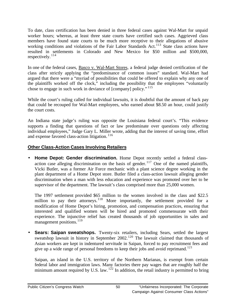To date, class certification has been denied in three federal cases against Wal-Mart for unpaid worker hours; whereas, at least three state courts have certified such cases. Aggrieved class members have found state courts to be much more receptive to their allegations of abusive working conditions and violations of the Fair Labor Standards Act.<sup>113</sup> State class actions have resulted in settlements in Colorado and New Mexico for \$50 million and \$500,000, respectively.<sup>114</sup>

In one of the federal cases, Basco v. Wal-Mart Stores, a federal judge denied certification of the class after strictly applying the "predominance of common issues" standard. Wal-Mart had argued that there were a "myriad of possibilities that could be offered to explain why any one of the plaintiffs worked off the clock," including the possibility that the employees "voluntarily chose to engage in such work in deviance of [company] policy." <sup>115</sup>

While the court's ruling called for individual lawsuits, it is doubtful that the amount of back pay that could be recouped for Wal-Mart employees, who earned about \$8.50 an hour, could justify the court costs.

An Indiana state judge's ruling was opposite the Louisiana federal court's. "This evidence supports a finding that questions of fact or law predominate over questions only affecting individual employees," Judge Gary L. Miller wrote, adding that the interest of saving time, effort and expense favored class-action litigation. <sup>116</sup>

### **Other Class-Action Cases Involving Retailers**

• **Home Depot: Gender discrimination.** Home Depot recently settled a federal classaction case alleging discrimination on the basis of gender.<sup>117</sup> One of the named plaintiffs, Vicki Butler, was a former Air Force mechanic with a plant science degree working in the plant department of a Home Depot store. Butler filed a class-action lawsuit alleging gender discrimination when a man with less education and experience was promoted over her to be supervisor of the department. The lawsuit's class comprised more than 25,000 women.

The 1997 settlement provided \$65 million to the women involved in the class and \$22.5 million to pay their attorneys.<sup>118</sup> More importantly, the settlement provided for a modification of Home Depot's hiring, promotion, and compensation practices, ensuring that interested and qualified women will be hired and promoted commensurate with their experience. The injunctive relief has created thousands of job opportunities in sales and management positions.<sup>119</sup>

• **Sears: Saipan sweatshops.** Twenty-six retailers, including Sears, settled the largest sweatshop lawsuit in history in September 2002.<sup>120</sup> The lawsuit claimed that thousands of Asian workers are kept in indentured servitude in Saipan, forced to pay recruitment fees and give up a wide range of personal freedoms to keep their jobs and avoid reprimand.<sup>121</sup>

Saipan, an island in the U.S. territory of the Northern Marianas, is exempt from certain federal labor and immigration laws. Many factories there pay wages that are roughly half the minimum amount required by U.S. law.  $1^{22}$  In addition, the retail industry is permitted to bring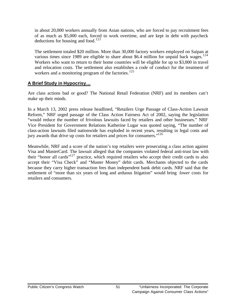in about 20,000 workers annually from Asian nations, who are forced to pay recruitment fees of as much as \$5,000 each, forced to work overtime, and are kept in debt with paycheck deductions for housing and food.<sup>123</sup>

The settlement totaled \$20 million. More than 30,000 factory workers employed on Saipan at various times since 1989 are eligible to share about \$6.4 million for unpaid back wages.<sup>124</sup> Workers who want to return to their home countries will be eligible for up to \$3,000 in travel and relocation costs. The settlement also establishes a code of conduct for the treatment of workers and a monitoring program of the factories.<sup>125</sup>

### **A Brief Study in Hypocrisy…**

Are class actions bad or good? The National Retail Federation (NRF) and its members can't make up their minds.

In a March 13, 2002 press release headlined, "Retailers Urge Passage of Class-Action Lawsuit Reform," NRF urged passage of the Class Action Fairness Act of 2002, saying the legislation "would reduce the number of frivolous lawsuits faced by retailers and other businesses." NRF Vice President for Government Relations Katherine Lugar was quoted saying, "The number of class-action lawsuits filed nationwide has exploded in recent years, resulting in legal costs and jury awards that drive up costs for retailers and prices for consumers."<sup>126</sup>

Meanwhile, NRF and a score of the nation's top retailers were prosecuting a class action against Visa and MasterCard. The lawsuit alleged that the companies violated federal anti-trust law with their "honor all cards"<sup>127</sup> practice, which required retailers who accept their credit cards to also accept their "Visa Check" and "Master Money" debit cards. Merchants objected to the cards because they carry higher transaction fees than independent bank debit cards. NRF said that the settlement of "more than six years of long and arduous litigation" would bring *lower* costs for retailers and consumers.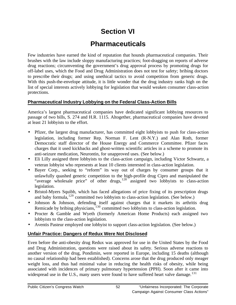# **Section VI**

## **Pharmaceuticals**

Few industries have earned the kind of reputation that hounds pharmaceutical companies. Their brushes with the law include sloppy manufacturing practices; foot-dragging on reports of adverse drug reactions; circumventing the government's drug approval process by promoting drugs for off-label uses, which the Food and Drug Administration does not test for safety; bribing doctors to prescribe their drugs; and using unethical tactics to avoid competition from generic drugs. With this push-the-envelope attitude, it is little wonder that the drug industry ranks high on the list of special interests actively lobbying for legislation that would weaken consumer class-action protections.

### **Pharmaceutical Industry Lobbying on the Federal Class-Action Bills**

America's largest pharmaceutical companies have dedicated significant lobbying resources to passage of two bills, S. 274 and H.R. 1115. Altogether, pharmaceutical companies have devoted at least 21 lobbyists to the effort.

- Pfizer, the largest drug manufacturer, has committed eight lobbyists to push for class-action legislation, including former Rep. Norman F. Lent (R-N.Y.) and Alan Roth, former Democratic staff director of the House Energy and Commerce Committee. Pfizer faces charges that it used kickbacks and ghost-written scientific articles in a scheme to promote its anti-seizure medication, Neurontin, for unapproved uses. (See below.)
- Eli Lilly assigned three lobbyists to the class-action campaign, including Victor Schwartz, a veteran lobbyist who represents at least 10 clients interested in class-action legislation.
- Bayer Corp., seeking to "reform" its way out of charges by consumer groups that it unlawfully quashed generic competition to the high-profile drug Cipro and manipulated the "average wholesale price" of other drugs,<sup>128</sup> assigned two lobbyists to class-action legislation.
- Bristol-Myers Squibb, which has faced allegations of price fixing of its prescription drugs and baby formula, $129$  committed two lobbyists to class-action legislation. (See below.)
- Johnson & Johnson, defending itself against charges that it markets its arthritis drug Remicade by bribing physicians,<sup>130</sup> committed two lobbyists to class-action legislation.
- Procter & Gamble and Wyeth (formerly American Home Products) each assigned two lobbyists to the class-action legislation.
- Aventis Pasteur employed one lobbyist to support class-action legislation. (See below.)

### **Unfair Practice: Dangers of Redux Were Not Disclosed**

Even before the anti-obesity drug Redux was approved for use in the United States by the Food and Drug Administration, questions were raised about its safety. Serious adverse reactions to another version of the drug, Pondimin, were reported in Europe, including 15 deaths (although no causal relationship had been established). Concerns arose that the drug produced only meager weight loss, and thus had minimal value in reducing the health risks of obesity, while being associated with incidences of primary pulmonary hypertension (PPH). Soon after it came into widespread use in the U.S., many users were found to have suffered heart valve damage.<sup>131</sup>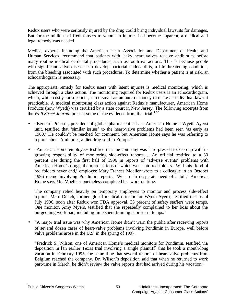Redux users who were seriously injured by the drug could bring individual lawsuits for damages. But for the millions of Redux users to whom no injuries had become apparent, a medical and legal remedy was needed.

Medical experts, including the American Heart Association and Department of Health and Human Services, recommend that patients with leaky heart valves receive antibiotics before many routine medical or dental procedures, such as tooth extractions. This is because people with significant valve disease can develop bacterial endocarditis, a life-threatening condition, from the bleeding associated with such procedures. To determine whether a patient is at risk, an echocardiogram is necessary.

The appropriate remedy for Redux users with latent injuries is medical monitoring, which is achieved through a class action. The monitoring required for Redux users is an echocardiogram, which, while costly for a patient, is too small an amount of money to make an individual lawsuit practicable. A medical monitoring class action against Redux's manufacturer, American Home Products (now Wyeth) was certified by a state court in New Jersey. The following excerpts from the *Wall Street Journal* present some of the evidence from that trial.<sup>132</sup>

- "Bernard Poussot, president of global pharmaceuticals at American Home's Wyeth-Ayerst unit, testified that 'similar issues' to the heart-valve problems had been seen 'as early as 1960.' He couldn't be reached for comment, but American Home says he was referring to reports about Aminorex, a diet drug sold in Europe."
- "American Home employees testified that the company was hard-pressed to keep up with its growing responsibility of monitoring side-effect reports…. An official testified to a 30 percent rise during the first half of 1996 in reports of 'adverse events' problems with American Home's drugs, the more serious of which went into red folders. 'Will this flood of red folders never end,' employee Mary Frances Moeller wrote to a colleague in an October 1996 memo involving Pondimin reports. 'We are in desperate need of a lull.' American Home says Ms. Moeller nonetheless completed her work on time.

The company relied heavily on temporary employees to monitor and process side-effect reports. Marc Deitch, former global medical director for Wyeth-Ayerst, testified that as of July 1996, soon after Redux won FDA approval, 33 percent of safety staffers were temps. One monitor, Amy Myers, testified that she repeatedly complained to her boss about the burgeoning workload, including time spent training short-term temps."

• "A major trial issue was why American Home didn't warn the public after receiving reports of several dozen cases of heart-valve problems involving Pondimin in Europe, well before valve problems arose in the U.S. in the spring of 1997.

"Fredrick S. Wilson, one of American Home's medical monitors for Pondimin, testified via deposition in [an earlier Texas trial involving a single plaintiff] that he took a month-long vacation in February 1995, the same time that several reports of heart-valve problems from Belgium reached the company. Dr. Wilson's deposition said that when he returned to work part-time in March, he didn't review the valve reports that had arrived during his vacation."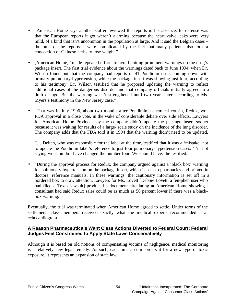- "American Home says another staffer reviewed the reports in his absence. Its defense was that the European reports it got weren't alarming because the heart valve leaks were very mild, of a kind that isn't uncommon in the population at large. And it said the Belgian cases – the bulk of the reports – were complicated by the fact that many patients also took a concoction of Chinese herbs to lose weight."
- [American Home] "made repeated efforts to avoid putting prominent warnings on the drug's package insert. The first trial evidence about the warnings dated back to June 1994, when Dr. Wilson found out that the company had reports of 41 Pondimin users coming down with primary pulmonary hypertension, while the package insert was showing just four, according to his testimony. Dr. Wilson testified that he proposed updating the warning to reflect additional cases of the dangerous disorder and that company officials initially agreed to a draft change. But the warning wasn't strengthened until two years later, according to Ms. Myers's testimony in the New Jersey case."
- "That was in July 1996, about two months after Pondimin's chemical cousin, Redux, won FDA approval in a close vote, in the wake of considerable debate over side effects. Lawyers for American Home Products say the company didn't update the package insert sooner because it was waiting for results of a large- scale study on the incidence of the lung disorder. The company adds that the FDA told it in 1994 that the warning didn't need to be updated.

"… Deitch, who was responsible for the label at the time, testified that it was a 'mistake' not to update the Pondimin label's reference to just four pulmonary-hypertension cases. 'I'm not saying we shouldn't have changed the number four. We should have,' he testified."

• "During the approval process for Redux, the company argued against a 'black box' warning for pulmonary hypertension on the package insert, which is sent to pharmacies and printed in doctors' reference manuals. In these warnings, the cautionary information is set off in a bordered box to draw attention. Lawyers for Ms. Lovett [Debbie Lovett, a fen-phen user who had filed a Texas lawsuit] produced a document circulating at American Home showing a consultant had said Redux sales could be as much as 50 percent lower if there was a blackbox warning."

Eventually, the trial was terminated when American Home agreed to settle. Under terms of the settlement, class members received exactly what the medical experts recommended – an echocardiogram.

#### **A Reason Pharmaceuticals Want Class Actions Diverted to Federal Court: Federal Judges Feel Constrained to Apply State Laws Conservatively**

Although it is based on old notions of compensating victims of negligence, medical monitoring is a relatively new legal remedy. As such, each time a court orders it for a new type of toxic exposure, it represents an expansion of state law.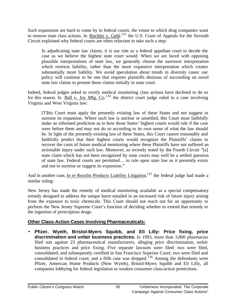Such expansions are hard to come by in federal courts, the venue to which drug companies want to remove state class actions. In Birchler v. Gehl, <sup>133</sup> the U.S. Court of Appeals for the Seventh Circuit explained why federal courts are often reluctant to take such a step:

In adjudicating state law claims, it is our role as a federal appellate court to decide the case as we believe the highest state court would. When we are faced with opposing plausible interpretations of state law, we generally choose the narrower interpretation which restricts liability, rather than the more expansive interpretation which creates substantially more liability. We avoid speculation about trends in diversity cases: our policy will continue to be one that requires plaintiffs desirous of succeeding on novel state law claims to present those claims initially in state court.

Indeed, federal judges asked to certify medical monitoring class actions have declined to do so for this reason. In **Ball v. Joy Mfg. Co.**<sup>134</sup> the district court judge ruled in a case involving Virginia and West Virginia law:

[T]his Court must apply the presently existing law of these States and not suggest or surmise its expansion. Where such law is unclear or unsettled, this Court must faithfully make an informed prediction as to how those States' highest courts would rule if the case were before them and may not do so according to its own sense of what the law should be. In light of the presently existing law of these States, this Court cannot reasonably and faithfully predict that their highest courts would recognize the Plaintiffs' claims to recover the costs of future medical monitoring where these Plaintiffs have not suffered an actionable injury under such law. Moreover, as recently noted by the Fourth Circuit "[a] state claim which has not been recognized by state courts may well be a settled question of state law. Federal courts are permitted… to rule upon state law as it presently exists and not to surmise or suggest its expansion."

And in another case, In re Rezulin Products Liability Litigation, <sup>135</sup> the federal judge had made a similar ruling:

New Jersey has made the remedy of medical monitoring available as a special compensatory remedy designed to address the unique harm entailed in an increased risk of future injury arising from the exposure to toxic chemicals. This Court should not reach out for an opportunity to perform the New Jersey Supreme Court's function of deciding whether to extend that remedy to the ingestion of prescription drugs.

### **Other Class-Action Cases Involving Pharmaceuticals:**

• **Pfizer, Wyeth, Bristol-Myers Squibb, and Eli Lilly: Price fixing, price discrimination and unfair business practices.** In 1993, more than 3,800 pharmacies filed suit against 23 pharmaceutical manufacturers, alleging price discrimination, unfair business practices and price fixing. Five separate lawsuits were filed: two were filed, consolidated, and subsequently certified in San Francisco Superior Court; two were filed and consolidated in federal court; and a fifth case was dropped.<sup>136</sup> Among the defendants were Pfizer, American Home Products (Now Wyeth), Bristol-Myers Squibb and Eli Lilly, all companies lobbying for federal legislation to weaken consumer class-action protections.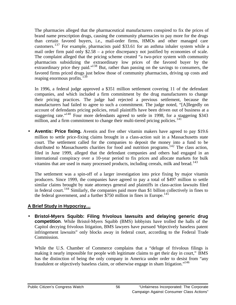The pharmacies alleged that the pharmaceutical manufacturers conspired to fix the prices of brand name prescription drugs, causing the community pharmacies to pay more for the drugs than certain favored buyers, i.e., mail-order firms, HMOs and other managed care customers.<sup>137</sup> For example, pharmacists paid \$33.61 for an asthma inhaler system while a mail order firm paid only \$2.58 – a price discrepancy not justified by economies of scale. The complaint alleged that the pricing scheme created "a two-price system with community pharmacists subsidizing the extraordinary low prices of the favored buyer by the extraordinary price they paid."<sup>138</sup> But, rather than passing on the savings to consumers, the favored firms priced drugs just below those of community pharmacists, driving up costs and reaping enormous profits. $139$ 

In 1996, a federal judge approved a \$351 million settlement covering 11 of the defendant companies, and which included a firm commitment by the drug manufacturers to change their pricing practices. The judge had rejected a previous settlement, because the manufacturers had failed to agree to such a commitment. The judge noted, "[A]llegedly on account of defendants pricing policies, retail plaintiffs have been driven out of business at a staggering rate."<sup>140</sup> Four more defendants agreed to settle in 1998, for a staggering \$343 million, and a firm commitment to change their multi-tiered pricing policies.<sup>141</sup>

• **Aventis: Price fixing.** Aventis and five other vitamin makers have agreed to pay \$19.6 million to settle price-fixing claims brought in a class-action suit in a Massachusetts state court. The settlement called for the companies to deposit the money into a fund to be distributed to Massachusetts charities for food and nutrition programs.<sup>142</sup> The class action, filed in June 1999, alleged that the defendant companies and others had engaged in an international conspiracy over a 10-year period to fix prices and allocate markets for bulk vitamins that are used in many processed products, including cereals, milk and bread.<sup>143</sup>

The settlement was a spin-off of a larger investigation into price fixing by major vitamin producers. Since 1999, the companies have agreed to pay a total of \$497 million to settle similar claims brought by state attorneys general and plaintiffs in class-action lawsuits filed in federal court.<sup>144</sup> Similarly, the companies paid more than \$1 billion collectively in fines to the federal government, and a further  $$750$  million in fines in Europe.<sup>145</sup>

### **A Brief Study in Hypocrisy…**

• **Bristol-Myers Squibb: Filing frivolous lawsuits and delaying generic drug competition**. While Bristol-Myers Squibb (BMS) lobbyists have trolled the halls of the Capitol decrying frivolous litigation, BMS lawyers have pursued "objectively baseless patent infringement lawsuits" only blocks away in federal court, according to the Federal Trade Commission.

While the U.S. Chamber of Commerce complains that a "deluge of frivolous filings is making it nearly impossible for people with legitimate claims to get their day in court," BMS has the distinction of being the only company in America under order to desist from "any fraudulent or objectively baseless claim, or otherwise engage in sham litigation."<sup>146</sup>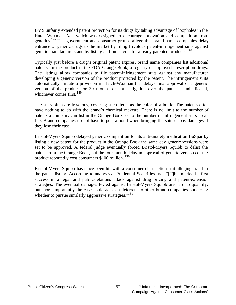BMS unfairly extended patent protection for its drugs by taking advantage of loopholes in the Hatch-Waxman Act, which was designed to encourage innovation and competition from generics.<sup>147</sup> The government and consumer groups allege that brand name companies delay entrance of generic drugs to the market by filing frivolous patent-infringement suits against generic manufacturers and by listing add-on patents for already patented products.<sup>148</sup>

Typically just before a drug's original patent expires, brand name companies list additional patents for the product in the FDA Orange Book, a registry of approved prescription drugs. The listings allow companies to file patent-infringement suits against any manufacturer developing a generic version of the product protected by the patent. The infringement suits automatically initiate a provision in Hatch-Waxman that delays final approval of a generic version of the product for 30 months or until litigation over the patent is adjudicated, whichever comes first.  $149$ 

The suits often are frivolous, covering such items as the color of a bottle. The patents often have nothing to do with the brand's chemical makeup. There is no limit to the number of patents a company can list in the Orange Book, or to the number of infringement suits it can file. Brand companies do not have to post a bond when bringing the suit, or pay damages if they lose their case.

Bristol-Myers Squibb delayed generic competition for its anti-anxiety medication BuSpar by listing a new patent for the product in the Orange Book the same day generic versions were set to be approved. A federal judge eventually forced Bristol-Myers Squibb to delist the patent from the Orange Book, but the four-month delay in approval of generic versions of the product reportedly cost consumers \$100 million. <sup>150</sup>

Bristol-Myers Squibb has since been hit with a consumer class-action suit alleging fraud in the patent listing. According to analysts at Prudential Securities Inc., "[T]his marks the first success in a legal and public-relations attack against drug pricing and patent-extension strategies. The eventual damages levied against Bristol-Myers Squibb are hard to quantify, but more importantly the case could act as a deterrent to other brand companies pondering whether to pursue similarly aggressive strategies."<sup>151</sup>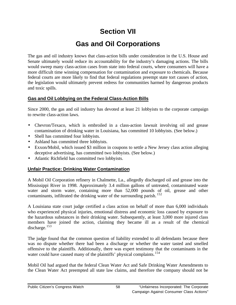## **Section VII**

# **Gas and Oil Corporations**

The gas and oil industry knows that class-action bills under consideration in the U.S. House and Senate ultimately would reduce its accountability for the industry's damaging actions. The bills would sweep many class-action cases from state into federal courts, where consumers will have a more difficult time winning compensation for contamination and exposure to chemicals. Because federal courts are more likely to find that federal regulations preempt state tort causes of action, the legislation would ultimately prevent redress for communities harmed by dangerous products and toxic spills.

### **Gas and Oil Lobbying on the Federal Class-Action Bills**

Since 2000, the gas and oil industry has devoted at least 21 lobbyists to the corporate campaign to rewrite class-action laws.

- Chevron/Texaco, which is embroiled in a class-action lawsuit involving oil and grease contamination of drinking water in Louisiana, has committed 10 lobbyists. (See below.)
- Shell has committed four lobbyists.
- Ashland has committed three lobbyists.
- Exxon/Mobil, which issued \$3 million in coupons to settle a New Jersey class action alleging deceptive advertising, has committed two lobbyists. (See below.)
- Atlantic Richfield has committed two lobbyists.

### **Unfair Practice: Drinking Water Contamination**

A Mobil Oil Corporation refinery in Chalmette, La., allegedly discharged oil and grease into the Mississippi River in 1998. Approximately 3.4 million gallons of untreated, contaminated waste water and storm water, containing more than 52,000 pounds of oil, grease and other contaminants, infiltrated the drinking water of the surrounding parish.<sup>152</sup>

A Louisiana state court judge certified a class action on behalf of more than 6,000 individuals who experienced physical injuries, emotional distress and economic loss caused by exposure to the hazardous substances in their drinking water. Subsequently, at least 3,000 more injured class members have joined the action, claiming they became ill as a result of the chemical discharge. $153$ 

The judge found that the common question of liability extended to all defendants because there was no dispute whether there had been a discharge or whether the water tasted and smelled offensive to the plaintiffs. Additionally, there was expert testimony that the contaminants in the water could have caused many of the plaintiffs' physical complaints.<sup>154</sup>

Mobil Oil had argued that the federal Clean Water Act and Safe Drinking Water Amendments to the Clean Water Act preempted all state law claims, and therefore the company should not be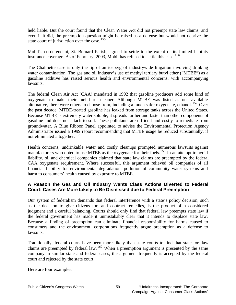held liable. But the court found that the Clean Water Act did not preempt state law claims, and even if it did, the preemption question might be raised as a defense but would not deprive the state court of jurisdiction over the case.<sup>155</sup>

Mobil's co-defendant, St. Bernard Parish, agreed to settle to the extent of its limited liability insurance coverage. As of February, 2003, Mobil has refused to settle this case.<sup>156</sup>

The Chalmette case is only the tip of an iceberg of industrywide litigation involving drinking water contamination. The gas and oil industry's use of methyl tertiary butyl ether ("MTBE") as a gasoline additive has raised serious health and environmental concerns, with accompanying lawsuits.

The federal Clean Air Act (CAA) mandated in 1992 that gasoline producers add some kind of oxygenate to make their fuel burn cleaner. Although MTBE was listed as one available alternative, there were others to choose from, including a much safer oxygenate, ethanol.<sup>157</sup> Over the past decade, MTBE-treated gasoline has leaked from storage tanks across the United States. Because MTBE is extremely water soluble, it spreads farther and faster than other components of gasoline and does not attach to soil. These pollutants are difficult and costly to remediate from groundwater. A Blue Ribbon Panel appointed to advise the Environmental Protection Agency Administrator issued a 1999 report recommending that MTBE usage be reduced substantially, if not eliminated altogether.<sup>158</sup>

Health concerns, undrinkable water and costly cleanups prompted numerous lawsuits against manufacturers who opted to use MTBE as the oxygenate for their fuels.<sup>159</sup> In an attempt to avoid liability, oil and chemical companies claimed that state law claims are preempted by the federal CAA oxygenate requirement. Where successful, this argument relieved oil companies of all financial liability for environmental degradation, pollution of community water systems and harm to consumers' health caused by exposure to MTBE.

### **A Reason the Gas and Oil Industry Wants Class Actions Diverted to Federal Court: Cases Are More Likely to Be Dismissed due to Federal Preemption**

Our system of federalism demands that federal interference with a state's policy decision, such as the decision to give citizens tort and contract remedies, is the product of a considered judgment and a careful balancing. Courts should only find that federal law preempts state law if the federal government has made it unmistakably clear that it intends to displace state law. Because a finding of preemption can eliminate financial responsibility for harms caused to consumers and the environment, corporations frequently argue preemption as a defense to lawsuits.

Traditionally, federal courts have been more likely than state courts to find that state tort law claims are preempted by federal law. <sup>160</sup> When a preemption argument is presented by the same company in similar state and federal cases, the argument frequently is accepted by the federal court and rejected by the state court.

Here are four examples: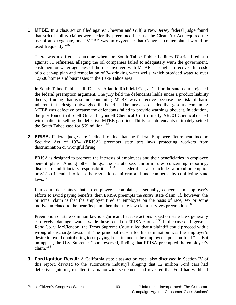**1. MTBE**. In a class action filed against Chevron and Gulf, a New Jersey federal judge found that strict liability claims were federally preempted because the Clean Air Act required the use of an oxygenate, and "MTBE was an oxygenate that Congress contemplated would be used frequently."<sup>161</sup>

There was a different outcome when the South Tahoe Public Utilities District filed suit against 31 refineries, alleging the oil companies failed to adequately warn the government, customers or water agencies of the risk involved with MTBE. It sought to recover the costs of a clean-up plan and remediation of 34 drinking water wells, which provided water to over 12,600 homes and businesses in the Lake Tahoe area.

In South Tahoe Public Util. Dist. v. Atlantic Richfield Co., a California state court rejected the federal preemption argument. The jury held the defendants liable under a product liability theory, finding that gasoline containing MTBE was defective because the risk of harm inherent in its design outweighed the benefits. The jury also decided that gasoline containing MTBE was defective because the defendants failed to provide warnings about it. In addition, the jury found that Shell Oil and Lyondell Chemical Co. (formerly ARCO Chemical) acted with malice in selling the defective MTBE gasoline. Thirty-one defendants ultimately settled the South Tahoe case for \$69 million.<sup>162</sup>

**2. ERISA.** Federal judges are inclined to find that the federal Employee Retirement Income Security Act of 1974 (ERISA) preempts state tort laws protecting workers from discrimination or wrongful firing.

ERISA is designed to promote the interests of employees and their beneficiaries in employee benefit plans. Among other things, the statute sets uniform rules concerning reporting, disclosure and fiduciary responsibilities.<sup>163</sup> The federal act also includes a broad preemption provision intended to keep the regulations uniform and unencumbered by conflicting state  $\overline{l}$ aws.<sup>164</sup>

If a court determines that an employee's complaint, essentially, concerns an employer's efforts to avoid paying benefits, then ERISA preempts the *entire* state claim. If, however, the principal claim is that the employer fired an employee on the basis of race, sex or some motive unrelated to the benefits plan, then the state law claim survives preemption.<sup>165</sup>

Preemption of state common law is significant because actions based on state laws generally can receive damage awards, while those based on ERISA cannot.<sup>166</sup> In the case of Ingersoll-Rand Co. v. McClendon, the Texas Supreme Court ruled that a plaintiff could proceed with a wrongful discharge lawsuit if "the principal reason for his termination was the employer's desire to avoid contributing to or paying benefits under the employee's pension fund. $167$  But on appeal, the U.S. Supreme Court reversed, finding that ERISA preempted the employee's  $\text{claim.}^{168}$ 

**3. Ford Ignition Recall:** A California state class-action case [also discussed in Section IV of this report, devoted to the automotive industry] alleging that 12 million Ford cars had defective ignitions, resulted in a nationwide settlement and revealed that Ford had withheld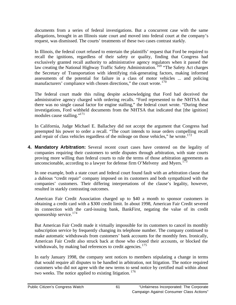documents from a series of federal investigations. But a concurrent case with the same allegations, brought in an Illinois state court and moved into federal court at the company's request, was dismissed. The courts' treatments of these two cases contrast starkly.

In Illinois, the federal court refused to entertain the plaintiffs' request that Ford be required to recall the ignitions, regardless of their safety or quality, finding that Congress had exclusively granted recall authority to administrative agency regulators when it passed the law creating the National Highway Traffic Safety Administration.<sup>169</sup> "The Safety Act charges the Secretary of Transportation with identifying risk-generating factors, making informed assessments of the potential for failure in a class of motor vehicles ... and policing manufacturers' compliance with chosen directions," the court wrote.<sup>170</sup>

The federal court made this ruling despite acknowledging that Ford had deceived the administrative agency charged with ordering recalls. "Ford represented to the NHTSA that there was no single causal factor for engine stalling," the federal court wrote. "During these investigations, Ford withheld documents from the NHTSA that indicated that [the ignition] modules cause stalling."<sup>171</sup>

In California, Judge Michael E. Ballachey did not accept the argument that Congress had preempted his power to order a recall. "The court intends to issue orders compelling recall and repair of class vehicles regardless of the mileage on those vehicles," he wrote. $172$ 

**4. Mandatory Arbitration:** Several recent court cases have centered on the legality of companies requiring their customers to settle disputes through arbitration, with state courts proving more willing than federal courts to rule the terms of those arbitration agreements as unconscionable, according to a lawyer for defense firm O'Melveny and Myers.<sup>173</sup>

In one example, both a state court and federal court found fault with an arbitration clause that a dubious "credit repair" company imposed on its customers and both sympathized with the companies' customers. Their differing interpretations of the clause's legality, however, resulted in starkly contrasting outcomes.

American Fair Credit Association charged up to \$40 a month to sponsor customers in obtaining a credit card with a \$300 credit limit. In about 1998, American Fair Credit severed its connection with the card-issuing bank, BankFirst, negating the value of its credit sponsorship service. $174$ 

But American Fair Credit made it virtually impossible for its customers to cancel its monthly subscription service by frequently changing its telephone number. The company continued to make automatic withdrawals from customers' bank accounts for the monthly fees. Ironically, American Fair Credit also struck back at those who closed their accounts, or blocked the withdrawals, by making bad references to credit agencies.<sup>175</sup>

In early January 1998, the company sent notices to members stipulating a change in terms that would require all disputes to be handled in arbitration, not litigation. The notice required customers who did not agree with the new terms to send notice by certified mail within about two weeks. The notice applied to existing litigation. <sup>176</sup>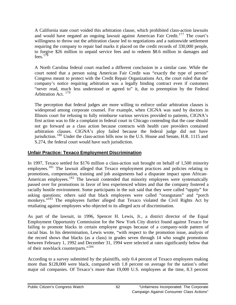A California state court voided this arbitration clause, which prohibited class-action lawsuits and would have negated an ongoing lawsuit against American Fair Credit.<sup>177</sup> The court's willingness to throw out the arbitration clause led to negotiations and a nationwide settlement requiring the company to repair bad marks it placed on the credit records of 330,000 people, to forgive \$26 million in unpaid service fees and to redeem \$8.6 million in damages and fees.  $178$ 

A North Carolina federal court reached a different conclusion in a similar case. While the court noted that a person suing American Fair Credit was "exactly the type of person" Congress meant to protect with the Credit Repair Organizations Act, the court ruled that the company's notice requiring arbitration was a legally binding contract even if customers "never read, much less understood or agreed to" it, due to preemption by the Federal Arbitration Act. <sup>179</sup>

The perception that federal judges are more willing to enforce unfair arbitration clauses is widespread among corporate counsel. For example, when CIGNA was sued by doctors in Illinois court for refusing to fully reimburse various services provided to patients, CIGNA's first action was to file a complaint in federal court in Chicago contending that the case should not go forward as a class action because contracts with health care providers contained arbitration clauses. CIGNA's ploy failed because the federal judge did not have jurisdiction. <sup>180</sup> Under the class-action bills now in the U.S. House and Senate, H.R. 1115 and S.274, the federal court would have such jurisdiction.

### **Unfair Practice: Texaco Employment Discrimination**

In 1997, Texaco settled for \$176 million a class-action suit brought on behalf of 1,500 minority employees.<sup>181</sup> The lawsuit alleged that Texaco employment practices and policies relating to promotions, compensation, training and job assignments had a disparate impact upon African-American employees.<sup>182</sup> The lawsuit contended that minority employees were systematically passed over for promotions in favor of less experienced whites and that the company fostered a racially hostile environment. Some participants in the suit said that they were called "uppity" for asking questions; others said that black employees were called "orangutans" and "porch monkeys."<sup>183</sup> The employees further alleged that Texaco violated the Civil Rights Act by retaliating against employees who objected to its alleged acts of discrimination.

As part of the lawsuit, in 1996, Spencer H. Lewis, Jr., a district director of the Equal Employment Opportunity Commission for the New York City district found against Texaco for failing to promote blacks in certain employee groups because of a company-wide pattern of racial bias. In his determination, Lewis wrote, "with respect to the promotion issue, analysis of the record shows that blacks (as a class) in grades seven through 14 who sought promotions between February 1, 1992 and December 31, 1994 were selected at rates significantly below that of their non-black counterparts."<sup>184</sup>

According to a survey submitted by the plaintiffs, only 0.4 percent of Texaco employees making more than \$128,000 were black, compared with 1.8 percent on average for the nation's other major oil companies. Of Texaco's more than 19,000 U.S. employees at the time, 8.3 percent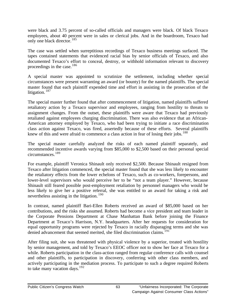were black and 3.75 percent of so-called officials and managers were black. Of black Texaco employees, about 40 percent were in sales or clerical jobs. And in the boardroom, Texaco had only one black director.<sup>185</sup>

The case was settled when surreptitious recordings of Texaco business meetings surfaced. The tapes contained statements that evidenced racial bias by senior officials of Texaco, and also documented Texaco's effort to conceal, destroy, or withhold information relevant to discovery proceedings in the case. $186$ 

A special master was appointed to scrutinize the settlement, including whether special circumstances were present warranting an award (or bounty) for the named plaintiffs. The special master found that each plaintiff expended time and effort in assisting in the prosecution of the litigation.<sup>187</sup>

The special master further found that after commencement of litigation, named plaintiffs suffered retaliatory action by a Texaco supervisor and employees, ranging from hostility to threats to assignment changes. From the outset, these plaintiffs were aware that Texaco had previously retaliated against employees charging discrimination. There was also evidence that an African-American attorney employed by Texaco, who had been trying to initiate a race discrimination class action against Texaco, was fired, assertedly because of these efforts. Several plaintiffs knew of this and were afraid to commence a class action in fear of losing their jobs.<sup>188</sup>

The special master carefully analyzed the risks of each named plaintiff separately, and recommended incentive awards varying from \$85,000 to \$2,500 based on their personal special circumstances.<sup>189</sup>

For example, plaintiff Veronica Shinault only received \$2,500. Because Shinault resigned from Texaco after litigation commenced, the special master found that she was less likely to encounter the retaliatory effects from the lower echelons of Texaco, such as co-workers, forepersons, and lower-level supervisors who would perceive her to be "not a team player." However, because Shinault still feared possible post-employment retaliation by personnel managers who would be less likely to give her a positive referral, she was entitled to an award for taking a risk and nevertheless assisting in the litigation.<sup>190</sup>

In contrast, named plaintiff Bari-Ellen Roberts received an award of \$85,000 based on her contributions, and the risks she assumed. Roberts had become a vice president and team leader in the Corporate Pensions Department at Chase Manhattan Bank before joining the Finance Department at Texaco's Harrison, N.Y. headquarters. After her requests for consideration for equal opportunity programs were rejected by Texaco in racially disparaging terms and she was denied advancement that seemed merited, she filed discrimination claims.<sup>191</sup>

After filing suit, she was threatened with physical violence by a superior, treated with hostility by senior management, and told by Texaco's EEOC officer not to show her face at Texaco for a while. Roberts participation in the class-action ranged from regular conference calls with counsel and other plaintiffs, to participation in discovery, conferring with other class members, and actively participating in the mediation process. To participate to such a degree required Roberts to take many vacation days.  $192$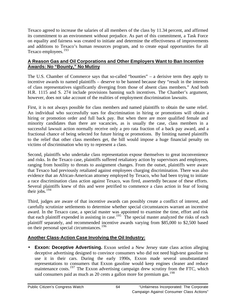Texaco agreed to increase the salaries of all members of the class by 11.34 percent, and affirmed its commitment to an environment without prejudice. As part of this commitment, a Task Force on equality and fairness was created to initiate and determine the effectiveness of improvements and additions to Texaco's human resources program, and to create equal opportunities for all Texaco employees.<sup>193</sup>

### **A Reason Gas and Oil Corporations and Other Employers Want to Ban Incentive Awards: No "Bounty," No Mutiny**

The U.S. Chamber of Commerce says that so-called "bounties" – a derisive term they apply to incentive awards to named plaintiffs – deserve to be banned because they "result in the interests of class representatives significantly diverging from those of absent class members." And both H.R. 1115 and S. 274 include provisions banning such incentives. The Chamber's argument, however, does not take account of the realities of employment discrimination lawsuits.

First, it is not always possible for class members and named plaintiffs to obtain the same relief. An individual who successfully sues for discrimination in hiring or promotions will obtain a hiring or promotion order and full back pay. But when there are more qualified female and minority candidates than there are vacancies, as is usually the case, class members in a successful lawsuit action normally receive only a pro rata fraction of a back pay award, and a fractional chance of being selected for future hiring or promotions. By limiting named plaintiffs to the relief that other class members get, the bill would impose a huge financial penalty on victims of discrimination who try to represent a class.

Second, plaintiffs who undertake class representation expose themselves to great inconvenience and risks. In the Texaco case, plaintiffs suffered retaliatory action by supervisors and employees, ranging from hostility to threats to assignment changes. From the outset, plaintiffs were aware that Texaco had previously retaliated against employees charging discrimination. There was also evidence that an African-American attorney employed by Texaco, who had been trying to initiate a race discrimination class action against Texaco, was fired, assertedly because of these efforts. Several plaintiffs knew of this and were petrified to commence a class action in fear of losing their jobs.<sup>194</sup>

Third, judges are aware of that incentive awards can possibly create a conflict of interest, and carefully scrutinize settlements to determine whether special circumstances warrant an incentive award. In the Texaco case, a special master was appointed to examine the time, effort and risk that each plaintiff expended in assisting in case.<sup>195</sup> The special master analyzed the risks of each plaintiff separately, and recommended incentive awards varying from \$85,000 to \$2,500 based on their personal special circumstances.<sup>196</sup>

### **Another Class-Action Case Involving the Oil Industry:**

• **Exxon: Deceptive Advertising.** Exxon settled a New Jersey state class action alleging deceptive advertising designed to convince consumers who did not need high-test gasoline to use it in their cars. During the early 1990s, Exxon made several unsubstantiated representations to consumers that Exxon gasoline would keep engines cleaner and reduce maintenance costs.<sup>197</sup> The Exxon advertising campaign drew scrutiny from the FTC, which said consumers paid as much as 20 cents a gallon more for premium gas.<sup>198</sup>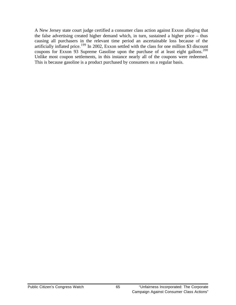A New Jersey state court judge certified a consumer class action against Exxon alleging that the false advertising created higher demand which, in turn, sustained a higher price – thus causing all purchasers in the relevant time period an ascertainable loss because of the artificially inflated price.<sup>199</sup> In 2002, Exxon settled with the class for one million \$3 discount coupons for Exxon 93 Supreme Gasoline upon the purchase of at least eight gallons.<sup>200</sup> Unlike most coupon settlements, in this instance nearly all of the coupons were redeemed. This is because gasoline is a product purchased by consumers on a regular basis.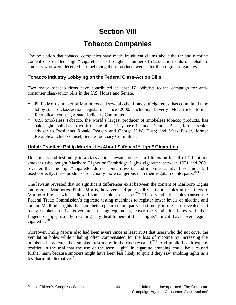## **Section VIII**

## **Tobacco Companies**

The revelation that tobacco companies have made fraudulent claims about the tar and nicotine content of so-called "light" cigarettes has brought a number of class-action suits on behalf of smokers who were deceived into believing these products were safer than regular cigarettes.

### **Tobacco Industry Lobbying on the Federal Class-Action Bills**

Two major tobacco firms have contributed at least 17 lobbyists to the campaign for anticonsumer class-action bills in the U.S. House and Senate.

- Philip Morris, maker of Marlboros and several other brands of cigarettes, has committed nine lobbyists to class-action legislation since 2000, including Beverly McKittrick, former Republican counsel, Senate Judiciary Committee.
- U.S. Smokeless Tobacco, the world's largest producer of smokeless tobacco products, has paid eight lobbyists to work on the bills. They have included Charles Black, former senior adviser to Presidents Ronald Reagan and George H.W. Bush; and Mark Disler, former Republican chief counsel, Senate Judiciary Committee.

### **Unfair Practice: Philip Morris Lies About Safety of "Light" Cigarettes**

Documents and testimony in a class-action lawsuit brought in Illinois on behalf of 1.1 million smokers who bought Marlboro Lights or Cambridge Lights cigarettes between 1971 and 2001 revealed that the "light" cigarettes do not contain less tar and nicotine, as advertised. Indeed, if used correctly, these products are actually more dangerous than their regular counterparts.<sup>201</sup>

The lawsuit revealed that no significant differences exist between the content of Marlboro Lights and regular Marlboros. Philip Morris, however, had put small ventilation holes in the filters of Marlboro Lights, which allowed some smoke to escape.<sup>202</sup> These ventilation holes caused the Federal Trade Commission's cigarette testing machines to register lower levels of nicotine and tar for Marlboro Lights than for their regular counterparts. Testimony in the case revealed that many smokers, unlike government testing equipment, cover the ventilation holes with their fingers or lips, usually negating any health benefit that "lights" might have over regular cigarettes.<sup>203</sup>

Moreover, Philip Morris also had been aware since at least 1984 that users who did not cover the ventilation holes while inhaling often compensated for the loss of nicotine by increasing the number of cigarettes they smoked, testimony in the case revealed.<sup>204</sup> And public health experts testified in the trial that the use of the term "light" in cigarette branding could have caused further harm because smokers might have been less likely to quit if they saw smoking lights as a less harmful alternative. $205$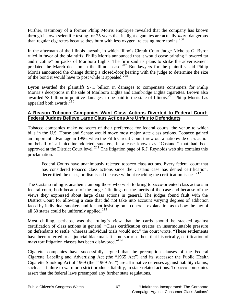Further, testimony of a former Philip Morris employee revealed that the company has known through its own scientific testing for 25 years that its light cigarettes are actually *more* dangerous than regular cigarettes because they burn with less oxygen, releasing more toxins.<sup>206</sup>

In the aftermath of the Illinois lawsuit, in which Illinois Circuit Court Judge Nicholas G. Byron ruled in favor of the plaintiffs, Philip Morris announced that it would cease printing "lowered tar and nicotine" on packs of Marlboro Lights. The firm said its plans to strike the advertisement predated the March decision in the Illinois case.<sup>207</sup> But lawyers for the plaintiffs said Philip Morris announced the change during a closed-door hearing with the judge to determine the size of the bond it would have to post while it appealed.<sup>208</sup>

Byron awarded the plaintiffs \$7.1 billion in damages to compensate consumers for Philip Morris's deceptions in the sale of Marlboro Lights and Cambridge Lights cigarettes. Brown also awarded \$3 billion in punitive damages, to be paid to the state of Illinois.<sup>209</sup> Philip Morris has appealed both awards. $210$ 

### **A Reason Tobacco Companies Want Class Actions Diverted to Federal Court: Federal Judges Believe Large Class Actions Are Unfair to Defendants**

Tobacco companies make no secret of their preference for federal courts, the venue to which bills in the U.S. House and Senate would move most major state class actions. Tobacco gained an important advantage in 1996, when the Fifth Circuit Court threw out a nationwide class action on behalf of all nicotine-addicted smokers, in a case known as "Castano," that had been approved at the District Court level.<sup>211</sup> The litigation page of R.J. Reynolds web site contains this proclamation:

Federal Courts have unanimously rejected tobacco class actions. Every federal court that has considered tobacco class actions since the Castano case has denied certification, decertified the class, or dismissed the case without reaching the certification issues.<sup>212</sup>

The Castano ruling is anathema among those who wish to bring tobacco-oriented class actions in federal court, both because of the judges' findings on the merits of the case and because of the views they expressed about large class actions in general. The judges found fault with the District Court for allowing a case that did not take into account varying degrees of addiction faced by individual smokers and for not insisting on a coherent explanation as to how the law of all 50 states could be uniformly applied.<sup>213</sup>

Most chilling, perhaps, was the ruling's view that the cards should be stacked against certification of class actions in general. "Class certification creates an insurmountable pressure on defendants to settle, whereas individual trials would not," the court wrote. "These settlements have been referred to as judicial blackmail. It is no surprise then, that historically, certification of mass tort litigation classes has been disfavored."<sup>214</sup>

Cigarette companies have successfully argued that the preemption clauses of the Federal Cigarette Labeling and Advertising Act (the "1965 Act") and its successor the Public Health Cigarette Smoking Act of 1969 (the "1969 Act") are affirmative defenses against liability claims, such as a failure to warn or a strict products liability, in state-related actions. Tobacco companies assert that the federal laws preempted any further state regulations.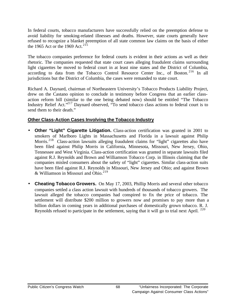In federal courts, tobacco manufacturers have successfully relied on the preemption defense to avoid liability for smoking-related illnesses and deaths. However, state courts generally have refused to recognize a blanket preemption of all state common law claims on the basis of either the 1965 Act or the 1969 Act.<sup>215</sup>

The tobacco companies preference for federal courts is evident in their actions as well as their rhetoric. The companies requested that state court cases alleging fraudulent claims surrounding light cigarettes be moved to federal court in at least nine states and the District of Columbia, according to data from the Tobacco Control Resource Center Inc., of Boston.<sup>216</sup> In all jurisdictions but the District of Columbia, the cases were remanded to state court.

Richard A. Daynard, chairman of Northeastern University's Tobacco Products Liability Project, drew on the Castano opinion to conclude in testimony before Congress that an earlier classaction reform bill (similar to the one being debated now) should be entitled "The Tobacco Industry Relief Act."<sup>217</sup> Daynard observed, "To send tobacco class actions to federal court is to send them to their death."

### **Other Class-Action Cases Involving the Tobacco Industry**

- **Other "Light" Cigarette Litigation.** Class-action certification was granted in 2001 to smokers of Marlboro Lights in Massachusetts and Florida in a lawsuit against Philip Morris.<sup>218</sup> Class-action lawsuits alleging fraudulent claims for "light" cigarettes also have been filed against Philip Morris in California, Minnesota, Missouri, New Jersey, Ohio, Tennessee and West Virginia. Class-action certification was granted in separate lawsuits filed against R.J. Reynolds and Brown and Williamson Tobacco Corp. in Illinois claiming that the companies misled consumers about the safety of "light" cigarettes. Similar class-action suits have been filed against R.J. Reynolds in Missouri, New Jersey and Ohio; and against Brown  $&$  Williamson in Missouri and Ohio.<sup>219</sup>
- **Cheating Tobacco Growers.** On May 17, 2003, Phillip Morris and several other tobacco companies settled a class action lawsuit with hundreds of thousands of tobacco growers. The lawsuit alleged the tobacco companies had conspired to fix the price of tobacco. The settlement will distribute \$200 million to growers now and promises to pay more than a billion dollars in coming years in additional purchases of domestically grown tobacco. R. J. Reynolds refused to participate in the settlement, saying that it will go to trial next April. <sup>220</sup>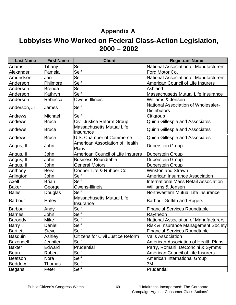## **Appendix A**

## **Lobbyists Who Worked on Federal Class-Action Legislation, 2000 – 2002**

| <b>Last Name</b> | <b>First Name</b> | <b>Client</b>                                 | <b>Registrant Name</b>                                     |
|------------------|-------------------|-----------------------------------------------|------------------------------------------------------------|
| Adams            | Tiffany           | Self                                          | <b>National Association of Manufacturers</b>               |
| Alexander        | Pamela            | Self                                          | Ford Motor Co.                                             |
| Amundson         | Jan               | Self                                          | <b>National Association of Manufacturers</b>               |
| Anderson         | Philmore          | Self                                          | <b>American Council of Life Insurers</b>                   |
| Anderson         | <b>Brenda</b>     | Self                                          | Ashland                                                    |
| Anderson         | Kathryn           | Self                                          | <b>Massachusetts Mutual Life Insurance</b>                 |
| Anderson         | Rebecca           | Owens-Illinois                                | Williams & Jensen                                          |
| Anderson, Jr     | James             | <b>Self</b>                                   | National Association of Wholesaler-<br><b>Distributors</b> |
| Andrews          | Michael           | Self                                          | Citigroup                                                  |
| Andrews          | <b>Bruce</b>      | Civil Justice Reform Group                    | Quinn Gillespie and Associates                             |
| Andrews          | <b>Bruce</b>      | <b>Massachusetts Mutual Life</b><br>Insurance | <b>Quinn Gillespie and Associates</b>                      |
| Andrews          | <b>Bruce</b>      | U.S. Chamber of Commerce                      | <b>Quinn Gillespie and Associates</b>                      |
| Angus, III       | John              | American Association of Health<br>Plans       | <b>Duberstein Group</b>                                    |
| Angus, III       | John              | <b>American Council of Life Insurers</b>      | <b>Duberstein Group</b>                                    |
| Angus, III       | John              | <b>Business Roundtable</b>                    | <b>Duberstein Group</b>                                    |
| Angus, III       | John              | <b>General Motors</b>                         | <b>Duberstein Group</b>                                    |
| Anthony          | Beryl             | Cooper Tire & Rubber Co.                      | <b>Winston and Strawn</b>                                  |
| Arlington        | John              | Self                                          | <b>American Insurance Association</b>                      |
| Axell            | <b>Brian</b>      | Self                                          | <b>International Mass Retail Association</b>               |
| <b>Baker</b>     | George            | Owens-Illinois                                | Williams & Jensen                                          |
| <b>Bales</b>     | Douglas           | Self                                          | Northwestern Mutual Life Insurance                         |
| <b>Barbour</b>   | Haley             | <b>Massachusetts Mutual Life</b><br>Insurance | <b>Barbour Griffith and Rogers</b>                         |
| <b>Barbour</b>   | Andy              | Self                                          | <b>Financial Services Roundtable</b>                       |
| <b>Barnes</b>    | John              | Self                                          | Raytheon                                                   |
| Baroody          | <b>Mike</b>       | Self                                          | <b>National Association of Manufacturers</b>               |
| <b>Barry</b>     | Daniel            | Self                                          | <b>Risk &amp; Insurance Management Society</b>             |
| Bartlett         | <b>Steve</b>      | Self                                          | <b>Financial Services Roundtable</b>                       |
| Basquin          | Ashley            | <b>Citizens for Civil Justice Reform</b>      | Valis Association                                          |
| Baxendell        | Jennifer          | Self                                          | <b>American Association of Health Plans</b>                |
| <b>Baxter</b>    | Edward            | Prudential                                    | Parry, Romani, DeConcini & Symms                           |
| <b>Bean</b>      | Robert            | Self                                          | <b>American Council of Life Insurers</b>                   |
| <b>Beatson</b>   | Nora              | Self                                          | <b>American International Group</b>                        |
| <b>Beddow</b>    | Thomas            | Self                                          | 3M                                                         |
| <b>Begans</b>    | Peter             | Self                                          | Prudential                                                 |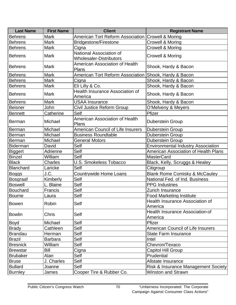| <b>Last Name</b> | <b>First Name</b> | <b>Client</b>                                             | <b>Registrant Name</b>                     |
|------------------|-------------------|-----------------------------------------------------------|--------------------------------------------|
| <b>Behrens</b>   | <b>Mark</b>       | American Tort Reform Association Crowell & Moring         |                                            |
| <b>Behrens</b>   | <b>Mark</b>       | <b>Bridgestone/Firestone</b>                              | <b>Crowell &amp; Moring</b>                |
| <b>Behrens</b>   | <b>Mark</b>       | Cigna                                                     | <b>Crowell &amp; Moring</b>                |
| <b>Behrens</b>   | <b>Mark</b>       | National Association of<br><b>Wholesaler-Distributors</b> | <b>Crowell &amp; Moring</b>                |
| <b>Behrens</b>   | <b>Mark</b>       | American Association of Health<br><b>Plans</b>            | Shook, Hardy & Bacon                       |
| <b>Behrens</b>   | <b>Mark</b>       | American Tort Reform Association Shook, Hardy & Bacon     |                                            |
| <b>Behrens</b>   | <b>Mark</b>       | Cigna                                                     | Shook, Hardy & Bacon                       |
| <b>Behrens</b>   | <b>Mark</b>       | Eli Lilly & Co.                                           | Shook, Hardy & Bacon                       |
| <b>Behrens</b>   | <b>Mark</b>       | <b>Health Insurance Association of</b><br>America         | Shook, Hardy & Bacon                       |
| <b>Behrens</b>   | <b>Mark</b>       | <b>USAA Insurance</b>                                     | Shook, Hardy & Bacon                       |
| <b>Beisner</b>   | John              | Civil Justice Reform Group                                | O'Melveny & Meyers                         |
| <b>Bennett</b>   | Catherine         | Self                                                      | Pfizer                                     |
| <b>Berman</b>    | Michael           | American Association of Health<br>Plans                   | <b>Duberstein Group</b>                    |
| <b>Berman</b>    | Michael           | <b>American Council of Life Insurers</b>                  | <b>Duberstein Group</b>                    |
| <b>Berman</b>    | Michael           | <b>Business Roundtable</b>                                | <b>Duberstein Group</b>                    |
| Berman           | Michael           | <b>General Motors</b>                                     | Duberstein Group                           |
| <b>Biderman</b>  | David             | Self                                                      | <b>Environmental Industry Association</b>  |
| <b>Biggert</b>   | Adrienne          | Self                                                      | American Association of Health Plans       |
| <b>Binzel</b>    | William           | Self                                                      | <b>MasterCard</b>                          |
| <b>Black</b>     | <b>Charles</b>    | <b>U.S. Smokeless Tobacco</b>                             | Black, Kelly, Scruggs & Healey             |
| <b>Blanchard</b> | Laricke           | Self                                                      | Citigroup                                  |
| <b>Boggs</b>     | J.C.              | Countrywide Home Loans                                    | <b>Blank Rome Comisky &amp; McCauley</b>   |
| Bosgraaf         | Kimberly          | Self                                                      | National Fed. of Ind. Business             |
| <b>Boswell</b>   | L. Blaine         | Self                                                      | <b>PPG</b> Industries                      |
| <b>Bouchard</b>  | Francis           | Self                                                      | Zurich Insurance                           |
| <b>Bourne</b>    | Laura             | Self                                                      | <b>Food Marketing Institute</b>            |
| <b>Bowen</b>     | Robin             | Self                                                      | Health Insurance Association of<br>America |
| <b>Bowlin</b>    | Chris             | Self                                                      | Health Insurance Association of<br>America |
| Boyd             | Michael           | Self                                                      | Pfizer                                     |
| <b>Brady</b>     | Cathleen          | Self                                                      | <b>American Council of Life Insurers</b>   |
| <b>Brandau</b>   | Herman            | Self                                                      | <b>State Farm Insurance</b>                |
| <b>Brazil</b>    | <b>Barbara</b>    | Self                                                      | Intel                                      |
| <b>Bresnick</b>  | William           | Self                                                      | Chevron/Texaco                             |
| <b>Brewstar</b>  | Bill              | Cigna                                                     | <b>Capitol Hill Group</b>                  |
| <b>Brubaker</b>  | Alan              | Self                                                      | Prudential                                 |
| <b>Bruse</b>     | J. Charles        | Self                                                      | Allstate Insurance                         |
| <b>Bullard</b>   | Joanne            | Self                                                      | Risk & Insurance Management Society        |
| <b>Burnley</b>   | James             | Cooper Tire & Rubber Co.                                  | <b>Winston and Strawn</b>                  |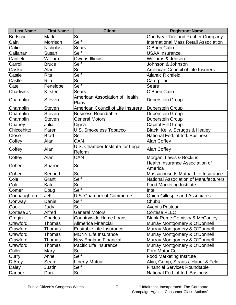| <b>Last Name</b> | <b>First Name</b> | <b>Client</b>                              | <b>Registrant Name</b>                       |
|------------------|-------------------|--------------------------------------------|----------------------------------------------|
| <b>Burtschi</b>  | <b>Mark</b>       | Self                                       | Goodyear Tire and Rubber Company             |
| Cain             | Morrison          | Self                                       | <b>International Mass Retail Association</b> |
| Calio            | Nicholas          | <b>Sears</b>                               | O'Brien Calio                                |
| Callanan         | Susan             | Self                                       | <b>USAA Insurance</b>                        |
| Canfield         | William           | Owens-Illinois                             | Williams & Jensen                            |
| Carroll          | <b>Bruce</b>      | Self                                       | Johnson & Johnson                            |
| Caskie           | Alan              | Self                                       | <b>American Council of Life Insurers</b>     |
| Castle           | <b>Rita</b>       | Self                                       | <b>Atlantic Richfield</b>                    |
| Castle           | <b>Rita</b>       | Self                                       | Caterpillar                                  |
| Cate             | Penelope          | Self                                       | <b>Sears</b>                                 |
| Chadwick         | Kirsten           | <b>Sears</b>                               | O'Brien Calio                                |
| Champlin         | <b>Steven</b>     | American Association of Health<br>Plans    | <b>Duberstein Group</b>                      |
| Champlin         | <b>Steven</b>     | <b>American Council of Life Insurers</b>   | <b>Duberstein Group</b>                      |
| Champlin         | <b>Steven</b>     | <b>Business Roundtable</b>                 | <b>Duberstein Group</b>                      |
| Champlin         | <b>Steven</b>     | <b>General Motors</b>                      | <b>Duberstein Group</b>                      |
| Chaney           | Julia             | Cigna                                      | <b>Capitol Hill Group</b>                    |
| Chiccehitto      | Karen             | <b>U.S. Smokeless Tobacco</b>              | Black, Kelly, Scruggs & Healey               |
| Close            | <b>Brad</b>       | Self                                       | National Fed. of Ind. Business               |
| Coffey           | Alan              | CAN                                        | <b>Alan Coffey</b>                           |
| Coffey           | Alan              | U.S. Chamber Institute for Legal<br>Reform | <b>Alan Coffey</b>                           |
| Coffey           | Alan              | CAN                                        | Morgan, Lewis & Bockius                      |
| Cohen            | Sharon            | Self                                       | Health Insurance Association of<br>America   |
| Cohen            | Kenneth           | Self                                       | Massachusetts Mutual Life Insurance          |
| Cole             | Grant             | Self                                       | <b>National Association of Manufacturers</b> |
| Coler            | Kate              | Self                                       | <b>Food Marketing Institute</b>              |
| Comer            | Doug              | Self                                       | Intel                                        |
| Connaughton      | Jeff              | U.S. Chamber of Commerce                   | <b>Quinn Gillespie and Associates</b>        |
| Conway           | Daniel            | Self                                       | Chubb                                        |
| Cook             | Judy              | Self                                       | <b>Aventis Pasteur</b>                       |
| Cortese Jr.      | Alfred            | <b>General Motors</b>                      | <b>Cortese PLLC</b>                          |
| Cragin           | Charles           | <b>Countrywide Home Loans</b>              | <b>Blank Rome Comisky &amp; McCauley</b>     |
| Crawford         | Thomas            | <b>Allmerica Financial</b>                 | Murray Montgomery & O'Donnell                |
| Crawford         | Thomas            | Equitable Life Insurance                   | Murray Montgomery & O'Donnell                |
| Crawford         | Thomas            | <b>MONY Life Insurance</b>                 | Murray Montgomery & O'Donnell                |
| Crawford         | Thomas            | <b>New England Financial</b>               | Murray Montgomery & O'Donnell                |
| Crawford         | Thomas            | Pacific Life Insurance                     | Murray Montgomery & O'Donnell                |
| Culler           | Mary              | Self                                       | Ford Motor Co.                               |
| Curry            | Anne              | Self                                       | <b>Food Marketing Institute</b>              |
| D'Arcy           | Sean              | <b>Liberty Mutual</b>                      | Akin, Gump, Strauss, Hauer & Feld            |
| Daley            | Justin            | Self                                       | <b>Financial Services Roundtable</b>         |
| Danner           | Dan               | Self                                       | National Fed. of Ind. Business               |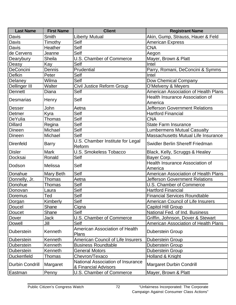| <b>Last Name</b>       | <b>First Name</b> | <b>Client</b>                                             | <b>Registrant Name</b>                            |
|------------------------|-------------------|-----------------------------------------------------------|---------------------------------------------------|
| Davis                  | Smith             | <b>Liberty Mutual</b>                                     | Akin, Gump, Strauss, Hauer & Feld                 |
| Davis                  | Timothy           | Self                                                      | <b>American Express</b>                           |
| Davis                  | Heather           | Self                                                      | <b>CNA</b>                                        |
| de Cervens             | Jeanne            | Self                                                      | Aegon                                             |
| Dearybury              | Sheila            | U.S. Chamber of Commerce                                  | Mayer, Brown & Platt                              |
| <b>Deasy</b>           | Kay               | Self                                                      | Intel                                             |
| <b>DeConcini</b>       | Dennis            | Prudential                                                | Parry, Romani, DeConcini & Symms                  |
| Defkin                 | Peter             | Self                                                      | Intel                                             |
| Delaney                | Wilma             | Self                                                      | Dow Chemical Company                              |
| Dellinger III          | Walter            | Civil Justice Reform Group                                | O'Melveny & Meyers                                |
| <b>Dennett</b>         | Diana             | Self                                                      | American Association of Health Plans              |
|                        |                   |                                                           | <b>Health Insurance Association of</b>            |
| <b>Desmarias</b>       | Henry             | Self                                                      | America                                           |
| <b>Desser</b>          | John              | Aetna                                                     | <b>Jefferson Government Relations</b>             |
| Detmer                 | Kyra              | Self                                                      | <b>Hartford Financial</b>                         |
| DeYulia                | Thomas            | Self                                                      | <b>CNA</b>                                        |
| <b>Dillard</b>         | Regina            | Self                                                      | <b>State Farm Insurance</b>                       |
| Dineen                 | Michael           | Self                                                      | <b>Lumbermens Mutual Casualty</b>                 |
| Dineen                 | Michael           | Self                                                      | Massachusetts Mutual Life Insurance               |
| <b>Direnfeld</b>       | <b>Barry</b>      | U.S. Chamber Institute for Legal<br>Reform                | <b>Swidler Berlin Shereff Friedman</b>            |
| <b>Disler</b>          | <b>Mark</b>       | U.S. Smokeless Tobacco                                    | Black, Kelly, Scruggs & Healey                    |
| Docksai                | Ronald            | Self                                                      | Bayer Corp.                                       |
| Dodson                 | Melissa           | Self                                                      | <b>Health Insurance Association of</b><br>America |
| Donahue                | Mary Beth         | Self                                                      | <b>American Association of Health Plans</b>       |
| Donnelly, Jr.          | Thomas            | Aetna                                                     | <b>Jefferson Government Relations</b>             |
| Donohue                | Thomas            | Self                                                      | U.S. Chamber of Commerce                          |
| Donovan                | Laura             | Self                                                      | <b>Hartford Financial</b>                         |
| Doremus                | Ted               | Self                                                      | <b>Financial Services Roundtable</b>              |
| Dorgan                 | Kimberly          | Self                                                      | American Council of Life Insurers                 |
| Doucel                 | Shane             | Cigna                                                     | <b>Capitol Hill Group</b>                         |
| Doucet                 | Shane             | Self                                                      | National Fed. of Ind. Business                    |
| Dover                  | Jack              | U.S. Chamber of Commerce                                  | Griffin, Johnson, Dover & Stewart                 |
| Dowell                 | Jill              | Self                                                      | American Association of Health Plans              |
| <b>Duberstein</b>      | Kenneth           | <b>American Association of Health</b><br><b>Plans</b>     | <b>Duberstein Group</b>                           |
| <b>Duberstein</b>      | Kenneth           | <b>American Council of Life Insurers</b>                  | <b>Duberstein Group</b>                           |
| <b>Duberstein</b>      | Kenneth           | <b>Business Roundtable</b>                                | Duberstein Group                                  |
| <b>Duberstein</b>      | Kenneth           | <b>General Motors</b>                                     | <b>Duberstein Group</b>                           |
| <b>Duckenfield</b>     | Thomas            | Chevron/Texaco                                            | Holland & Knight                                  |
| <b>Durbin Condrill</b> | Margaret          | National Association of Insurance<br>& Financial Advisors | <b>Margaret Durbin Condrill</b>                   |
| Eastman                | Penny             | U.S. Chamber of Commerce                                  | Mayer, Brown & Platt                              |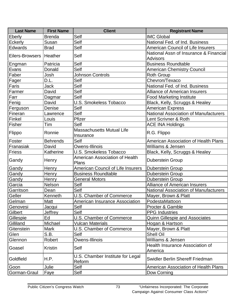| <b>Last Name</b>          | <b>First Name</b> | <b>Client</b>                                  | <b>Registrant Name</b>                                    |
|---------------------------|-------------------|------------------------------------------------|-----------------------------------------------------------|
| <b>Eberly</b>             | <b>Brenda</b>     | Self                                           | <b>IMC Global</b>                                         |
| <b>Eckerly</b>            | Susan             | Self                                           | National Fed. of Ind. Business                            |
| <b>Edwards</b>            | <b>Brad</b>       | Self                                           | American Council of Life Insurers                         |
| Eilers-Browsers   Heather |                   | Self                                           | National Assn of Insurance & Financial<br><b>Advisors</b> |
| Engman                    | Patricia          | Self                                           | <b>Business Roundtable</b>                                |
| Evans                     | Donald            | Self                                           | <b>American Chemistry Council</b>                         |
| Faber                     | Josh              | <b>Johnson Controls</b>                        | <b>Roth Group</b>                                         |
| Fager                     | D.L.              | Self                                           | Chevron/Texaco                                            |
| Faris                     | Jack              | Self                                           | National Fed. of Ind. Business                            |
| Farmer                    | David             | Self                                           | <b>Alliance of American Insurers</b>                      |
| Farr                      | Dagmar            | Self                                           | <b>Food Marketing Institute</b>                           |
| Fenig                     | David             | <b>U.S. Smokeless Tobacco</b>                  | Black, Kelly, Scruggs & Healey                            |
| Ferguson                  | Denise            | Self                                           | <b>American Express</b>                                   |
| Fineran                   | Lawrence          | Self                                           | <b>National Association of Manufacturers</b>              |
| Finkel                    | Louis             | Pfizer                                         | Lent Scrivner & Roth                                      |
| Fisher                    | Tim               | Self                                           | <b>ACE INA Holdings</b>                                   |
| Flippo                    | Ronnie            | <b>Massachusetts Mutual Life</b><br>Insurance  | R.G. Flippo                                               |
| Foster                    | <b>Behrends</b>   | Self                                           | American Association of Health Plans                      |
| Franasiak                 | David             | Owens-Illinois                                 | Williams & Jensen                                         |
| <b>Friess</b>             | Katherine         | U.S. Smokeless Tobacco                         | Black, Kelly, Scruggs & Healey                            |
| Gandy                     | Henry             | <b>American Association of Health</b><br>Plans | <b>Duberstein Group</b>                                   |
| Gandy                     | Henry             | <b>American Council of Life Insurers</b>       | <b>Duberstein Group</b>                                   |
| Gandy                     | Henry             | <b>Business Roundtable</b>                     | <b>Duberstein Group</b>                                   |
| Gandy                     | Henry             | <b>General Motors</b>                          | <b>Duberstein Group</b>                                   |
| Garcia                    | Nelson            | Self                                           | <b>Alliance of American Insurers</b>                      |
| Garritson                 | Dean              | Self                                           | National Association of Manufacturers                     |
| Geller                    | Kenneth           | <b>U.S. Chamber of Commerce</b>                | Mayer, Brown & Platt                                      |
| Gelman                    | Matt              | <b>American Insurance Association</b>          | PodestaMattoon                                            |
| Genovesi                  | Jacqui            | Self                                           | Procter & Gamble                                          |
| Gilbert                   | Jeffrey           | Self                                           | <b>PPG</b> Industries                                     |
| Gillespie                 | Ed                | U.S. Chamber of Commerce                       | <b>Quinn Gillespie and Associates</b>                     |
| Gilliland                 | Michael           | <b>Vulcan Materials</b>                        | Hogan & Hartson                                           |
| Gitenstein                | <b>Mark</b>       | U.S. Chamber of Commerce                       | Mayer, Brown & Platt                                      |
| Glen                      | S.B.              | Self                                           | <b>Shell Oil</b>                                          |
| Glennon                   | Robert            | Owens-Illinois                                 | Williams & Jensen                                         |
| Goasel                    | <b>Kristin</b>    | Self                                           | Health Insurance Association of<br>America                |
| Goldfield                 | H.P.              | U.S. Chamber Institute for Legal<br>Reform     | Swidler Berlin Shereff Friedman                           |
| Goon                      | Julie             | Self                                           | <b>American Association of Health Plans</b>               |
| Gorman-Graul              | Faye              | Self                                           | Dow Corning                                               |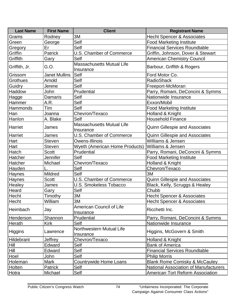| <b>Last Name</b> | <b>First Name</b>    | <b>Client</b>                                 | <b>Registrant Name</b>                       |
|------------------|----------------------|-----------------------------------------------|----------------------------------------------|
| Grams            | Rodney               | 3M                                            | <b>Hecht Spencer &amp; Associates</b>        |
| Green            | George               | Self                                          | <b>Food Marketing Institute</b>              |
| Gregory          | Er                   | Self                                          | <b>Financial Services Roundtable</b>         |
| Griffin          | Patrick              | U.S. Chamber of Commerce                      | Griffin, Johnson, Dover & Stewart            |
| Griffith         | Gary                 | Self                                          | <b>American Chemistry Council</b>            |
| Griffith, Jr.    | G.O.                 | <b>Massachusetts Mutual Life</b><br>Insurance | Barbour, Griffith & Rogers                   |
| Grissom          | <b>Janet Mullins</b> | <b>Self</b>                                   | Ford Motor Co.                               |
| <b>Grothues</b>  | Arnold               | Self                                          | <b>RadioShack</b>                            |
| Guidry           | Jerene               | Self                                          | Freeport-McMoran                             |
| Haddow           | John                 | Prudential                                    | Parry, Romani, DeConcini & Symms             |
| Hagge            | Damaris              | Self                                          | Nationwide Insurance                         |
| Hammer           | A.R.                 | Self                                          | Exxon/Mobil                                  |
| Hammonds         | Tim                  | Self                                          | <b>Food Marketing Institute</b>              |
| Han              | Joanna               | Chevron/Texaco                                | Holland & Knight                             |
| Hanlon           | A. Blake             | Self                                          | <b>Household Finance</b>                     |
| Harriet          | James                | <b>Massachusetts Mutual Life</b><br>Insurance | <b>Quinn Gillespie and Associates</b>        |
| Harriet          | James                | U.S. Chamber of Commerce                      | <b>Quinn Gillespie and Associates</b>        |
| Hart             | <b>Steven</b>        | Owens-Illinois                                | Williams & Jensen                            |
| Hart             | <b>Steven</b>        | <b>Wyeth (American Home Products)</b>         | Williams & Jensen                            |
| Hatch            | <b>Scott</b>         | Prudential                                    | Parry, Romani, DeConcini & Symms             |
| Hatcher          | Jennifer             | Self                                          | <b>Food Marketing Institute</b>              |
| Hatcher          | Michael              | Chevron/Texaco                                | Holland & Knight                             |
| Hayden           |                      | Self                                          | Chevron/Texaco                               |
| Haynes           | <b>Mildred</b>       | Self                                          | 3M                                           |
| Haynes           | <b>Scott</b>         | <b>U.S. Chamber of Commerce</b>               | <b>Quinn Gillespie and Associates</b>        |
| Healey           | James                | <b>U.S. Smokeless Tobacco</b>                 | Black, Kelly, Scruggs & Healey               |
| Heard            | Gary                 | Self                                          | Chubb                                        |
| Hecht            | Timothy              | 3M                                            | <b>Hecht Spencer &amp; Associates</b>        |
| Hecht            | William              | 3M                                            | Hecht Spencer & Associates                   |
| Heimbach         | Jay                  | <b>American Council of Life</b><br>Insurance  | Ricchetti Inc.                               |
| Henderson        | Shannon              | Prudential                                    | Parry, Romani, DeConcini & Symms             |
| Herath           | <b>Kirk</b>          | Self                                          | Nationwide Insurance                         |
| Higgins          | Lawrence             | Northwestern Mutual Life<br>Insurance         | Higgins, McGovern & Smith                    |
| Hildebrant       | Jeffrey              | Chevron/Texaco                                | Holland & Knight                             |
| Hill             | Edward               | Self                                          | <b>Bank of America</b>                       |
| Hill             | Edward               | Self                                          | <b>Financial Services Roundtable</b>         |
| Hoel             | John                 | Self                                          | <b>Philip Morris</b>                         |
| Holeman          | <b>Mark</b>          | <b>Countrywide Home Loans</b>                 | <b>Blank Rome Comisky &amp; McCauley</b>     |
| Holten           | Patrick              | Self                                          | <b>National Association of Manufacturers</b> |
| Hotra            | Michael              | Self                                          | <b>American Tort Reform Association</b>      |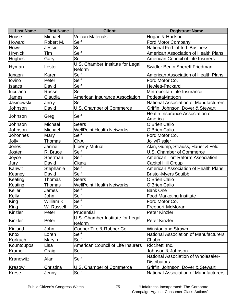| Hogan & Hartson<br>Michael<br>Vulcan Materials<br>House<br>Self<br>Robert M.<br>Howard<br><b>Ford Motor Company</b><br>Self<br>Jessie<br>National Fed. of Ind. Business<br>Howe<br>Self<br>Tim<br><b>Hrynick</b><br><b>American Association of Health Plans</b><br>Self<br>American Council of Life Insurers<br>Hughes<br>Gary<br>U.S. Chamber Institute for Legal<br>Swidler Berlin Shereff Friedman<br>Hyman<br>Lester<br>Reform<br>Self<br>Karen<br><b>American Association of Health Plans</b><br>Ignagni<br>Self<br>Peter<br>Ford Motor Co.<br>lovino<br>Self<br>Hewlett-Packard<br>David<br><b>Isaacs</b><br>Self<br>luculano<br><b>Russel</b><br>Metropolitan Life Insurance<br>Claudia<br>PodestaMattoon<br><b>American Insurance Association</b><br>James<br>Jasinowski<br>Self<br><b>National Association of Manufacturers</b><br>Jerry<br>U.S. Chamber of Commerce<br>David<br>Griffin, Johnson, Dover & Stewart<br>Johnson<br><b>Health Insurance Association of</b><br>Self<br>Johnson<br>Greg<br>America<br>Michael<br><b>Sears</b><br>O'Brien Calio<br>Johnson<br><b>WellPoint Health Networks</b><br>Michael<br>O'Brien Calio<br>Johnson<br>Self<br>Ford Motor Co.<br><b>Johonnes</b><br>Mary<br><b>CNA</b><br>Jolly/Rissler<br>Jolly<br>Thomas<br>Akin, Gump, Strauss, Hauer & Feld<br>Jones<br>Janine<br><b>Liberty Mutual</b><br>R. Bruce<br>Self<br>U.S. Chamber of Commerce<br>Josten<br>Self<br>Sherman<br>Joyce<br><b>American Tort Reform Association</b><br>David<br>Cigna<br><b>Capitol Hill Group</b><br>Jury<br>Self<br>Kanwit<br>American Association of Health Plans<br>Stephanie<br>Self<br>Keaney<br>David<br><b>Bristol-Myers Squibb</b><br><b>Thomas</b><br><b>Sears</b><br>O'Brien Calio<br>Keating<br><b>WellPoint Health Networks</b><br>Keating<br>Thomas<br>O'Brien Calio<br>Self<br>Keller<br>James<br><b>Bank One</b><br>Kelly<br>Self<br>John<br><b>Food Marketing Institute</b><br>King<br>William K.<br>Ford Motor Co.<br>Self<br>Self<br>W. Russell<br>Freeport-McMoran | <b>Last Name</b> | <b>First Name</b> | <b>Client</b> | <b>Registrant Name</b> |
|----------------------------------------------------------------------------------------------------------------------------------------------------------------------------------------------------------------------------------------------------------------------------------------------------------------------------------------------------------------------------------------------------------------------------------------------------------------------------------------------------------------------------------------------------------------------------------------------------------------------------------------------------------------------------------------------------------------------------------------------------------------------------------------------------------------------------------------------------------------------------------------------------------------------------------------------------------------------------------------------------------------------------------------------------------------------------------------------------------------------------------------------------------------------------------------------------------------------------------------------------------------------------------------------------------------------------------------------------------------------------------------------------------------------------------------------------------------------------------------------------------------------------------------------------------------------------------------------------------------------------------------------------------------------------------------------------------------------------------------------------------------------------------------------------------------------------------------------------------------------------------------------------------------------------------------------------------------------------------------------------------------------|------------------|-------------------|---------------|------------------------|
|                                                                                                                                                                                                                                                                                                                                                                                                                                                                                                                                                                                                                                                                                                                                                                                                                                                                                                                                                                                                                                                                                                                                                                                                                                                                                                                                                                                                                                                                                                                                                                                                                                                                                                                                                                                                                                                                                                                                                                                                                      |                  |                   |               |                        |
|                                                                                                                                                                                                                                                                                                                                                                                                                                                                                                                                                                                                                                                                                                                                                                                                                                                                                                                                                                                                                                                                                                                                                                                                                                                                                                                                                                                                                                                                                                                                                                                                                                                                                                                                                                                                                                                                                                                                                                                                                      |                  |                   |               |                        |
|                                                                                                                                                                                                                                                                                                                                                                                                                                                                                                                                                                                                                                                                                                                                                                                                                                                                                                                                                                                                                                                                                                                                                                                                                                                                                                                                                                                                                                                                                                                                                                                                                                                                                                                                                                                                                                                                                                                                                                                                                      |                  |                   |               |                        |
|                                                                                                                                                                                                                                                                                                                                                                                                                                                                                                                                                                                                                                                                                                                                                                                                                                                                                                                                                                                                                                                                                                                                                                                                                                                                                                                                                                                                                                                                                                                                                                                                                                                                                                                                                                                                                                                                                                                                                                                                                      |                  |                   |               |                        |
|                                                                                                                                                                                                                                                                                                                                                                                                                                                                                                                                                                                                                                                                                                                                                                                                                                                                                                                                                                                                                                                                                                                                                                                                                                                                                                                                                                                                                                                                                                                                                                                                                                                                                                                                                                                                                                                                                                                                                                                                                      |                  |                   |               |                        |
|                                                                                                                                                                                                                                                                                                                                                                                                                                                                                                                                                                                                                                                                                                                                                                                                                                                                                                                                                                                                                                                                                                                                                                                                                                                                                                                                                                                                                                                                                                                                                                                                                                                                                                                                                                                                                                                                                                                                                                                                                      |                  |                   |               |                        |
|                                                                                                                                                                                                                                                                                                                                                                                                                                                                                                                                                                                                                                                                                                                                                                                                                                                                                                                                                                                                                                                                                                                                                                                                                                                                                                                                                                                                                                                                                                                                                                                                                                                                                                                                                                                                                                                                                                                                                                                                                      |                  |                   |               |                        |
|                                                                                                                                                                                                                                                                                                                                                                                                                                                                                                                                                                                                                                                                                                                                                                                                                                                                                                                                                                                                                                                                                                                                                                                                                                                                                                                                                                                                                                                                                                                                                                                                                                                                                                                                                                                                                                                                                                                                                                                                                      |                  |                   |               |                        |
|                                                                                                                                                                                                                                                                                                                                                                                                                                                                                                                                                                                                                                                                                                                                                                                                                                                                                                                                                                                                                                                                                                                                                                                                                                                                                                                                                                                                                                                                                                                                                                                                                                                                                                                                                                                                                                                                                                                                                                                                                      |                  |                   |               |                        |
|                                                                                                                                                                                                                                                                                                                                                                                                                                                                                                                                                                                                                                                                                                                                                                                                                                                                                                                                                                                                                                                                                                                                                                                                                                                                                                                                                                                                                                                                                                                                                                                                                                                                                                                                                                                                                                                                                                                                                                                                                      |                  |                   |               |                        |
|                                                                                                                                                                                                                                                                                                                                                                                                                                                                                                                                                                                                                                                                                                                                                                                                                                                                                                                                                                                                                                                                                                                                                                                                                                                                                                                                                                                                                                                                                                                                                                                                                                                                                                                                                                                                                                                                                                                                                                                                                      |                  |                   |               |                        |
|                                                                                                                                                                                                                                                                                                                                                                                                                                                                                                                                                                                                                                                                                                                                                                                                                                                                                                                                                                                                                                                                                                                                                                                                                                                                                                                                                                                                                                                                                                                                                                                                                                                                                                                                                                                                                                                                                                                                                                                                                      |                  |                   |               |                        |
|                                                                                                                                                                                                                                                                                                                                                                                                                                                                                                                                                                                                                                                                                                                                                                                                                                                                                                                                                                                                                                                                                                                                                                                                                                                                                                                                                                                                                                                                                                                                                                                                                                                                                                                                                                                                                                                                                                                                                                                                                      |                  |                   |               |                        |
|                                                                                                                                                                                                                                                                                                                                                                                                                                                                                                                                                                                                                                                                                                                                                                                                                                                                                                                                                                                                                                                                                                                                                                                                                                                                                                                                                                                                                                                                                                                                                                                                                                                                                                                                                                                                                                                                                                                                                                                                                      |                  |                   |               |                        |
|                                                                                                                                                                                                                                                                                                                                                                                                                                                                                                                                                                                                                                                                                                                                                                                                                                                                                                                                                                                                                                                                                                                                                                                                                                                                                                                                                                                                                                                                                                                                                                                                                                                                                                                                                                                                                                                                                                                                                                                                                      |                  |                   |               |                        |
|                                                                                                                                                                                                                                                                                                                                                                                                                                                                                                                                                                                                                                                                                                                                                                                                                                                                                                                                                                                                                                                                                                                                                                                                                                                                                                                                                                                                                                                                                                                                                                                                                                                                                                                                                                                                                                                                                                                                                                                                                      |                  |                   |               |                        |
|                                                                                                                                                                                                                                                                                                                                                                                                                                                                                                                                                                                                                                                                                                                                                                                                                                                                                                                                                                                                                                                                                                                                                                                                                                                                                                                                                                                                                                                                                                                                                                                                                                                                                                                                                                                                                                                                                                                                                                                                                      |                  |                   |               |                        |
|                                                                                                                                                                                                                                                                                                                                                                                                                                                                                                                                                                                                                                                                                                                                                                                                                                                                                                                                                                                                                                                                                                                                                                                                                                                                                                                                                                                                                                                                                                                                                                                                                                                                                                                                                                                                                                                                                                                                                                                                                      |                  |                   |               |                        |
|                                                                                                                                                                                                                                                                                                                                                                                                                                                                                                                                                                                                                                                                                                                                                                                                                                                                                                                                                                                                                                                                                                                                                                                                                                                                                                                                                                                                                                                                                                                                                                                                                                                                                                                                                                                                                                                                                                                                                                                                                      |                  |                   |               |                        |
|                                                                                                                                                                                                                                                                                                                                                                                                                                                                                                                                                                                                                                                                                                                                                                                                                                                                                                                                                                                                                                                                                                                                                                                                                                                                                                                                                                                                                                                                                                                                                                                                                                                                                                                                                                                                                                                                                                                                                                                                                      |                  |                   |               |                        |
|                                                                                                                                                                                                                                                                                                                                                                                                                                                                                                                                                                                                                                                                                                                                                                                                                                                                                                                                                                                                                                                                                                                                                                                                                                                                                                                                                                                                                                                                                                                                                                                                                                                                                                                                                                                                                                                                                                                                                                                                                      |                  |                   |               |                        |
|                                                                                                                                                                                                                                                                                                                                                                                                                                                                                                                                                                                                                                                                                                                                                                                                                                                                                                                                                                                                                                                                                                                                                                                                                                                                                                                                                                                                                                                                                                                                                                                                                                                                                                                                                                                                                                                                                                                                                                                                                      |                  |                   |               |                        |
|                                                                                                                                                                                                                                                                                                                                                                                                                                                                                                                                                                                                                                                                                                                                                                                                                                                                                                                                                                                                                                                                                                                                                                                                                                                                                                                                                                                                                                                                                                                                                                                                                                                                                                                                                                                                                                                                                                                                                                                                                      |                  |                   |               |                        |
|                                                                                                                                                                                                                                                                                                                                                                                                                                                                                                                                                                                                                                                                                                                                                                                                                                                                                                                                                                                                                                                                                                                                                                                                                                                                                                                                                                                                                                                                                                                                                                                                                                                                                                                                                                                                                                                                                                                                                                                                                      |                  |                   |               |                        |
|                                                                                                                                                                                                                                                                                                                                                                                                                                                                                                                                                                                                                                                                                                                                                                                                                                                                                                                                                                                                                                                                                                                                                                                                                                                                                                                                                                                                                                                                                                                                                                                                                                                                                                                                                                                                                                                                                                                                                                                                                      |                  |                   |               |                        |
|                                                                                                                                                                                                                                                                                                                                                                                                                                                                                                                                                                                                                                                                                                                                                                                                                                                                                                                                                                                                                                                                                                                                                                                                                                                                                                                                                                                                                                                                                                                                                                                                                                                                                                                                                                                                                                                                                                                                                                                                                      |                  |                   |               |                        |
|                                                                                                                                                                                                                                                                                                                                                                                                                                                                                                                                                                                                                                                                                                                                                                                                                                                                                                                                                                                                                                                                                                                                                                                                                                                                                                                                                                                                                                                                                                                                                                                                                                                                                                                                                                                                                                                                                                                                                                                                                      |                  |                   |               |                        |
|                                                                                                                                                                                                                                                                                                                                                                                                                                                                                                                                                                                                                                                                                                                                                                                                                                                                                                                                                                                                                                                                                                                                                                                                                                                                                                                                                                                                                                                                                                                                                                                                                                                                                                                                                                                                                                                                                                                                                                                                                      |                  |                   |               |                        |
|                                                                                                                                                                                                                                                                                                                                                                                                                                                                                                                                                                                                                                                                                                                                                                                                                                                                                                                                                                                                                                                                                                                                                                                                                                                                                                                                                                                                                                                                                                                                                                                                                                                                                                                                                                                                                                                                                                                                                                                                                      |                  |                   |               |                        |
|                                                                                                                                                                                                                                                                                                                                                                                                                                                                                                                                                                                                                                                                                                                                                                                                                                                                                                                                                                                                                                                                                                                                                                                                                                                                                                                                                                                                                                                                                                                                                                                                                                                                                                                                                                                                                                                                                                                                                                                                                      |                  |                   |               |                        |
|                                                                                                                                                                                                                                                                                                                                                                                                                                                                                                                                                                                                                                                                                                                                                                                                                                                                                                                                                                                                                                                                                                                                                                                                                                                                                                                                                                                                                                                                                                                                                                                                                                                                                                                                                                                                                                                                                                                                                                                                                      | King             |                   |               |                        |
| Prudential<br>Peter<br><b>Peter Kinzler</b>                                                                                                                                                                                                                                                                                                                                                                                                                                                                                                                                                                                                                                                                                                                                                                                                                                                                                                                                                                                                                                                                                                                                                                                                                                                                                                                                                                                                                                                                                                                                                                                                                                                                                                                                                                                                                                                                                                                                                                          | Kinzler          |                   |               |                        |
| U.S. Chamber Institute for Legal<br>Peter Kinzler<br>Peter<br>Reform                                                                                                                                                                                                                                                                                                                                                                                                                                                                                                                                                                                                                                                                                                                                                                                                                                                                                                                                                                                                                                                                                                                                                                                                                                                                                                                                                                                                                                                                                                                                                                                                                                                                                                                                                                                                                                                                                                                                                 | Kinzler          |                   |               |                        |
| Cooper Tire & Rubber Co.<br>John<br><b>Winston and Strawn</b>                                                                                                                                                                                                                                                                                                                                                                                                                                                                                                                                                                                                                                                                                                                                                                                                                                                                                                                                                                                                                                                                                                                                                                                                                                                                                                                                                                                                                                                                                                                                                                                                                                                                                                                                                                                                                                                                                                                                                        | Kirtland         |                   |               |                        |
| Self<br><b>National Association of Manufacturers</b><br>Loren                                                                                                                                                                                                                                                                                                                                                                                                                                                                                                                                                                                                                                                                                                                                                                                                                                                                                                                                                                                                                                                                                                                                                                                                                                                                                                                                                                                                                                                                                                                                                                                                                                                                                                                                                                                                                                                                                                                                                        | Knox             |                   |               |                        |
| Chubb<br>Self<br>MaryLu                                                                                                                                                                                                                                                                                                                                                                                                                                                                                                                                                                                                                                                                                                                                                                                                                                                                                                                                                                                                                                                                                                                                                                                                                                                                                                                                                                                                                                                                                                                                                                                                                                                                                                                                                                                                                                                                                                                                                                                              | Korkuch          |                   |               |                        |
| <b>American Council of Life Insurers</b><br>Lisa<br>Ricchetti Inc.                                                                                                                                                                                                                                                                                                                                                                                                                                                                                                                                                                                                                                                                                                                                                                                                                                                                                                                                                                                                                                                                                                                                                                                                                                                                                                                                                                                                                                                                                                                                                                                                                                                                                                                                                                                                                                                                                                                                                   | Kountoupos       |                   |               |                        |
| Self<br>Craig<br>Johnson & Johnson                                                                                                                                                                                                                                                                                                                                                                                                                                                                                                                                                                                                                                                                                                                                                                                                                                                                                                                                                                                                                                                                                                                                                                                                                                                                                                                                                                                                                                                                                                                                                                                                                                                                                                                                                                                                                                                                                                                                                                                   | Kramer           |                   |               |                        |
| <b>National Association of Wholesaler-</b><br>Alan<br><b>Self</b><br><b>Distributors</b>                                                                                                                                                                                                                                                                                                                                                                                                                                                                                                                                                                                                                                                                                                                                                                                                                                                                                                                                                                                                                                                                                                                                                                                                                                                                                                                                                                                                                                                                                                                                                                                                                                                                                                                                                                                                                                                                                                                             | Kranowitz        |                   |               |                        |
| Christina<br>U.S. Chamber of Commerce<br>Griffin, Johnson, Dover & Stewart                                                                                                                                                                                                                                                                                                                                                                                                                                                                                                                                                                                                                                                                                                                                                                                                                                                                                                                                                                                                                                                                                                                                                                                                                                                                                                                                                                                                                                                                                                                                                                                                                                                                                                                                                                                                                                                                                                                                           | Krasow           |                   |               |                        |
| Self<br>National Association of Manufacturers<br>Jenny                                                                                                                                                                                                                                                                                                                                                                                                                                                                                                                                                                                                                                                                                                                                                                                                                                                                                                                                                                                                                                                                                                                                                                                                                                                                                                                                                                                                                                                                                                                                                                                                                                                                                                                                                                                                                                                                                                                                                               | <b>Krese</b>     |                   |               |                        |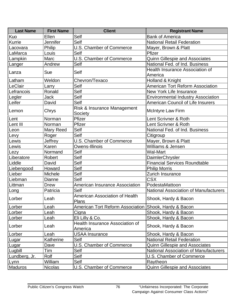| <b>Last Name</b> | <b>First Name</b> | <b>Client</b>                                         | <b>Registrant Name</b>                            |
|------------------|-------------------|-------------------------------------------------------|---------------------------------------------------|
| Kuo              | Ellen             | Self                                                  | <b>Bank of America</b>                            |
| Kurrie           | <b>Jennifer</b>   | Self                                                  | <b>National Retail Federation</b>                 |
| Lacovara         | Philip            | <b>U.S. Chamber of Commerce</b>                       | Mayer, Brown & Platt                              |
| LaMarca          | Louis             | Self                                                  | Pfizer                                            |
| Lampkin          | Marc              | U.S. Chamber of Commerce                              | <b>Quinn Gillespie and Associates</b>             |
| Langer           | Andrew            | Self                                                  | National Fed. of Ind. Business                    |
| Lanza            | Sue               | Self                                                  | <b>Health Insurance Association of</b><br>America |
| Latham           | Weldon            | Chevron/Texaco                                        | Holland & Knight                                  |
| LeClair          | Larry             | Self                                                  | <b>American Tort Reform Association</b>           |
| Lefrancois       | Ronald            | Self                                                  | New York Life Insurance                           |
| Legler           | <b>Jack</b>       | Self                                                  | <b>Environmental Industry Association</b>         |
| Leifer           | David             | Self                                                  | <b>American Council of Life Insurers</b>          |
| Lemon            | Chrys             | Risk & Insurance Management<br>Society                | <b>McIntyre Law Firm</b>                          |
| Lent             | Norman            | Pfizer                                                | Lent Scrivner & Roth                              |
| Lent III         | Norman            | Pfizer                                                | Lent Scrivner & Roth                              |
| Leon             | Mary Reed         | Self                                                  | National Fed. of Ind. Business                    |
| Levy             | Roger             | Self                                                  | Citigroup                                         |
| Lewis            | Jeffrey           | U.S. Chamber of Commerce                              | Mayer, Brown & Platt                              |
| Lewis            | Karen             | Owens-Illinois                                        | Williams & Jensen                                 |
| Lezy             | Normand           | Self                                                  | <b>Wal-Mart</b>                                   |
| Liberatore       | Robert            | Self                                                  | <b>DaimlerChrysler</b>                            |
| Liddle           | David             | Self                                                  | <b>Financial Services Roundtable</b>              |
| Liebengood       | Howard            | Self                                                  | <b>Philip Morris</b>                              |
| Lieber           | Michele           | Self                                                  | Zurich Insurance                                  |
| Liebman          | Dianne            | Self                                                  | <b>CSX</b>                                        |
| Littman          | <b>Drew</b>       | <b>American Insurance Association</b>                 | PodestaMattoon                                    |
| Long             | Patricia          | Self                                                  | <b>National Association of Manufacturers</b>      |
| Lorber           | Leah              | American Association of Health<br>Plans               | Shook, Hardy & Bacon                              |
| Lorber           | Leah              | American Tort Reform Association Shook, Hardy & Bacon |                                                   |
| Lorber           | Leah              | Cigna                                                 | Shook, Hardy & Bacon                              |
| Lorber           | Leah              | Eli Lilly & Co.                                       | Shook, Hardy & Bacon                              |
| Lorber           | Leah              | <b>Health Insurance Association of</b><br>America     | Shook, Hardy & Bacon                              |
| Lorber           | Leah              | <b>USAA Insurance</b>                                 | Shook, Hardy & Bacon                              |
| Lugar            | Katherine         | Self                                                  | <b>National Retail Federation</b>                 |
| Lugar            | Dave              | U.S. Chamber of Commerce                              | <b>Quinn Gillespie and Associates</b>             |
| Lugbill          | Tim               | Self                                                  | <b>National Association of Manufacturers</b>      |
| Lundberg, Jr.    | Rolf              | Self                                                  | U.S. Chamber of Commerce                          |
| Lynn             | William           | Self                                                  | Raytheon                                          |
| Maduros          | <b>Nicolas</b>    | U.S. Chamber of Commerce                              | Quinn Gillespie and Associates                    |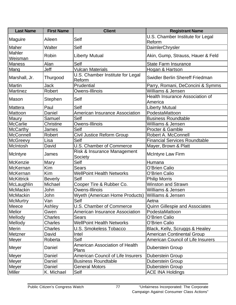| <b>Last Name</b>  | <b>First Name</b> | <b>Client</b>                              | <b>Registrant Name</b>                            |
|-------------------|-------------------|--------------------------------------------|---------------------------------------------------|
| Maguire           | Aileen            | Self                                       | U.S. Chamber Institute for Legal<br>Reform        |
| Maher             | <b>Walter</b>     | Self                                       | DaimlerChrysler                                   |
| Mahler<br>Weisman | Robin             | <b>Liberty Mutual</b>                      | Akin, Gump, Strauss, Hauer & Feld                 |
| <b>Maness</b>     | Alan              | Self                                       | <b>State Farm Insurance</b>                       |
| Mang              | Jeff              | <b>Vulcan Materials</b>                    | Hogan & Hartson                                   |
| Marshall, Jr.     | Thurgood          | U.S. Chamber Institute for Legal<br>Reform | Swidler Berlin Shereff Friedman                   |
| Martin            | Jack              | Prudential                                 | Parry, Romani, DeConcini & Symms                  |
| Martinez          | Robert            | Owens-Illinois                             | Williams & Jensen                                 |
| Mason             | Stephen           | Self                                       | <b>Health Insurance Association of</b><br>America |
| Mattera           | Paul              | Self                                       | <b>Liberty Mutual</b>                             |
| Mattoon           | Daniel            | <b>American Insurance Association</b>      | PodestaMattoon                                    |
| Maury             | Samuel            | Self                                       | <b>Business Roundtable</b>                        |
| <b>McCarlie</b>   | Christine         | Owens-Illinois                             | Williams & Jensen                                 |
| <b>McCarthy</b>   | James             | Self                                       | Procter & Gamble                                  |
| <b>McConnell</b>  | Robert            | Civil Justice Reform Group                 | Robert A. McConnell                               |
| <b>McGreevy</b>   | Lisa              | Self                                       | <b>Financial Services Roundtable</b>              |
| McIntosh          | David             | U.S. Chamber of Commerce                   | Mayer, Brown & Platt                              |
| McIntyre          | James             | Risk & Insurance Management<br>Society     | <b>McIntyre Law Firm</b>                          |
| McKenzie          | Mary              | Self                                       | Humana                                            |
| McKernan          | Kim               | <b>Sears</b>                               | O'Brien Calio                                     |
| McKernan          | Kim               | <b>WellPoint Health Networks</b>           | O'Brien Calio                                     |
| <b>McKittrick</b> | <b>Beverly</b>    | Self                                       | <b>Philip Morris</b>                              |
| McLaughlin        | Michael           | Cooper Tire & Rubber Co.                   | <b>Winston and Strawn</b>                         |
| McMackin          | John              | Owens-Illinois                             | Williams & Jensen                                 |
| McMackin          | John              | <b>Wyeth (American Home Products)</b>      | Williams & Jensen                                 |
| <b>McMurtry</b>   | Van               | Self                                       | Aetna                                             |
| Meece             | Ashley            | <b>U.S. Chamber of Commerce</b>            | <b>Quinn Gillespie and Associates</b>             |
| Melior            | Gwen              | <b>American Insurance Association</b>      | PodestaMattoon                                    |
| Mellody           | Charles           | <b>Sears</b>                               | O'Brien Calio                                     |
| Mellody           | Charles           | <b>WellPoint Health Networks</b>           | O'Brien Calio                                     |
| Merin             | Charles           | <b>U.S. Smokeless Tobacco</b>              | Black, Kelly, Scruggs & Healey                    |
| Metzner           | David             | Intel                                      | <b>American Continental Group</b>                 |
| Meyer             | Roberta           | Self                                       | <b>American Council of Life Insurers</b>          |
| Meyer             | Daniel            | American Association of Health<br>Plans    | <b>Duberstein Group</b>                           |
| Meyer             | Daniel            | <b>American Council of Life Insurers</b>   | <b>Duberstein Group</b>                           |
| Meyer             | Daniel            | <b>Business Roundtable</b>                 | Duberstein Group                                  |
| Meyer             | Daniel            | <b>General Motors</b>                      | <b>Duberstein Group</b>                           |
| Miller            | K. Michael        | Self                                       | <b>ACE INA Holdings</b>                           |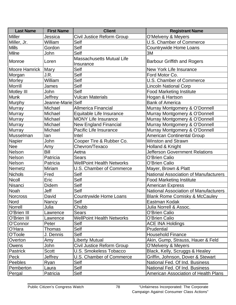| <b>Last Name</b>     | <b>First Name</b> | <b>Client</b>                                 | <b>Registrant Name</b>                       |
|----------------------|-------------------|-----------------------------------------------|----------------------------------------------|
| <b>Miller</b>        | Jessica           | Civil Justice Reform Group                    | O'Melveny & Meyers                           |
| Miller, Jr.          | William           | Self                                          | U.S. Chamber of Commerce                     |
| <b>Mills</b>         | Gordon            | Self                                          | <b>Countrywide Home Loans</b>                |
| Milne                | John              | Self                                          | 3M                                           |
| Monroe               | Loren             | <b>Massachusetts Mutual Life</b><br>Insurance | <b>Barbour Griffith and Rogers</b>           |
| Moore Hamrick   Mary |                   | Self                                          | New York Life Insurance                      |
| Morgan               | J.R.              | Self                                          | Ford Motor Co.                               |
| Morley               | William           | Self                                          | U.S. Chamber of Commerce                     |
| Morrill              | James             | Self                                          | <b>Lincoln National Corp</b>                 |
| Motley III           | John              | Self                                          | <b>Food Marketing Institute</b>              |
| <b>Munk</b>          | Jeffrey           | <b>Vulcan Materials</b>                       | Hogan & Hartson                              |
| Murphy               | Jeanne-Marie Self |                                               | <b>Bank of America</b>                       |
| Murray               | Michael           | <b>Allmerica Financial</b>                    | Murray Montgomery & O'Donnell                |
| <b>Murray</b>        | Michael           | Equitable Life Insurance                      | Murray Montgomery & O'Donnell                |
| <b>Murray</b>        | Michael           | <b>MONY Life Insurance</b>                    | Murray Montgomery & O'Donnell                |
| Murray               | Michael           | <b>New England Financial</b>                  | Murray Montgomery & O'Donnell                |
| <b>Murray</b>        | Michael           | Pacific Life Insurance                        | Murray Montgomery & O'Donnell                |
| Musselman            | lan               | Intel                                         | <b>American Continental Group</b>            |
| Napier               | John              | Cooper Tire & Rubber Co.                      | <b>Winston and Strawn</b>                    |
| <b>Nee</b>           | Amy               | Chevron/Texaco                                | Holland & Knight                             |
| Nelson               | Bill              | Aetna                                         | <b>Jefferson Government Relations</b>        |
| Nelson               | Patricia          | <b>Sears</b>                                  | O'Brien Calio                                |
| Nelson               | Patricia          | <b>WellPoint Health Networks</b>              | O'Brien Calio                                |
| <b>Nemetz</b>        | Miriam            | U.S. Chamber of Commerce                      | Mayer, Brown & Platt                         |
| <b>Nichols</b>       | Fred              | Self                                          | <b>National Association of Manufacturers</b> |
| Nicoll               | Eric              | Self                                          | <b>Food Marketing Institute</b>              |
| Nisanci              | Didem             | Self                                          | <b>American Express</b>                      |
| Noah                 | Jeff              | Self                                          | <b>National Association of Manufacturers</b> |
| <b>Norcross</b>      | David             | Countrywide Home Loans                        | <b>Blank Rome Comisky &amp; McCauley</b>     |
| Nord                 | Nancy             | Self                                          | Eastman Kodak                                |
| Norrell              | Julia             | Chubb                                         | Julia Norrell & Assoc.                       |
| O'Brien III          | Lawrence          | <b>Sears</b>                                  | O'Brien Calio                                |
| O'Brien III          | Lawrence          | <b>WellPoint Health Networks</b>              | O'Brien Calio                                |
| O'Connor             | Peter             | Self                                          | <b>ACE INA Holdings</b>                      |
| O'Hara               | Thomas            | Self                                          | Prudential                                   |
| O'Toole              | J. Dennis         | Self                                          | <b>Household Finance</b>                     |
| Overton              | Amy               | <b>Liberty Mutual</b>                         | Akin, Gump, Strauss, Hauer & Feld            |
| Owens                | John              | Civil Justice Reform Group                    | O'Melveny & Meyers                           |
| Pastrick             | <b>Scott</b>      | <b>U.S. Smokeless Tobacco</b>                 | Black, Kelly, Scruggs & Healey               |
| Peck                 | Jeffrey           | <b>U.S. Chamber of Commerce</b>               | Griffin, Johnson, Dover & Stewart            |
| Peebles              | Ryan              | Self                                          | National Fed. Of Ind. Business               |
| Pemberton            | Laura             | Self                                          | National Fed. Of Ind. Business               |
| Pergal               | Patricia          | Self                                          | American Association of Health Plans         |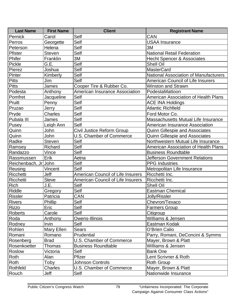| <b>Last Name</b>     | <b>First Name</b> | <b>Client</b>                            | <b>Registrant Name</b>                       |
|----------------------|-------------------|------------------------------------------|----------------------------------------------|
| Pernick              | Carol             | Self                                     | CAN                                          |
| Perros               | Georgette         | Self                                     | <b>USAA Insurance</b>                        |
| Peterson             | Helena            | Self                                     | 3M                                           |
| Pfister              | <b>Steven</b>     | Self                                     | <b>National Retail Federation</b>            |
| Phifer               | Franklin          | 3M                                       | <b>Hecht Spencer &amp; Associates</b>        |
| Pickle               | G.E.              | Self                                     | <b>Shell Oil</b>                             |
| Pierez               | Joshua            | Self                                     | <b>MasterCard</b>                            |
| Pinter               | Kimberly          | Self                                     | <b>National Association of Manufacturers</b> |
| <b>Pitts</b>         | Jim               | Self                                     | <b>American Council of Life Insurers</b>     |
| <b>Pitts</b>         | James             | Cooper Tire & Rubber Co.                 | <b>Winston and Strawn</b>                    |
| Podesta              | Anthony           | <b>American Insurance Association</b>    | PodestaMattoon                               |
| Pomfret              | Jacqueline        | Self                                     | <b>American Association of Health Plans</b>  |
| Pruitt               | Penny             | Self                                     | <b>ACE INA Holdings</b>                      |
| Pruzao               | Jerry             | Self                                     | <b>Atlantic Richfield</b>                    |
| Pryde                | <b>Charles</b>    | Self                                     | Ford Motor Co.                               |
| Pubala III           | James             | Self                                     | Massachusetts Mutual Life Insurance          |
| Pusey                | Leigh Ann         | Self                                     | American Insurance Association               |
| Quinn                | John              | Civil Justice Reform Group               | <b>Quinn Gillespie and Associates</b>        |
| Quinn                | John              | U.S. Chamber of Commerce                 | <b>Quinn Gillespie and Associates</b>        |
| Radke                | <b>Steven</b>     | Self                                     | Northwestern Mutual Life Insurance           |
| Ramsey               | Richard           | Self                                     | <b>American Association of Health Plans</b>  |
| Randazzo             | Vince             | Self                                     | <b>Business Roundtable</b>                   |
| Rassmussen           | Erik              | Aetna                                    | <b>Jefferson Government Relations</b>        |
| Reichenbach, Jr John |                   | Self                                     | <b>PPG</b> Industries                        |
| Reusing              | Vincent           | Self                                     | Metropolitan Life Insurance                  |
| Ricchetti            | Jeff              | <b>American Council of Life Insurers</b> | Ricchetti Inc.                               |
| Ricchetti            | <b>Steve</b>      | <b>American Council of Life Insurers</b> | Ricchetti Inc.                               |
| <b>Rich</b>          | J.E.              | Self                                     | <b>Shell Oil</b>                             |
| Riddle               | Gregory           | Self                                     | <b>Eastman Chemical</b>                      |
| <b>Rissler</b>       | Patricia          | CAN                                      | Jolly/Rissler                                |
| Rivers               | Phillip           | Self                                     | Chevron/Texaco                               |
| <b>Rizzo</b>         | Eric              | Self                                     | Farmers Group                                |
| Roberts              | Carole            | Self                                     | Citigroup                                    |
| Roda                 | Anthony           | Owens-Illinois                           | Williams & Jensen                            |
| Rodney               | Irvin             | Self                                     | Eastman Kodak                                |
| Rohlen               | Mary Ellen        | <b>Sears</b>                             | O'Brien Calio                                |
| Romani               | Romano            | Prudential                               | Parry, Romani, DeConcini & Symms             |
| Rosenberg            | <b>Brad</b>       | U.S. Chamber of Commerce                 | Mayer, Brown & Platt                         |
| Rosenkoetter         | Thomas            | <b>Business Roundtable</b>               | Williams & Jensen                            |
| Roslow               | Victoria          | Self                                     | <b>Bank One</b>                              |
| Roth                 | Alan              | Pfizer                                   | Lent Scrivner & Roth                         |
| Roth                 | Toby              | <b>Johnson Controls</b>                  | <b>Roth Group</b>                            |
| Rothfeld             | Charles           | U.S. Chamber of Commerce                 | Mayer, Brown & Platt                         |
| Rouch                | Jeff              | Self                                     | Nationwide Insurance                         |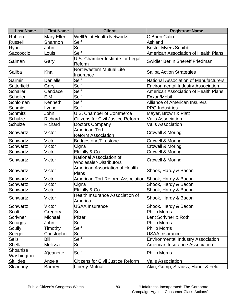| <b>Last Name</b>       | <b>First Name</b> | <b>Client</b>                                             | <b>Registrant Name</b>                       |
|------------------------|-------------------|-----------------------------------------------------------|----------------------------------------------|
| Ruhlen                 | Mary Ellen        | <b>WellPoint Health Networks</b>                          | O'Brien Calio                                |
| <b>Russell</b>         | Shannon           | Self                                                      | Ashland                                      |
| <b>Ryan</b>            | John              | Self                                                      | <b>Bristol-Myers Squibb</b>                  |
| Saccoccio              | Louis             | Self                                                      | American Association of Health Plans         |
| Saiman                 | Gary              | U.S. Chamber Institute for Legal<br>Reform                | Swidler Berlin Shereff Friedman              |
| Saliba                 | Khalil            | <b>Northwestern Mutual Life</b><br>Insurance              | <b>Saliba Action Strategies</b>              |
| Sarmir                 | Danielle          | Self                                                      | <b>National Association of Manufacturers</b> |
| Satterfield            | Gary              | Self                                                      | <b>Environmental Industry Association</b>    |
| <b>Schaller</b>        | Candace           | Self                                                      | American Association of Health Plans         |
| <b>Scheller</b>        | E.M.              | Self                                                      | Exxon/Mobil                                  |
| Schloman               | Kenneth           | Self                                                      | <b>Alliance of American Insurers</b>         |
| Schmidt                | Lynne             | Self                                                      | <b>PPG</b> Industries                        |
| <b>Schmitz</b>         | John              | <b>U.S. Chamber of Commerce</b>                           | Mayer, Brown & Platt                         |
| <b>Schulze</b>         | Richard           | <b>Citizens for Civil Justice Reform</b>                  | <b>Valis Association</b>                     |
| <b>Schulze</b>         | Richard           | Doctors Company                                           | <b>Valis Association</b>                     |
| <b>Schwartz</b>        | Victor            | <b>American Tort</b><br><b>Reform Association</b>         | <b>Crowell &amp; Moring</b>                  |
| <b>Schwartz</b>        | Victor            | <b>Bridgestone/Firestone</b>                              | <b>Crowell &amp; Moring</b>                  |
| <b>Schwartz</b>        | Victor            | Cigna                                                     | <b>Crowell &amp; Moring</b>                  |
| <b>Schwartz</b>        | Victor            | Eli Lilly & Co.                                           | <b>Crowell &amp; Moring</b>                  |
| <b>Schwartz</b>        | Victor            | National Association of<br><b>Wholesaler-Distributors</b> | <b>Crowell &amp; Moring</b>                  |
| Schwartz               | Victor            | <b>American Association of Health</b><br>Plans            | Shook, Hardy & Bacon                         |
| <b>Schwartz</b>        | Victor            | American Tort Reform Association                          | Shook, Hardy & Bacon                         |
| <b>Schwartz</b>        | Victor            | Cigna                                                     | Shook, Hardy & Bacon                         |
| <b>Schwartz</b>        | Victor            | Eli Lilly & Co.                                           | Shook, Hardy & Bacon                         |
| Schwartz               | Victor            | <b>Health Insurance Association of</b><br>America         | Shook, Hardy & Bacon                         |
| Schwartz               | Victor            | <b>USAA Insurance</b>                                     | Shook, Hardy & Bacon                         |
| <b>Scott</b>           | Gregory           | Self                                                      | <b>Philip Morris</b>                         |
| Scrivner               | Michael           | Pfizer                                                    | Lent Scrivner & Roth                         |
| Scruggs                | John              | Self                                                      | <b>Philip Morris</b>                         |
| <b>Scully</b>          | Timothy           | Self                                                      | <b>Philip Morris</b>                         |
| Seeger                 | Christopher       | Self                                                      | <b>USAA Insurance</b>                        |
| <b>Sells</b>           | Bill              | Self                                                      | <b>Environmental Industry Association</b>    |
| <b>Shelk</b>           | Melissa           | Self                                                      | American Insurance Association               |
| Shoanise<br>Washington | A'jeanette        | Self                                                      | <b>Philip Morris</b>                         |
| <b>Sitilides</b>       | Angela            | <b>Citizens for Civil Justice Reform</b>                  | <b>Valis Association</b>                     |
| Skladany               | <b>Barney</b>     | <b>Liberty Mutual</b>                                     | Akin, Gump, Strauss, Hauer & Feld            |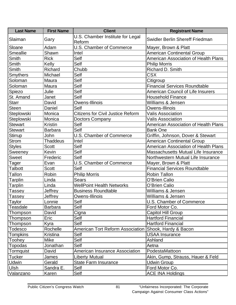| <b>Last Name</b> | <b>First Name</b> | <b>Client</b>                            | <b>Registrant Name</b>                      |
|------------------|-------------------|------------------------------------------|---------------------------------------------|
| Slaiman          |                   | U.S. Chamber Institute for Legal         | Swidler Berlin Shereff Friedman             |
|                  | Gary              | Reform                                   |                                             |
| Sloane           | Adam              | U.S. Chamber of Commerce                 | Mayer, Brown & Platt                        |
| <b>Smeallie</b>  | Shawn             | Intel                                    | <b>American Continental Group</b>           |
| Smith            | <b>Rick</b>       | Self                                     | American Association of Health Plans        |
| Smith            | Kelly             | Self                                     | <b>Philip Morris</b>                        |
| Smith            | Richard           | Chubb                                    | Richard D. Smith                            |
| <b>Smythers</b>  | Michael           | Self                                     | <b>CSX</b>                                  |
| Soloman          | Maura             | Self                                     | Citigroup                                   |
| Soloman          | Maura             | Self                                     | <b>Financial Services Roundtable</b>        |
| Spiezo           | Julie             | Self                                     | <b>American Council of Life Insurers</b>    |
| St. Amand        | Janet             | Self                                     | <b>Household Finance</b>                    |
| <b>Starr</b>     | David             | Owens-Illinois                           | Williams & Jensen                           |
| <b>Steen</b>     | Daniel            | Self                                     | Owens-Illinois                              |
| Steplowski       | Monica            | <b>Citizens for Civil Justice Reform</b> | <b>Valis Association</b>                    |
| Steplowski       | Monica            | <b>Doctors Company</b>                   | <b>Valis Association</b>                    |
| <b>Stewart</b>   | <b>Kristin</b>    | Self                                     | <b>American Association of Health Plans</b> |
| <b>Stewart</b>   | <b>Barbara</b>    | Self                                     | <b>Bank One</b>                             |
| Stirrup          | John              | U.S. Chamber of Commerce                 | Griffin, Johnson, Dover & Stewart           |
| <b>Strom</b>     | <b>Thaddeus</b>   | Intel                                    | <b>American Continental Group</b>           |
| <b>Styles</b>    | <b>Scott</b>      | Self                                     | American Association of Health Plans        |
| Sweeney          | Kevin             | Self                                     | Massachusetts Mutual Life Insurance         |
| <b>Sweet</b>     | Frederic          | Self                                     | Northwestern Mutual Life Insurance          |
| Tager            | Evan              | <b>U.S. Chamber of Commerce</b>          | Mayer, Brown & Platt                        |
| Talbott          | <b>Scott</b>      | Self                                     | <b>Financial Services Roundtable</b>        |
| Tallon           | Robin             | <b>Philip Morris</b>                     | <b>Robin Tallon</b>                         |
| Tarplin          | Linda             | Sears                                    | O'Brien Calio                               |
| Tarplin          | Linda             | <b>WellPoint Health Networks</b>         | O'Brien Calio                               |
| Tassey           | Jeffrey           | <b>Business Roundtable</b>               | Williams & Jensen                           |
| Tassey           | Jeffrey           | Owens-Illinois                           | Williams & Jensen                           |
| Taylor           | Lonnie            | Self                                     | U.S. Chamber of Commerce                    |
| Teasdale         | <b>Barbara</b>    | Self                                     | Ford Motor Co.                              |
| Thompson         | David             | Cigna                                    | Capitol Hill Group                          |
| Thompson         | Eric              | Self                                     | <b>Hartford Financial</b>                   |
| Thompson         | Kyra              | Self                                     | <b>Hartford Financial</b>                   |
| Todesco          | Rochelle          | American Tort Reform Association         | Shook, Hardy & Bacon                        |
| Tompkins         | Kristina          | Self                                     | <b>USAA Insurance</b>                       |
| Toohey           | Mike              | Self                                     | Ashland                                     |
| Topodas          | Jonathan          | Self                                     | Aetna                                       |
| Tormquist        | David             | American Insurance Association           | PodestaMattoon                              |
| Tucker           | James             | <b>Liberty Mutual</b>                    | Akin, Gump, Strauss, Hauer & Feld           |
| Udwin            | Gerald            | <b>State Farm Insurance</b>              | <b>Udwin Group</b>                          |
| Ulsh             | Sandra E.         | Self                                     | Ford Motor Co.                              |
| Valanzano        | Karen             | Self                                     | <b>ACE INA Holdings</b>                     |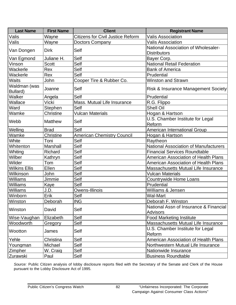| <b>Last Name</b>         | <b>First Name</b> | <b>Client</b>                            | <b>Registrant Name</b>                                     |  |
|--------------------------|-------------------|------------------------------------------|------------------------------------------------------------|--|
| Valis                    | Wayne             | <b>Citizens for Civil Justice Reform</b> | <b>Valis Association</b>                                   |  |
| Valis                    | Wayne             | <b>Doctors Company</b>                   | <b>Valis Association</b>                                   |  |
| Van Dongen               | <b>Dirk</b>       | Self                                     | National Association of Wholesaler-<br><b>Distributors</b> |  |
| Van Egmond               | Juliane H.        | Self                                     | Bayer Corp.                                                |  |
| Vinson                   | <b>Scott</b>      | Self                                     | <b>National Retail Federation</b>                          |  |
| Wackerle                 | Rex               | Self                                     | <b>Bank of America</b>                                     |  |
| Wackerle                 | Rex               | Self                                     | Prudential                                                 |  |
| <b>Waits</b>             | John              | Cooper Tire & Rubber Co.                 | <b>Winston and Strawn</b>                                  |  |
| Waldman (was<br>Bullard) | Joanne            | Self                                     | Risk & Insurance Management Society                        |  |
| Walker                   | Angela            | Self                                     | Prudential                                                 |  |
| Wallace                  | Vicki             | Mass. Mutual Life Insurance              | R.G. Flippo                                                |  |
| Ward                     | Stephen           | Self                                     | <b>Shell Oil</b>                                           |  |
| Wamke                    | Christine         | Vulcan Materials                         | Hogan & Hartson                                            |  |
| Webb                     | <b>Matthew</b>    | Self                                     | U.S. Chamber Institute for Legal<br>Reform                 |  |
| Welling                  | <b>Brad</b>       | Self                                     | American International Group                               |  |
| Wamke                    | Christine         | <b>American Chemistry Council</b>        | Hogan & Hartson                                            |  |
| White                    | Toni              | Self                                     | Raytheon                                                   |  |
| Whitenton                | Marshall          | Self                                     | <b>National Association of Manufacturers</b>               |  |
| Whiting                  | Richard           | Self                                     | <b>Financial Services Roundtable</b>                       |  |
| Wilber                   | Kathryn           | Self                                     | <b>American Association of Health Plans</b>                |  |
| Wilder                   | Tom               | Self                                     | <b>American Association of Health Plans</b>                |  |
| <b>Wilkins Ellis</b>     | Ellen             | Self                                     | Massachusetts Mutual Life Insurance                        |  |
| Wilkinson                | John              | Self                                     | <b>Vulcan Materials</b>                                    |  |
| Williams                 | Jimmie            | Self                                     | <b>Countrywide Home Loans</b>                              |  |
| <b>Williams</b>          | Kaye              | Self                                     | Prudential                                                 |  |
| Williams                 | J.D.              | Owens-Illinois                           | Williams & Jensen                                          |  |
| Winborn                  | Erik              | Self                                     | <b>Wal-Mart</b>                                            |  |
| Winston                  | Deborah           | <b>ING</b>                               | Deborah F. Winston                                         |  |
| Winston                  | David             | Self                                     | National Assn of Insurance & Financial<br><b>Advisors</b>  |  |
| Wise-Vaughan             | Elizabeth         | Self                                     | <b>Food Marketing Institute</b>                            |  |
| Woodworth                | Gregory           | Self                                     | Massachusetts Mutual Life Insurance                        |  |
| Wootton                  | James             | Self                                     | U.S. Chamber Institute for Legal<br>Reform                 |  |
| Yehle                    | Christina         | Self                                     | American Association of Health Plans                       |  |
| Youngman                 | Michael           | Self                                     | Northwestern Mutual Life Insurance                         |  |
| Zimpher                  | W. Craig          | Self                                     | Nationwide Insurance                                       |  |
| Zurawski                 | Paul              | Self                                     | <b>Business Roundtable</b>                                 |  |

*Source:* Public Citizen analysis of lobby disclosure reports filed with the Secretary of the Senate and Clerk of the House pursuant to the Lobby Disclosure Act of 1995.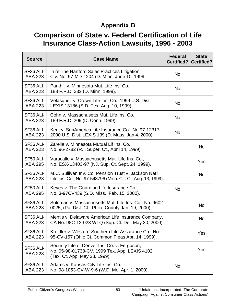## **Appendix B**

## **Comparison of State v. Federal Certification of Life Insurance Class-Action Lawsuits, 1996 - 2003**

| <b>Source</b>               | <b>Case Name</b>                                                                                                                | <b>Federal</b><br><b>Certified?</b> | <b>State</b><br><b>Certified?</b> |
|-----------------------------|---------------------------------------------------------------------------------------------------------------------------------|-------------------------------------|-----------------------------------|
| SF36 ALI-<br><b>ABA 223</b> | In re The Hartford Sales Practices Litigation,<br>Civ. No. 97-MD-1204 (D. Minn. June 10, 1999.                                  | <b>No</b>                           |                                   |
| SF36 ALI-<br>ABA 223        | Parkhill v. Minnesota Mut. Life Ins. Co.,<br>188 F.R.D. 332 (D. Minn. 1999).                                                    | <b>No</b>                           |                                   |
| SF36 ALI-<br>ABA 223        | Velasquez v. Crown Life Ins. Co., 1999 U.S. Dist.<br>LEXIS 13186 (S.D. Tex. Aug. 10, 1999).                                     | <b>No</b>                           |                                   |
| SF36 ALI-<br>ABA 223        | Cohn v. Massachusetts Mut. Life Ins. Co.,<br>189 F.R.D. 209 (D. Conn. 1999).                                                    | <b>No</b>                           |                                   |
| SF36 ALI-<br>ABA 223        | Kent v. SunAmerica Life Insurance Co., No 97-12317,<br>2000 U.S. Dist. LEXIS 139 (D. Mass. Jan 4, 2000).                        | <b>No</b>                           |                                   |
| SF36 ALI-<br>ABA 223        | Zarella v. Minnesota Mutual Lif Ins. Co.,<br>No. 96-2782 (R.I. Super. Ct., April 14, 1999).                                     |                                     | <b>No</b>                         |
| SF50 ALI-<br><b>ABA 295</b> | Varacallo v. Massachusetts Mut. Life Ins. Co.,<br>No. ESX-L3403-97 (NJ. Sup. Ct. Sept. 24, 1999).                               |                                     | Yes                               |
| SF36 ALI-<br><b>ABA 223</b> | M.C. Sullivan Inv. Co. Pension Trust v. Jackson Nat'l<br>Life Ins. Co., No. 97-548796 (Mich. Cir. Ct. Aug. 13, 1999).           |                                     | <b>No</b>                         |
| SF50 ALI-<br><b>ABA 295</b> | Keyes v. The Guardian Life Insurance Co.,<br>No. 3-97CV439 (S.D. Miss., Feb. 15, 2000).                                         | <b>No</b>                           |                                   |
| SF36 ALI-<br>ABA 223        | Soloman v. Massachusetts Mut. Life Ins. Co., No. 9602-<br>0025, (Pa. Dist. Ct., Phila. County Jan. 19, 2000).                   |                                     | <b>No</b>                         |
| SF36 ALI-<br><b>ABA 223</b> | Mentis v. Delaware American Life Insurance Company,<br>CA No. 98C-12-023 WTQ (Sup. Ct. Del. May 30, 2000).                      |                                     | <b>No</b>                         |
| SF36 ALI-<br><b>ABA 223</b> | Kreidler v. Western-Southern Life Assurance Co., No.<br>95-CV-157 (Ohio Ct. Common Pleas Apr. 14, 1999).                        |                                     | Yes                               |
| SF36 ALI-<br><b>ABA 223</b> | Security Life of Denver Ins. Co. v. Ferguson,<br>No. 05-98-01738-CV, 1999 Tex. App. LEXIS 4102<br>(Tex. Ct. App. May 28, 1999). |                                     | Yes                               |
| SF36 ALI-<br>ABA 223        | Adams v. Kansas City Life Ins. Co.,<br>No. 98-1053-CV-W-9-6 (W.D. Mo. Apr. 1, 2000).                                            | <b>No</b>                           |                                   |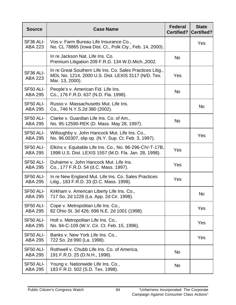| <b>Source</b>               | <b>Case Name</b>                                                                                                                     | <b>Federal</b><br><b>Certified?</b> | <b>State</b><br><b>Certified?</b> |
|-----------------------------|--------------------------------------------------------------------------------------------------------------------------------------|-------------------------------------|-----------------------------------|
| SF36 ALI-<br><b>ABA 223</b> | Vos v. Farm Bureau Life Insurance Co.,<br>No. CL 78865 (lowa Dist. Ct., Polk Cty., Feb. 14, 2000).                                   |                                     | Yes                               |
|                             | In re Jackson Nat. Life Ins. Co.<br>Premium Litigation 209 F.R.D. 134 W.D.Mich., 2002.                                               | <b>No</b>                           |                                   |
| SF36 ALI-<br>ABA 223        | In re Great Southern Life Ins. Co. Sales Practices Litig.,<br>MDL No. 1214, 2000 U.S. Dist. LEXIS 3117 (N/D. Tex.<br>Mar. 13, 2000). | <b>Yes</b>                          |                                   |
| SF50 ALI-<br><b>ABA 295</b> | People's v. American Fid. Life Ins.<br>Co., 176 F.R.D. 637 (N.D. Fla. 1998).                                                         | <b>No</b>                           |                                   |
| SF50 ALI-<br><b>ABA 295</b> | Russo v. Massachusetts Mut. Life Ins.<br>Co., 746 N.Y.S.2d 380 (2002).                                                               |                                     | <b>No</b>                         |
| SF50 ALI-<br><b>ABA 295</b> | Clarke v. Guardian Life Ins. Co. of Am.,<br>No. 95-12590-REK (D. Mass. May 28, 1997).                                                | <b>No</b>                           |                                   |
| SF50 ALI-<br><b>ABA 295</b> | Willoughby v. John Hancock Mut. Life Ins. Co.,<br>No. 96.00307, slip op. (N.Y. Sup. Ct. Feb. 3, 1997).                               |                                     | Yes                               |
| SF50 ALI-<br><b>ABA 295</b> | Elkins v. Equitable Life Ins. Co., No. 96-296-CIV-T-17B,<br>1998 U.S. Dist. LEXIS 1557 (M.D. Fla. Jan. 28, 1998).                    | <b>Yes</b>                          |                                   |
| SF50 ALI-<br><b>ABA 295</b> | Duhaime v. John Hancock Mut. Life Ins.<br>Co., 177 F.R.D. 54 (d.C. Mass. 1997).                                                      | Yes                                 |                                   |
| SF50 ALI-<br><b>ABA 295</b> | In re New England Mut. Life Ins. Co. Sales Practices<br>Litig., 183 F.R.D. 33 (D.C. Mass. 1998).                                     | Yes                                 |                                   |
| SF50 ALI-<br><b>ABA 295</b> | Kirkham v. American Liberty Life Ins. Co.,<br>717 So. 2d 1226 (La. App. 2d Cir. 1998).                                               |                                     | <b>No</b>                         |
| SF50 ALI-<br><b>ABA 295</b> | Cope v. Metropolitan Life Ins. Co.,<br>82 Ohio St. 3d 426; 696 N.E. 2d 1001 (1998).                                                  |                                     | Yes                               |
| SF50 ALI-<br><b>ABA 295</b> | Holt v. Metropolitan Life Ins. Co.,<br>No. 94-C-109 (W.V. Cir. Ct. Feb. 15, 1996).                                                   |                                     | Yes                               |
| SF50 ALI-<br><b>ABA 295</b> | Banks v. New York Life Ins. Co.,<br>722 So. 2d 990 (La. 1998).                                                                       |                                     | Yes                               |
| SF50 ALI-<br><b>ABA 295</b> | Rothwell v. Chubb Life Ins. Co. of America,<br>191 F.R.D. 25 (D.N.H., 1998).                                                         | <b>No</b>                           |                                   |
| SF50 ALI-<br><b>ABA 295</b> | Young v. Nationwide Life Ins. Co.,<br>183 F.R.D. 502 (S.D. Tex. 1998).                                                               | <b>No</b>                           |                                   |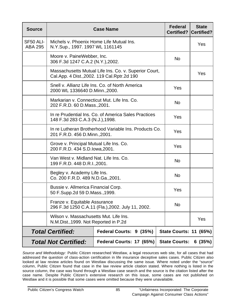| <b>Source</b>                                                                   | <b>Case Name</b>                                                                                      |                          |     | <b>Federal</b><br><b>Certified?</b> | <b>State</b><br><b>Certified?</b> |
|---------------------------------------------------------------------------------|-------------------------------------------------------------------------------------------------------|--------------------------|-----|-------------------------------------|-----------------------------------|
| SF50 ALI-<br><b>ABA 295</b>                                                     | Michels v. Phoenix Home Life Mutual Ins.<br>N.Y.Sup., 1997. 1997 WL 1161145                           |                          |     | Yes                                 |                                   |
|                                                                                 | Moore v. PaineWebber, Inc.<br>306 F.3d 1247 C.A.2 (N.Y.), 2002.                                       | <b>No</b>                |     |                                     |                                   |
|                                                                                 | Massachusetts Mutual Life Ins. Co. v. Superior Court,<br>Cal.App. 4 Dist., 2002. 119 Cal.Rptr. 2d 190 |                          | Yes |                                     |                                   |
|                                                                                 | Snell v. Allianz Life Ins. Co. of North America<br>2000 WL 1336640 D.Minn., 2000.                     | Yes                      |     |                                     |                                   |
|                                                                                 | Markarian v. Connecticut Mut. Life Ins. Co.<br>202 F.R.D. 60 D.Mass., 2001.                           |                          |     | <b>No</b>                           |                                   |
|                                                                                 | In re Prudential Ins. Co. of America Sales Practices<br>148 F.3d 283 C.A.3 (N.J.), 1998.              |                          |     | Yes                                 |                                   |
|                                                                                 | In re Lutheran Brotherhood Variable Ins. Products Co.<br>201 F.R.D. 456 D.Minn., 2001.                |                          |     | Yes                                 |                                   |
|                                                                                 | Grove v. Principal Mutual Life Ins. Co.<br>200 F.R.D. 434 S.D. lowa, 2001.                            |                          |     | Yes                                 |                                   |
|                                                                                 | Van West v. Midland Nat. Life Ins. Co.<br>199 F.R.D. 448 D.R.I., 2001.                                |                          |     | <b>No</b>                           |                                   |
|                                                                                 | Begley v. Academy Life Ins.<br>Co. 200 F.R.D. 489 N.D.Ga., 2001.                                      |                          |     | <b>No</b>                           |                                   |
|                                                                                 | Bussie v. Allmerica Financial Corp.<br>50 F.Supp.2d 59 D.Mass.,1999.                                  |                          |     | Yes                                 |                                   |
|                                                                                 | Franze v. Equitable Assurance<br>296 F.3d 1250 C.A.11 (Fla.), 2002. July 11, 2002.                    |                          |     | <b>No</b>                           |                                   |
| Wilson v. Massachusetts Mut. Life Ins.<br>N.M.Dist., 1999. Not Reported in P.2d |                                                                                                       |                          |     |                                     | Yes                               |
| <b>Total Certified:</b>                                                         |                                                                                                       | Federal Courts: 9 (35%)  |     | <b>State Courts: 11 (65%)</b>       |                                   |
| <b>Total Not Certified:</b>                                                     |                                                                                                       | Federal Courts: 17 (65%) |     | <b>State Courts:</b>                | 6(35%)                            |

*Source and Methodology:* Public Citizen researched Westlaw, a legal resources web site, for all cases that had addressed the question of class-action certification in life insurance deceptive sales cases. Public Citizen also looked at law review articles found on Westlaw discussing the same issue. Where noted under the "source" column, Public Citizen found that case in the law review article citation stated. Where nothing is listed in the source column, the case was found through a Westlaw case search and the source is the citation listed after the case name. Despite Public Citizen's extensive research on this issue, some cases are not published on Westlaw and it is possible that some cases were omitted because they were unavailable.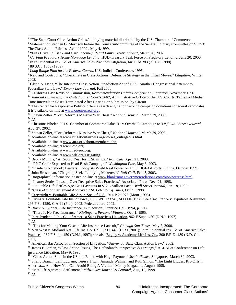<sup>8</sup> Reid and Coutroulis, "Checkmate in Class Actions: Defensive Strategy in the Initial Moves," *Litigation*, Winter

2002.<br><sup>9</sup> Glenn A. Dana, ''The Interstate Class Action Jurisdiction Act of 1999: Another Congressional Attempt to Federalize State Law," *Emory Law Journal*, Fall 2000.

Federalize State Law," *Emory Law Journal*, Fall 2000.<br><sup>10</sup> California Law Revision Commission, *Recommendation: Unfair Competition Litigation*, November 1996.

<sup>11</sup> Judicial Business of the United States Courts 2002, Administrative Office of the U.S. Courts, Table B-4 Median Time Intervals in Cases Terminated After Hearing or Submission, by Circuit.

<sup>12</sup> The Center for Responsive Politics offers a search engine for tracking campaign donations to federal candidates. It is available on-line at www.opensecrets.org.

<sup>13</sup> Shawn Zeller, "Tort Reform's Massive War Chest," *National Journal*, March 29, 2003.

*<sup>14</sup> Id.*

l

<sup>15</sup> Christine Whelan, "U.S. Chamber of Commerce Takes Tort-Overhaul Campaign to TV," *Wall Street Journal*, Aug. 27, 2002.

<sup>16</sup> Shawn Zeller, "Tort Reform's Massive War Chest," *National Journal*, March 29, 2003.

- $17$  Available on-line at www.litigationfairness.org/stories\_outrageous.html.
- <sup>18</sup> Available on-line at www.atra.org/about/members.php.
- $19$  Available on-line at  $\underline{www.cse.org}$ .
- <sup>20</sup> Available on-line at  $\frac{\overline{www.fed-soc.org.}}{www.fed-soc.org.}$
- <sup>21</sup> Available on-line at www.wlf.org/Litigating.
- <sup>22</sup> Brody Mullins, "A Record Year for K St. in '02," *Roll Call*, April 21, 2003.
- <sup>23</sup> "RNC Chair Expected to Head Bush Campaign," *Washington Post*, May 6, 2003.
- <sup>24</sup> "Insider's Notebook: Leaders' Lobbyists Wield Real Power on Hill," HGFAA Portal Online, October 1999.
- <sup>25</sup> John Bresnahan, "Citigroup Seeks Lobbying Makeover," *Roll Call*, Feb. 5, 2003.

<sup>26</sup> Biographical information posted on-line at www.blankromegovernmentrelations.com/bios/norcross.html

- <sup>27</sup> "Insurer Settles Lawsuit Over Deceptive Sales Practices," Associated Press, Dec. 21, 1998.
- <sup>28</sup> "Equitable Life Settles Age-Bias Lawsuits In \$12.5 Million Pact," *Wall Street Journal*, Jan. 18, 1985.
- <sup>29</sup> "Class-Action Settlement Approved," *St. Petersburg Times*, Oct. 9, 1998.

 $30$  Cartwright v. Equitable Life Assur. Soc. of U.S., 914 P.2d 976 (Mont., 1996).

<sup>31</sup> Elkins v. Equitable Life Ins. of Iowa, 1998 WL 133741, M.D.Fla.,1998; See also: Franze v. Equitable Assurance, 296 F.3d 1250, C.A.11 (Fla.), 2002. Federal court, 2002.

 $32$  Black & Skipper, Life Insurance, 12th edition., Prentice Hall, 1994, p. 103.

<sup>33</sup> "There Is No Free Insurance," *Kiplinger's Personal Finance,* Oct. 1, 1995.

- <sup>34</sup> In re Prudential Ins. Co. of America Sales Practices Litigation, 962 F.Supp. 450 (D.N.J.,1997).
- <sup>35</sup> *Id.*

<sup>36</sup> "Tips for Making Your Case in Life Insurance Lawsuit," *Chicago Sun-Times*, May 7, 2000.

<sup>37</sup> Van West v. Midland Nat. Life Ins. Co. 199 F.R.D. 448 (D.R.I.,2001); In re Prudential Ins. Co. of America Sales Practices, 962 F.Supp. 450 (D.N.J.,1997); see also Begley v. Academy Life Ins. Co., 200 F.R.D. 489 (N.D. Ga.

2001).

<sup>38</sup> American Bar Association Section of Litigation, "Survey of State Class Action Law," 2002.

<sup>39</sup> James F. Jorden, "Class Action Issues, The Defendant's Perspective & Strategy," ALI-ABA Conference on Life Insurance Litigation, May 9, 1996.

<sup>40</sup> "Class-Action Suits in the US that Ended with Huge Payouts," *Straits Times*, Singapore, March 30, 2003.

<sup>41</sup> Shelly Branch, Lani Luciano, Teresa Tritch, Amanda Walman and Ruth Simon, "The Eight Biggest Rip-Offs in America.... And How You Can Avoid Being A Victim," Money Magazine, August 1995.

<sup>42</sup> "Met Life Agrees to Settlement," *Milwaukee Journal & Sentinel*, Aug. 19, 1999.

<sup>43</sup> *Id.*

<sup>&</sup>lt;sup>1</sup> "The State Court Class Action Crisis," lobbying material distributed by the U.S. Chamber of Commerce.

 $2$  Statement of Stephen G. Morrison before the Courts Subcommittee of the Senate Judiciary Committee on S. 353: The Class Action Fairness Act of 1999 , May 4,1999.

<sup>&</sup>lt;sup>3</sup> "Fees Drive US Bank and Card Income," *Retail Banker International*, March 26, 2002.

<sup>4</sup> *Curbing Predatory Home Mortgage Lending,* HUD-Treasury Task Force on Predatory Lending, June 20, 2000.

<sup>5</sup> In re Prudential Ins. Co. of America Sales Practices Litigation, 148 F.3d 283 (3<sup>rd</sup> Cir. 1998).

<sup>&</sup>lt;sup>6</sup> 89 S.Ct. 1053 (1969)

<sup>7</sup> *Long Range Plan for the Federal Courts,* U.S. Judicial Conference, 1995.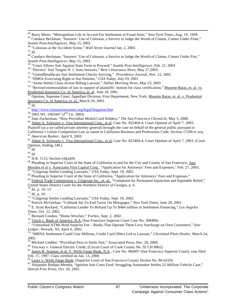<sup>44</sup> Barry Meier, "Metropolitan Life in Accord For Settlement of Fraud Suits," *New York Times,* Aug. 19, 1999.

<sup>45</sup> Candace Heckman, "Insurers' Use of Colossus, a Service to Judge the Worth of Claims, Comes Under Firee," *Seattle Post-Intelligencer*, May 15, 2003.

<sup>46</sup> "Colossus at the Accident Scene," *Wall Street Journal* Jan. 2, 2003.

<sup>47</sup> *Id.*

l

<sup>48</sup> Candace Heckman, "Insurers' Use of Colossus, a Service to Judge the Worth of Claims, Comes Under Fire," *Seattle Post-Intelligencer*, May 15, 2003.

<sup>49</sup> "Court Allows Suit Against State Farm to Proceed." *Seattle Post-Intelligencer,* Feb. 21, 2003

<sup>50</sup> "Doctors' Suit Targets N. J. Auto Insurers," *Best's Insurance News*, May 27,2003.

<sup>51</sup> "UnitedHealthcare Suit Settlement Checks Arriving," *Providence Journal*, Nov. 12, 2002

<sup>52</sup> "HMOs Exercising Right to Sue Patients," *USA Today,* July 19, 2001

<sup>53</sup> "Aetna Settles Class-Action Billing Lawsuit," *Dallas Morning News*, May 23, 2003

<sup>54</sup> "Revised memorandum of law in support of plaintiffs' motion for class certification," Musette Batas, et. al. vs. Prudential Insurance Co. of America, et. al, June 18, 2001.

<sup>55</sup> Opinion, Supreme Court, Appellate Division, First Department, New York, Musette Batas, et. al. v. Prudential Insurance Co. of America, et. al., March 20, 2001.

<sup>56</sup> *Id.*

<sup>57</sup> http://www.classactioncenter.org/legal/litigation.htm

<sup>58</sup> 2003 WL 1903447 (2nd Cir. 2003)

<sup>59</sup> Sam Zuckerman, "How Providian Misled Card Holders," *The San Francisco Chronicle*, May 5, 2000.

<sup>60</sup> Adam A. Schwartz v. Visa International Corp., et al*,* Case No. 822404-4, Court Opinion of April 7, 2003.

Plaintiff (as a so-called private attorney general) brought the case on behalf of the general public pursuant to California's Unfair Competition Law as stated in California Business and Professions Code, Section 17200 *et seq.* <sup>61</sup> *American Banker*, April 9, 2003.

<sup>62</sup> Adam A. Schwartz v. Visa International Corp., et al, Case No. 822404-4, Court Opinion of April 7, 2003. (Court Opinion, finding 140.)

 $63$ <sup>*Id.*</sup>

<sup>64</sup> *Id.*

 $65$  H.R. 1115, Section (4)(a)(9)

<sup>66</sup> Pleading in Superior Court of the State of California in and for the City and County of San Francisco, Ana Morales et al v. Associates First Capital Corp., "Application for Attorneys' Fees and Expenses," Feb. 27, 2003. <sup>67</sup> "Citigroup Settles Lending Lawsuits," *USA Today*, Sept. 19, 2002.

<sup>68</sup> Pleading in Superior Court of the State of California, "Application for Attorneys' Fees and Expenses."

<sup>69</sup> Federal Trade Commission v. Citigroup Inc., et. al., "Complaint for Permanent Injunction and Equitable Relief," United States District Court for the Northern District of Georgia, p. 6.

<sup>70</sup> *Id.,* p. 10, 13

<sup>71</sup> *Id.,* p. 10.

<sup>72</sup> "Citigroup Settles Lending Lawsuits," *USA Today*, Sept. 19, 2002.

<sup>73</sup> Patrick McGeehan, "Citibank Set To End Tactic On Mortgages," *New York Times*, June 29, 2001.

<sup>74</sup> E. Scott Reckard, "California Lender To Refund Up To \$484 million in Settlement Financing," *Los Angeles Times*, Oct. 12, 2002.

<sup>75</sup> Bernard Condon, "Home Wrecker," *Forbes*, Sept. 2, 2002.

<sup>76</sup> Gluck v. Bank of America, N.A. (San Francisco Superior Court Case No. 308496)

<sup>77</sup> "Unmarked ATMs Hold Surprise Fee – Banks That Operate Them Levy Surcharge on Own Customers," *Star Ledger*, Newark, NJ, April 6, 2002.

<sup>78</sup> "MBNA Settlement Could Cost Millions, Credit Card Offers Led to Lawsuit," *Cleveland Plain Dealer*, March 24, 2002.

 $^{79}$  Michael Liedtke, "Providian Pays to Settle Suit," Associated Press, Dec. 28, 2000.

<sup>80</sup> Trucway v. General Electric Credit, (Circuit Court of Cook County No. 92 CH 8962)

<sup>81</sup> James R. Seaman, et al. V. Wells Fargo Bank, N.A., Case No. 984497 (San Francisco Superior Court), case filed Feb. 17, 1997. Class certified on Jan. 13, 2000.

 $\frac{82}{12}$  Leary v. Wells Fargo Bank, (Superior Court of San Francisco County Docket No. 86-6229)

83 Alejandro Bodipo-Memba, "Ignition Suit Costs Ford; Struggling Automaker Settles 22-Million-Vehicle Case," *Detroit Free Press*, Oct. 26, 2001.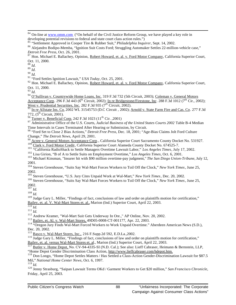<sup>85</sup> "Settlement Approved in Cooper Tire & Rubber Suit," *Philadelphia Inquirer*, Sept. 14, 2002.

<sup>88</sup> *Id.*

l

<sup>89</sup> *Id.*

<sup>90</sup> *Id.*

<sup>91</sup> "Ford Settles Ignition Lawsuit," *USA Today*, Oct. 25, 2001.

<sup>92</sup> Hon. Michael E. Ballachey, Opinion, Robert Howard, et. al. v. Ford Motor Company, California Superior Court, Oct. 11, 2000.

<sup>93</sup> *Id.*

<sup>94</sup> O'Sullivan v. Countrywide Home Loans, Inc. 319 F.3d 732 (5th Circuit, 2003); Coleman v. General Motors Acceptance Corp. 296 F.3d 443 (6<sup>th</sup> Circuit, 2002); In re Bridgestone/Firestone, Inc. 288 F.3d 1012 (7<sup>th</sup> Cir., 2002); West v. Prudential Securities, Inc. 282 F.3d 935 (7<sup>th</sup> Circuit, 2002).

<sup>95</sup> In re Allstate Ins. Co. 2002 WL 31545753 (D.C Circuit , 2002); Arnold v. State Farm Fire and Cas. Co. 277 F.3d 772,  $(5^{th}$  Circuit, 2001).

 $^{96}$  Turner v. Beneficial Corp. 242 F.3d 1023 (11<sup>th</sup> Cir. ,2001)

<sup>97</sup> Administrative Office of the U.S. Courts, *Judicial Business of the United States Courts 2002* Table B-4 Median Time Intervals in Cases Terminated After Hearing or Submission, by Circuit.

<sup>98</sup> "Ford Set to Close 2 Bias Actions," *Detroit Free Press*, Dec. 18, 2001; "Age-Bias Claims Jolt Ford Culture Change," *The Detroit News*, April 29, 2001.

99  $A_{\text{tree}}$ , Ceneral Motors Acceptance Corp., California Superior Court Sacramento County Docket No. 531927.

<sup>100</sup> Clark v. Ford Motor Credit, California Superior Court Alameda County Docket No. 674525-7.

<sup>101</sup> "California RadioShack to Settle Managers Overtime Lawsuit Labor," *Los Angeles Times*, July 17, 2002.

<sup>102</sup> Lisa Girion, "B of A to Settle Suits on Employment Overtime," *Los Angeles Times*, Oct. 6, 2001.

<sup>103</sup> Michael Kinsman, "Insurer hit with \$90 million overtime-pay judgment," *The San Diego Union-Tribune*, July 12, 2001.

<sup>104</sup> Steven Greenhouse, "Suits Say Wal-Mart Forces Workers to Toil Off the Clock," *New York Times*, June 25, 2002.

<sup>105</sup> Steven Greenhouse, "U.S. Jury Cites Unpaid Work at Wal-Mart," *New York Times*, Dec. 20, 2002.

<sup>106</sup> Steven Greenhouse, "Suits Say Wal-Mart Forces Workers to Toil Off the Clock," *New York Times*, June 25, 2002.

 $\frac{107}{107}$  *Id.* 

<sup>108</sup> *Id.*

<sup>109</sup> Judge Gary L. Miller, "Findings of fact, conclusions of law and order on plaintiffs motion for certification," Bailey, et. al. V. Wal-Mart Stores et. al., Marion (Ind.) Superior Court, April 22, 2003.

*<sup>110</sup> Id.*

<sup>111</sup> *Id.*

<sup>112</sup> Andrew Kramer, "Wal-Mart Suit Gets Underway In Ore.," AP Online, Nov. 20, 2002.

<sup>113</sup> Bailey, et. Al. v. Wal-Mart Stores, 49D05-0008-CT-001177, Apr. 22, 2003.

<sup>114</sup> "Oregon Jury Finds Wal-Mart Forced Workers to Work Unpaid Overtime." Aberdeen American News (S.D.), Dec. 20, 2002.

<sup>115</sup> Basco v. Wal-Mart Stores, Inc., 216 F.Supp.2d 592, E.D.La.,2002.

<sup>116</sup> Judge Gary L. Miller, "Findings of fact, conclusions of law and order on plaintiffs motion for certification," Bailey, et. al. versus Wal-Mart Stores et. al., Marion (Ind.) Superior Court, April 22, 2003.

<sup>117</sup> Butler v. Home Depot, No. CV-94-4335-SI (N.D. Cal.); See also: Lieff Cabraser, Heimann & Bernstein, LLP, "Home Depot Gender Discrimination Class Action, http://www.lieffcabraser.com/hdepot.htm.

<sup>118</sup> Don Longo, "Home Depot Settles Matters / Has Settled a Class-Action Gender-Discrimination Lawsuit for \$87.5 Mil," *National Home Center News*, Oct. 6, 1997.

<sup>119</sup> *Id.*

<sup>120</sup> Jenny Strasburg, "Saipan Lawsuit Terms OKd / Garment Workers to Get \$20 million," *San Francisco Chronicle*, Friday, April 25, 2003.

<sup>84</sup> On-line at www.omm.com ("On behalf of the Civil Justice Reform Group, we have played a key role in developing potential revisions to federal and state court class action rules.")

<sup>86</sup> Alejandro Bodipo-Memba, "Ignition Suit Costs Ford; Struggling Automaker Settles 22-million-vehicle case," *Detroit Free Press*, Oct. 26, 2001.

<sup>&</sup>lt;sup>87</sup> Hon. Michael E. Ballachey, Opinion, Robert Howard, et. al. v. Ford Motor Company, California Superior Court, Oct. 11, 2000.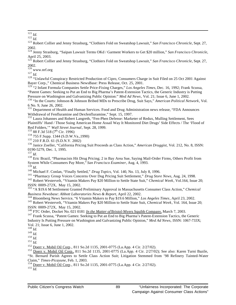l <sup>121</sup> *Id.*

<sup>122</sup> *Id.*

<sup>123</sup> Robert Collier and Jenny Strasburg, "Clothiers Fold on Sweatshop Lawsuit," *San Francisco Chronicle*, Sept. 27, 2002.

<sup>124</sup> Jenny Strasburg, "Saipan Lawsuit Terms OKd / Garment Workers to Get \$20 million," *San Francisco Chronicle*, April 25, 2003.

<sup>125</sup> Robert Collier and Jenny Strasburg, "Clothiers Fold on Sweatshop Lawsuit," *San Francisco Chronicle*, Sept. 27, 2002.

 $\frac{2002}{126}$  www.nrf.org

<sup>127</sup> *Id.*

<sup>128</sup> "Unlawful Conspiracy Restricted Production of Cipro, Consumers Charge in Suit Filed on 25 Oct 2001 Against Bayer Corp.," Chemical Business NewsBase: Press Release, Oct. 25, 2001.

<sup>129</sup> "2 Infant Formula Companies Settle Price-Fixing Charges," *Los Angeles Times,* Dec. 16, 1992; Frank Scussa, "Patent Games: Seeking to Put an End to Big Pharma's Patent-Extension Tactics, the Generic Industry is Putting Pressure on Washington and Galvanizing Public Opinion:" *Med Ad News*, Vol. 21; Issue 6, June 1, 2002.

<sup>130</sup> "In the Courts: Johnson & Johnson Bribed MDs to Prescribe Drug, Suit Says," *American Political Network*, Vol. 6 No. 9, June 26, 2002.

<sup>131</sup> Department of Health and Human Services. Food and Drug Administration news release, "FDA Announces Withdrawal of Fenfluramine and Dexfenfluramine," Sept. 15, 1997.

<sup>132</sup> Laura Johannes and Robert Langreth, "Fen-Phen Defense: Marketer of Redux, Mulling Settlement, Sees Plaintiffs' Hand / Those Suing American Home Assail Way It Monitored Diet Drugs' Side Effects / The 'Flood of Red Folders,'" *Wall Street Journal*, Sept. 28, 1999.

 $133$  88 F.3d 518 (7<sup>th</sup> Cir. 1996)

<sup>134</sup> 755 F.Supp. 1344 (S.D.W.Va.,1990)

<sup>135</sup> 210 F.R.D. 61 (S.D.N.Y. 2002)

<sup>136</sup> Janice Zoeller, "California Pricing Suit Proceeds as Class Action," *American Druggist*, Vol. 212, No. 8, ISSN: 0190-5279, Dec. 1, 1995.

 $^{137}$  *Id.* 

<sup>138</sup> Eric Brazil, "Pharmacists Hit Drug Pricing; 2 in Bay Area Sue, Saying Mail-Order Firms, Others Profit from System While Consumers Pay More," *San Francisco Examiner*, Aug. 4, 1993.  $^{139}$  *Id*.

<sup>140</sup> Michael F. Conlan, "Finally Settled," *Drug Topics*, Vol. 140, No. 13, July 8, 1996.

<sup>141</sup> "Pharmacy Group Voices Concerns Over Dug Pricing Suit Settlement," *Drug Store News*, Aug. 24, 1998. <sup>142</sup> Robert Westervelt, "Vitamin Makers Pay \$20 Million to Settle State Suit," *Chemical Week*, Vol.164, Issue 20; ISSN: 0009-272X, May 15, 2002.

<sup>143</sup> "A \$19.6 M Settlement Granted Preliminary Approval in Massachusetts Consumer Class Action," *Chemical Business Newsbase: Abbott Laboratories News & Report*, April 22, 2002.

<sup>144</sup> Bloomberg News Service, "6 Vitamin Makers to Pay \$19.6 Million," *Los Angeles Times*, April 23, 2002.

<sup>145</sup> Robert Westervelt, "Vitamin Makers Pay \$20 Million to Settle State Suit, *Chemical Week*, Vol. 164, Issue 20; ISSN: 0009-272X, May 15, 2002.

<sup>146</sup> FTC Order, Docket No. 021 0181 *In the Matter of* Bristol-Myers Squibb Company, March 7, 2003.

<sup>147</sup> Frank Scussa, "Patent Games: Seeking to Put an End to Big Pharma's Patent-Extension Tactics, the Generic Industry Is Putting Pressure on Washington and Galvanizing Public Opinion," *Med Ad News*, ISSN: 1067-733X; Vol. 21; Issue 6, June 1, 2002.

 $149$  *Id.* 

 $^{150}$   $^{150}$ 

<sup>151</sup> *Id.*

<sup>152</sup> Doerr v. Mobil Oil Corp., 811 So.2d 1135, 2001-0775 (La.App. 4 Cir. 2/27/02).

<sup>153</sup> Doerr v. Mobil Oil Corp., 811 So.2d 1135, 2001-0775 (La.App. 4 Cir. 2/27/02); See also: Karen Turni Bazile, "St. Bernard Parish Agrees to Settle Class Action Suit; Litigation Stemmed from '98 Refinery Tainted-Water Claim," *Times-Picayune*, Feb. 1, 2003.

<sup>154</sup> Doerr v. Mobil Oil Corp., 811 So.2d 1135, 2001-0775 (La.App. 4 Cir. 2/27/02).

 $\frac{155}{Id}$ .

<sup>148</sup> *Id.*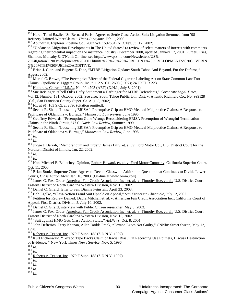<sup>156</sup> Karen Turni Bazile, "St. Bernard Parish Agrees to Settle Class Action Suit; Litigation Stemmed from '98 Refinery Tainted-Water Claim," *Times-Picayune*, Feb. 1, 2003.

<sup>158</sup> "Update on Litigation Developments in The United States" (a review of select matters of interest with comments regarding their potential impact on the insurance industry) December 2000, updated January 17, 2001, Purcell, Ries, Shannon, Mulcahy & O'Neill; On-line, see http://www.prsmo.com/Newsletters/US%

20Litigation%20Developments%202001.htm#I.%20%20%20%20RECENT%20DEVELOPMENTS%20COVERIN G%20MTBE%20FUEL%20ADDITIVE.

<sup>160</sup> Muriel C. Brown, "The Preemptive Effect of the Federal Cigarette Labeling Act on State Common Law Tort Claims: Cipollone v. Liggett Group, Inc.," 112 S. CT. 2608 (1992); 24 TXTLR 223.

 $^{161}$  Holten. v. Chevron U.S.A., No. 00-4703 (AET) (D.N.J., July 8, 2001).

<sup>162</sup> Sue Reisinger, "Shell Oil's Hefty Settlement a Harbinger for MTBE Defendants," *Corporate Legal Times*,

Vol.12, Number 131, October 2002; See also: South Tahoe Public Util. Dist. v. Atlantic Richfield Co., No. 999128 (Cal., San Francisco County Super. Ct. Aug. 5, 2002).

<sup>163</sup> Id., at 91, 103 S.Ct. at 2896 (citation omitted).

<sup>164</sup> Seema R. Shah, "Loosening ERISA's Preemptive Grip on HMO Medical Malpractice Claims: A Response to Pacificare of Oklahoma v. Burrage," *Minnesota Law Review,* June 1996.

<sup>165</sup> Geoffrey Edwards, "Preemption Gone Wrong: Reconsidering ERISA Preemption of Wrongful Termination Claims in the Ninth Circuit," *U.C. Davis Law Review,* Summer 1999.

<sup>166</sup> Seema R. Shah, "Loosening ERISA's Preemptive Grip on HMO Medical Malpractice Claims: A Response to Pacificare of Oklahoma v. Burrage," *Minnesota Law Review*, June 1996.

<sup>167</sup> *Id.*

l

<sup>168</sup> *Id.*

<sup>169</sup> Judge J. Darrah, "Memorandum and Order," James Lilly, et. al., v. Ford Motor Co., U.S. District Court for the Northern District of Illinois, Jan. 22, 2002.

<sup>170</sup> *Id.*  $^{171}$  *Id.* 

<sup>172</sup> Hon. Michael E. Ballachey, Opinion, Robert Howard, et. al. v. Ford Motor Company, California Superior Court, Oct. 11, 2000.

<sup>173</sup> Brian Books, Supreme Court Agrees to Decide Classwide Arbitration Question that Continues to Divide Lower Courts, *Class Action Alert*, Jan. 16, 2003. (On-line at www.omm.com)

<sup>174</sup> James C. Fox, Order, American Fair Credit Association Inc., et. al. v. Timothy Roe, et. al., U.S. District Court Eastern District of North Carolina Western Division, Nov. 15, 2002.

<sup>175</sup> Daniel C. Girard, letter to Sen. Dianne Feinstein, April 23, 2003.

<sup>176</sup> Bob Egelko, "Class-Action Fraud Suit Upheld on Appeal," *San Francisco Chronicle*, July 12, 2002.

<sup>177</sup> Petition for Review Denied, Dadra Mitchell et. al. v. American Fair Credit Association Inc., California Court of Appeal, First District, Division 5, July 10, 2002.

 $178$  Daniel C. Girard, interview with Public Citizen researcher, May 8, 2003.

<sup>179</sup> James C. Fox, Order, American Fair Credit Association Inc., et. al. v. Timothy Roe, et. al., U.S. District Court Eastern District of North Carolina Western Division, Nov. 15, 2002.

<sup>180</sup> "Suit against HMO Gets Class Action Status," *AMNews* Oct. 8, 2001.

<sup>181</sup> John Defterios, Terry Keenan, Allan Dodds Frank, "Texaco Execs Not Guilty," CNNfn: Street Sweep, May 12, 1998.

<sup>182</sup> Roberts v. Texaco, Inc., 979 F.Supp. 185 (S.D.N.Y. 1997).

<sup>183</sup> Kurt Eichenwald, "Texaco Tape Backs Claim of Racial Bias / On Recording Use Epithets, Discuss Destruction of Evidence, " New York Times News Service, Nov. 5, 1996.

<sup>188</sup> *Id.*

<sup>&</sup>lt;sup>157</sup> Abundiz v. Explorer Pipeline Co., 2002 WL 1592604 (N.D.Tex. Jul 17, 2002).

<sup>&</sup>lt;sup>159</sup> Brian J. Clark and Eugene E. Dice, "MTBE Litigation Update: South Tahoe And Beyond, For the Defense," August 2002.

<sup>184</sup> *Id.*

<sup>185</sup> *Id.*

<sup>&</sup>lt;sup>186</sup> Roberts v. Texaco, Inc., 979 F.Supp. 185 (S.D.N.Y. 1997).

 $^{187}$   $\overline{Id}$ .

<sup>189</sup> *Id.* <sup>190</sup> *Id.*